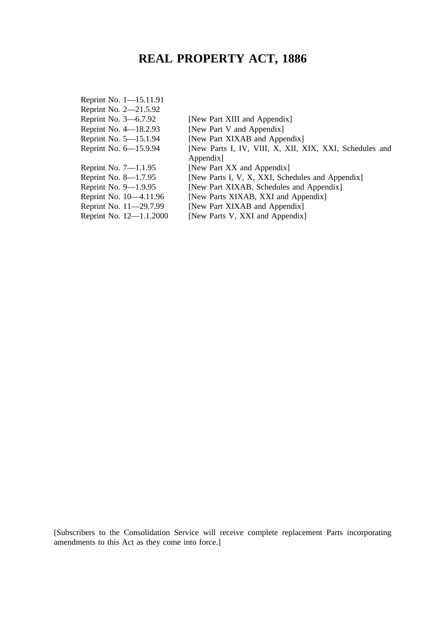# **REAL PROPERTY ACT, 1886**

| Reprint No. 1-15.11.91  |                                                         |  |
|-------------------------|---------------------------------------------------------|--|
| Reprint No. 2–21.5.92   |                                                         |  |
| Reprint No. 3-6.7.92    | [New Part XIII and Appendix]                            |  |
| Reprint No. 4–18.2.93   | [New Part V and Appendix]                               |  |
| Reprint No. 5–15.1.94   | [New Part XIXAB and Appendix]                           |  |
| Reprint No. 6–15.9.94   | [New Parts I, IV, VIII, X, XII, XIX, XXI, Schedules and |  |
|                         | Appendix]                                               |  |
| Reprint No. 7-1.1.95    | [New Part XX and Appendix]                              |  |
| Reprint No. 8-1.7.95    | [New Parts I, V, X, XXI, Schedules and Appendix]        |  |
| Reprint No. 9–1.9.95    | [New Part XIXAB, Schedules and Appendix]                |  |
| Reprint No. 10–4.11.96  | [New Parts XIXAB, XXI and Appendix]                     |  |
| Reprint No. 11-29.7.99  | [New Part XIXAB and Appendix]                           |  |
| Reprint No. 12-1.1.2000 | [New Parts V, XXI and Appendix]                         |  |
|                         |                                                         |  |

[Subscribers to the Consolidation Service will receive complete replacement Parts incorporating amendments to this Act as they come into force.]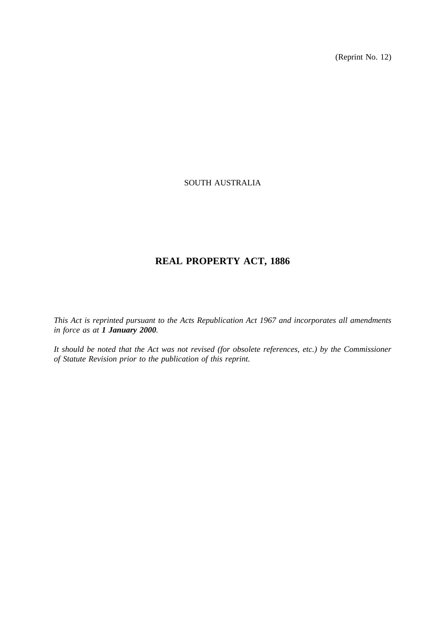(Reprint No. 12)

## SOUTH AUSTRALIA

# **REAL PROPERTY ACT, 1886**

*This Act is reprinted pursuant to the Acts Republication Act 1967 and incorporates all amendments in force as at 1 January 2000.*

*It should be noted that the Act was not revised (for obsolete references, etc.) by the Commissioner of Statute Revision prior to the publication of this reprint.*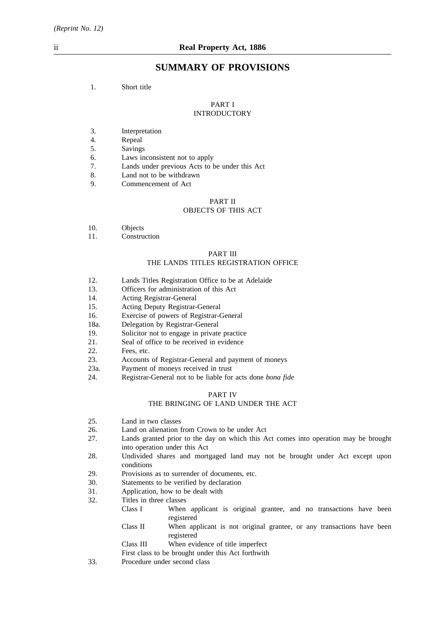## **SUMMARY OF PROVISIONS**

## 1. Short title

### PART I INTRODUCTORY

- 3. Interpretation
- 4. Repeal
- 5. Savings
- 6. Laws inconsistent not to apply
- 7. Lands under previous Acts to be under this Act
- 8. Land not to be withdrawn
- 9. Commencement of Act

## PART II

## OBJECTS OF THIS ACT

- 10. Objects
- 11. Construction

### PART III THE LANDS TITLES REGISTRATION OFFICE

- 12. Lands Titles Registration Office to be at Adelaide
- 13. Officers for administration of this Act
- 14. Acting Registrar-General
- 15. Acting Deputy Registrar-General
- 16. Exercise of powers of Registrar-General
- 18a. Delegation by Registrar-General
- 19. Solicitor not to engage in private practice
- 21. Seal of office to be received in evidence
- 22. Fees, etc.
- 23. Accounts of Registrar-General and payment of moneys
- 23a. Payment of moneys received in trust
- 24. Registrar-General not to be liable for acts done *bona fide*

### PART IV

### THE BRINGING OF LAND UNDER THE ACT

- 25. Land in two classes
- 26. Land on alienation from Crown to be under Act
- 27. Lands granted prior to the day on which this Act comes into operation may be brought into operation under this Act
- 28. Undivided shares and mortgaged land may not be brought under Act except upon conditions
- 29. Provisions as to surrender of documents, etc.
- 30. Statements to be verified by declaration
- 31. Application, how to be dealt with
- 32. Titles in three classes
	- Class I When applicant is original grantee, and no transactions have been registered
	- Class II When applicant is not original grantee, or any transactions have been registered

Class III When evidence of title imperfect

First class to be brought under this Act forthwith

33. Procedure under second class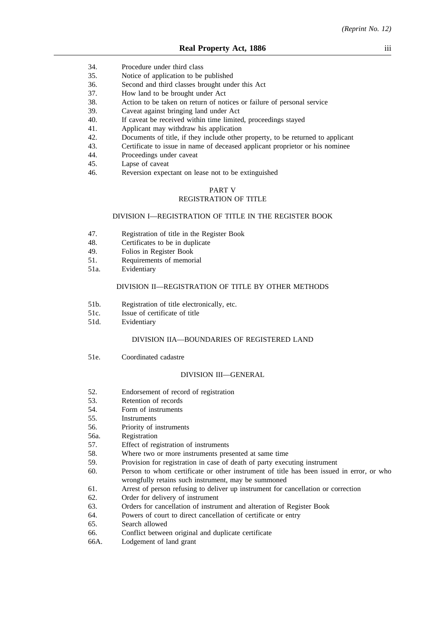- 34. Procedure under third class
- 35. Notice of application to be published
- 36. Second and third classes brought under this Act
- 37. How land to be brought under Act
- 38. Action to be taken on return of notices or failure of personal service
- 39. Caveat against bringing land under Act
- 40. If caveat be received within time limited, proceedings stayed
- 41. Applicant may withdraw his application
- 42. Documents of title, if they include other property, to be returned to applicant
- 43. Certificate to issue in name of deceased applicant proprietor or his nominee
- 44. Proceedings under caveat
- 45. Lapse of caveat
- 46. Reversion expectant on lease not to be extinguished

### PART V

## REGISTRATION OF TITLE

## DIVISION I—REGISTRATION OF TITLE IN THE REGISTER BOOK

- 47. Registration of title in the Register Book
- 48. Certificates to be in duplicate
- 49. Folios in Register Book
- 51. Requirements of memorial
- 51a. Evidentiary

### DIVISION II—REGISTRATION OF TITLE BY OTHER METHODS

- 51b. Registration of title electronically, etc.
- 51c. Issue of certificate of title
- 51d. Evidentiary

### DIVISION IIA—BOUNDARIES OF REGISTERED LAND

51e. Coordinated cadastre

### DIVISION III—GENERAL

- 52. Endorsement of record of registration
- 53. Retention of records
- 54. Form of instruments
- 55. Instruments
- 56. Priority of instruments
- 56a. Registration
- 57. Effect of registration of instruments
- 58. Where two or more instruments presented at same time
- 59. Provision for registration in case of death of party executing instrument
- 60. Person to whom certificate or other instrument of title has been issued in error, or who wrongfully retains such instrument, may be summoned
- 61. Arrest of person refusing to deliver up instrument for cancellation or correction
- 62. Order for delivery of instrument
- 63. Orders for cancellation of instrument and alteration of Register Book
- 64. Powers of court to direct cancellation of certificate or entry
- 65. Search allowed
- 66. Conflict between original and duplicate certificate
- 66A. Lodgement of land grant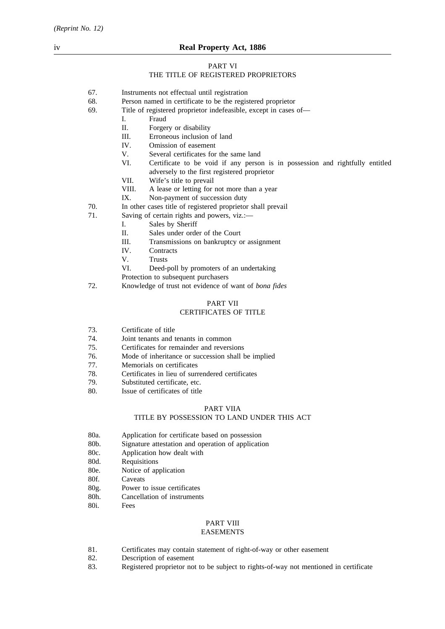## iv **Real Property Act, 1886**

### PART VI

## THE TITLE OF REGISTERED PROPRIETORS

- 67. Instruments not effectual until registration
- 68. Person named in certificate to be the registered proprietor
- 69. Title of registered proprietor indefeasible, except in cases of—
	- I. Fraud
		- II. Forgery or disability
		- III. Erroneous inclusion of land
		- IV. Omission of easement
	- V. Several certificates for the same land<br>VI. Certificate to be void if any person
	- Certificate to be void if any person is in possession and rightfully entitled adversely to the first registered proprietor
	- VII. Wife's title to prevail
	- VIII. A lease or letting for not more than a year
	- IX. Non-payment of succession duty
- 70. In other cases title of registered proprietor shall prevail
- 71. Saving of certain rights and powers, viz.:—
	- I. Sales by Sheriff
	- II. Sales under order of the Court
	- III. Transmissions on bankruptcy or assignment
	- Contracts
	- V. Trusts
	- VI. Deed-poll by promoters of an undertaking
	- Protection to subsequent purchasers
- 72. Knowledge of trust not evidence of want of *bona fides*

## PART VII

### CERTIFICATES OF TITLE

- 73. Certificate of title<br>74. Joint tenants and t
- Joint tenants and tenants in common
- 75. Certificates for remainder and reversions
- 76. Mode of inheritance or succession shall be implied
- 77. Memorials on certificates
- 78. Certificates in lieu of surrendered certificates
- 79. Substituted certificate, etc.
- 80. Issue of certificates of title

### PART VIIA

### TITLE BY POSSESSION TO LAND UNDER THIS ACT

- 80a. Application for certificate based on possession
- 80b. Signature attestation and operation of application
- 80c. Application how dealt with
- 80d. Requisitions
- 80e. Notice of application
- 80f. Caveats
- 80g. Power to issue certificates
- 80h. Cancellation of instruments
- 80i. Fees

## PART VIII

### EASEMENTS

- 81. Certificates may contain statement of right-of-way or other easement
- 82. Description of easement
- 83. Registered proprietor not to be subject to rights-of-way not mentioned in certificate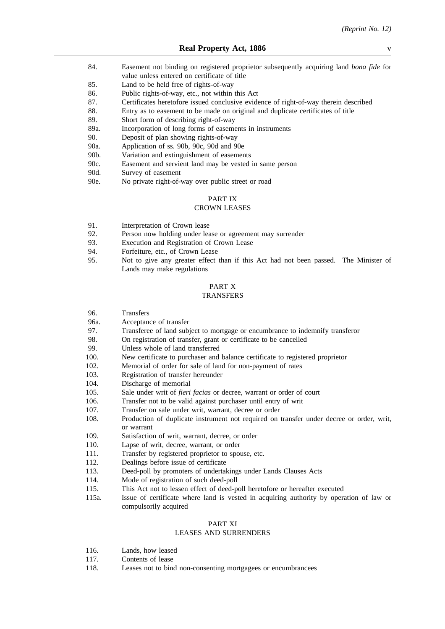- 84. Easement not binding on registered proprietor subsequently acquiring land *bona fide* for value unless entered on certificate of title
- 85. Land to be held free of rights-of-way
- 86. Public rights-of-way, etc., not within this Act
- 87. Certificates heretofore issued conclusive evidence of right-of-way therein described
- 88. Entry as to easement to be made on original and duplicate certificates of title
- 89. Short form of describing right-of-way
- 89a. Incorporation of long forms of easements in instruments
- 90. Deposit of plan showing rights-of-way
- 90a. Application of ss. 90b, 90c, 90d and 90e
- 90b. Variation and extinguishment of easements
- 90c. Easement and servient land may be vested in same person
- 90d. Survey of easement
- 90e. No private right-of-way over public street or road

### PART IX

## CROWN LEASES

- 91. Interpretation of Crown lease
- 92. Person now holding under lease or agreement may surrender
- 93. Execution and Registration of Crown Lease
- 94. Forfeiture, etc., of Crown Lease
- 95. Not to give any greater effect than if this Act had not been passed. The Minister of Lands may make regulations

### PART X

### **TRANSFERS**

96. Transfers

- 96a. Acceptance of transfer
- 97. Transferee of land subject to mortgage or encumbrance to indemnify transferor
- 98. On registration of transfer, grant or certificate to be cancelled
- 99. Unless whole of land transferred
- 100. New certificate to purchaser and balance certificate to registered proprietor
- 102. Memorial of order for sale of land for non-payment of rates
- 103. Registration of transfer hereunder
- 104. Discharge of memorial
- 105. Sale under writ of *fieri facias* or decree, warrant or order of court
- 106. Transfer not to be valid against purchaser until entry of writ
- 107. Transfer on sale under writ, warrant, decree or order
- 108. Production of duplicate instrument not required on transfer under decree or order, writ, or warrant
- 109. Satisfaction of writ, warrant, decree, or order
- 110. Lapse of writ, decree, warrant, or order
- 111. Transfer by registered proprietor to spouse, etc.
- 112. Dealings before issue of certificate
- 113. Deed-poll by promoters of undertakings under Lands Clauses Acts
- 114. Mode of registration of such deed-poll
- 115. This Act not to lessen effect of deed-poll heretofore or hereafter executed
- 115a. Issue of certificate where land is vested in acquiring authority by operation of law or compulsorily acquired

## PART XI

## LEASES AND SURRENDERS

- 116. Lands, how leased
- 117. Contents of lease
- 118. Leases not to bind non-consenting mortgagees or encumbrancees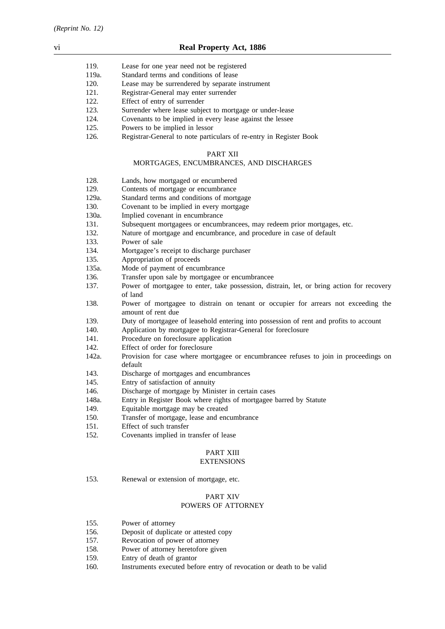- 119. Lease for one year need not be registered
- 119a. Standard terms and conditions of lease
- 120. Lease may be surrendered by separate instrument
- 121. Registrar-General may enter surrender
- 122. Effect of entry of surrender
- 123. Surrender where lease subject to mortgage or under-lease
- 124. Covenants to be implied in every lease against the lessee
- 125. Powers to be implied in lessor
- 126. Registrar-General to note particulars of re-entry in Register Book

### PART XII

## MORTGAGES, ENCUMBRANCES, AND DISCHARGES

- 128. Lands, how mortgaged or encumbered
- 129. Contents of mortgage or encumbrance
- 129a. Standard terms and conditions of mortgage
- 130. Covenant to be implied in every mortgage
- 130a. Implied covenant in encumbrance
- 131. Subsequent mortgagees or encumbrancees, may redeem prior mortgages, etc.
- 132. Nature of mortgage and encumbrance, and procedure in case of default
- 133. Power of sale
- 134. Mortgagee's receipt to discharge purchaser
- 135. Appropriation of proceeds
- 135a. Mode of payment of encumbrance
- 136. Transfer upon sale by mortgagee or encumbrancee
- 137. Power of mortgagee to enter, take possession, distrain, let, or bring action for recovery of land
- 138. Power of mortgagee to distrain on tenant or occupier for arrears not exceeding the amount of rent due
- 139. Duty of mortgagee of leasehold entering into possession of rent and profits to account
- 140. Application by mortgagee to Registrar-General for foreclosure
- 141. Procedure on foreclosure application
- 142. Effect of order for foreclosure
- 142a. Provision for case where mortgagee or encumbrancee refuses to join in proceedings on default
- 143. Discharge of mortgages and encumbrances
- 145. Entry of satisfaction of annuity
- 146. Discharge of mortgage by Minister in certain cases
- 148a. Entry in Register Book where rights of mortgagee barred by Statute
- 149. Equitable mortgage may be created
- 150. Transfer of mortgage, lease and encumbrance
- 151. Effect of such transfer
- 152. Covenants implied in transfer of lease

## PART XIII

## **EXTENSIONS**

### 153. Renewal or extension of mortgage, etc.

### PART XIV POWERS OF ATTORNEY

- 155. Power of attorney
- 156. Deposit of duplicate or attested copy
- 157. Revocation of power of attorney
- 158. Power of attorney heretofore given
- 159. Entry of death of grantor
- 160. Instruments executed before entry of revocation or death to be valid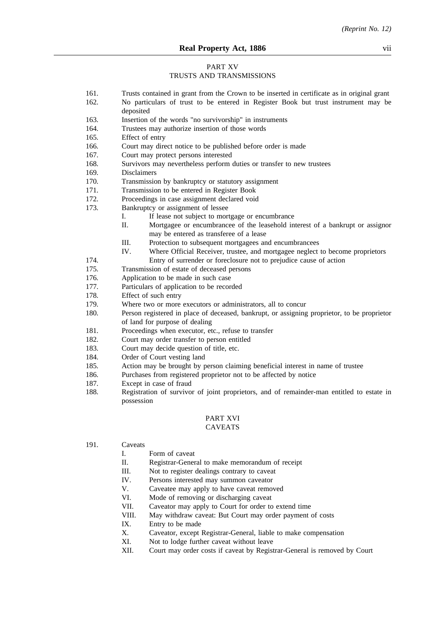### PART XV

#### TRUSTS AND TRANSMISSIONS

- 161. Trusts contained in grant from the Crown to be inserted in certificate as in original grant 162. No particulars of trust to be entered in Register Book but trust instrument may be deposited
- 163. Insertion of the words "no survivorship" in instruments
- 164. Trustees may authorize insertion of those words
- 165. Effect of entry
- 166. Court may direct notice to be published before order is made
- 167. Court may protect persons interested
- 168. Survivors may nevertheless perform duties or transfer to new trustees
- 169. Disclaimers
- 170. Transmission by bankruptcy or statutory assignment
- 171. Transmission to be entered in Register Book
- 172. Proceedings in case assignment declared void
- 173. Bankruptcy or assignment of lessee
	- I. If lease not subject to mortgage or encumbrance
	- II. Mortgagee or encumbrancee of the leasehold interest of a bankrupt or assignor may be entered as transferee of a lease
	- III. Protection to subsequent mortgagees and encumbrancees
- IV. Where Official Receiver, trustee, and mortgagee neglect to become proprietors 174. Entry of surrender or foreclosure not to prejudice cause of action
- 175. Transmission of estate of deceased persons
- 176. Application to be made in such case
- 177. Particulars of application to be recorded
- 178. Effect of such entry
- 179. Where two or more executors or administrators, all to concur
- 180. Person registered in place of deceased, bankrupt, or assigning proprietor, to be proprietor of land for purpose of dealing
- 181. Proceedings when executor, etc., refuse to transfer
- 182. Court may order transfer to person entitled
- 183. Court may decide question of title, etc.
- 184. Order of Court vesting land
- 185. Action may be brought by person claiming beneficial interest in name of trustee
- 186. Purchases from registered proprietor not to be affected by notice
- 187. Except in case of fraud
- 188. Registration of survivor of joint proprietors, and of remainder-man entitled to estate in possession

#### PART XVI CAVEATS

#### 191. Caveats

- I. Form of caveat
- II. Registrar-General to make memorandum of receipt
- III. Not to register dealings contrary to caveat
- IV. Persons interested may summon caveator
- V. Caveatee may apply to have caveat removed
- VI. Mode of removing or discharging caveat
- VII. Caveator may apply to Court for order to extend time
- VIII. May withdraw caveat: But Court may order payment of costs
- IX. Entry to be made
- X. Caveator, except Registrar-General, liable to make compensation
- XI. Not to lodge further caveat without leave
- XII. Court may order costs if caveat by Registrar-General is removed by Court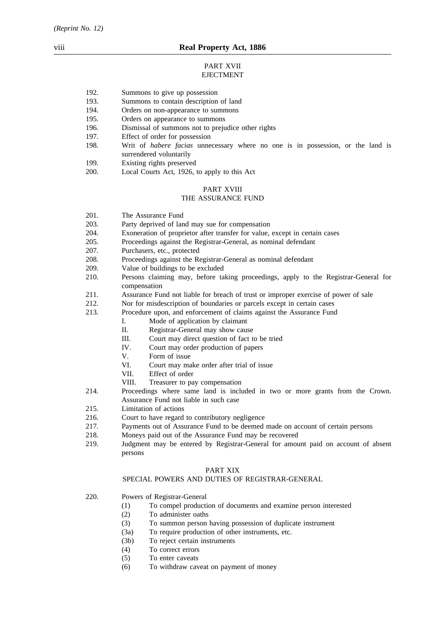### PART XVII EJECTMENT

- 192. Summons to give up possession
- 193. Summons to contain description of land
- 194. Orders on non-appearance to summons
- 195. Orders on appearance to summons
- 196. Dismissal of summons not to prejudice other rights
- 197. Effect of order for possession
- 198. Writ of *habere facias* unnecessary where no one is in possession, or the land is surrendered voluntarily
- 199. Existing rights preserved
- 200. Local Courts Act, 1926, to apply to this Act

### PART XVIII

## THE ASSURANCE FUND

- 201. The Assurance Fund
- 203. Party deprived of land may sue for compensation
- 204. Exoneration of proprietor after transfer for value, except in certain cases
- 205. Proceedings against the Registrar-General, as nominal defendant
- 207. Purchasers, etc., protected
- 208. Proceedings against the Registrar-General as nominal defendant
- 209. Value of buildings to be excluded
- 210. Persons claiming may, before taking proceedings, apply to the Registrar-General for compensation
- 211. Assurance Fund not liable for breach of trust or improper exercise of power of sale
- 212. Nor for misdescription of boundaries or parcels except in certain cases
- 213. Procedure upon, and enforcement of claims against the Assurance Fund
	- I. Mode of application by claimant
	- II. Registrar-General may show cause
	- III. Court may direct question of fact to be tried
	- IV. Court may order production of papers
	- V. Form of issue
	- VI. Court may make order after trial of issue
	- VII. Effect of order
	- VIII. Treasurer to pay compensation
- 214. Proceedings where same land is included in two or more grants from the Crown. Assurance Fund not liable in such case
- 215. Limitation of actions
- 216. Court to have regard to contributory negligence
- 217. Payments out of Assurance Fund to be deemed made on account of certain persons
- 218. Moneys paid out of the Assurance Fund may be recovered
- 219. Judgment may be entered by Registrar-General for amount paid on account of absent persons

### PART XIX

## SPECIAL POWERS AND DUTIES OF REGISTRAR-GENERAL

220. Powers of Registrar-General

- (1) To compel production of documents and examine person interested
- (2) To administer oaths
- (3) To summon person having possession of duplicate instrument
- (3a) To require production of other instruments, etc.
- (3b) To reject certain instruments
- (4) To correct errors
- (5) To enter caveats
- (6) To withdraw caveat on payment of money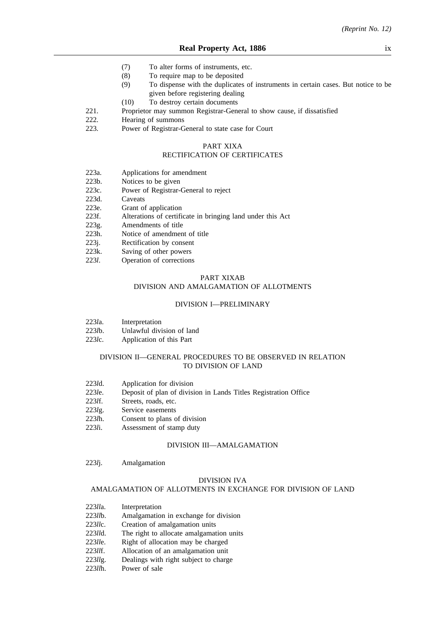- (7) To alter forms of instruments, etc.
- (8) To require map to be deposited
- (9) To dispense with the duplicates of instruments in certain cases. But notice to be given before registering dealing
- (10) To destroy certain documents
- 221. Proprietor may summon Registrar-General to show cause, if dissatisfied
- 222. Hearing of summons
- 223. Power of Registrar-General to state case for Court

### PART XIXA

### RECTIFICATION OF CERTIFICATES

- 223a. Applications for amendment
- 223b. Notices to be given
- 223c. Power of Registrar-General to reject
- 223d. Caveats
- 223e. Grant of application
- 223f. Alterations of certificate in bringing land under this Act<br>223e. Amendments of title
- Amendments of title
- 223h. Notice of amendment of title
- 223j. Rectification by consent
- 223k. Saving of other powers
- 223*l*. Operation of corrections

### PART XIXAB DIVISION AND AMALGAMATION OF ALLOTMENTS

### DIVISION I—PRELIMINARY

- 223*l*a. Interpretation
- 223*l*b. Unlawful division of land
- 223*l*c. Application of this Part

## DIVISION II—GENERAL PROCEDURES TO BE OBSERVED IN RELATION TO DIVISION OF LAND

- 223*l*d. Application for division
- 223*l*e. Deposit of plan of division in Lands Titles Registration Office
- 223*l*f. Streets, roads, etc.
- 223*l*g. Service easements
- 223*l*h. Consent to plans of division
- 223*l*i. Assessment of stamp duty

## DIVISION III—AMALGAMATION

223*l*j. Amalgamation

### DIVISION IVA

### AMALGAMATION OF ALLOTMENTS IN EXCHANGE FOR DIVISION OF LAND

- 223*ll*a. Interpretation
- 223*ll*b. Amalgamation in exchange for division
- 223*ll*c. Creation of amalgamation units
- 223*ll*d. The right to allocate amalgamation units
- 223*ll*e. Right of allocation may be charged
- 223*ll*f. Allocation of an amalgamation unit
- 223*ll*g. Dealings with right subject to charge
- 223*ll*h. Power of sale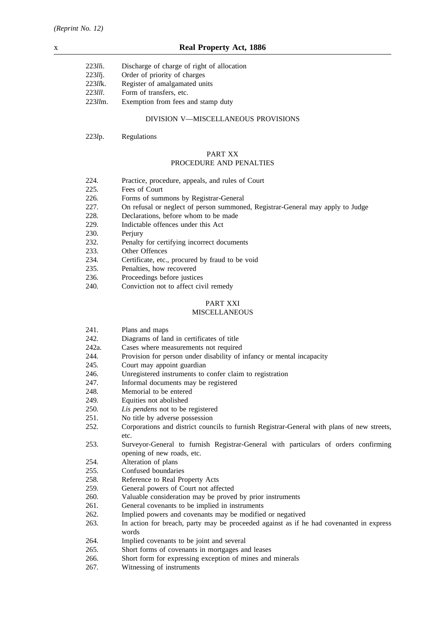| $223$ lli.       | Discharge of charge of right of allocation |
|------------------|--------------------------------------------|
| $223ll$ j.       | Order of priority of charges               |
| 223llk.          | Register of amalgamated units              |
| 223 <i>III</i> . | Form of transfers, etc.                    |
| $223$ llm.       | Exemption from fees and stamp duty         |
|                  |                                            |

### DIVISION V—MISCELLANEOUS PROVISIONS

| 223lp. | Regulations |
|--------|-------------|
|--------|-------------|

## PART XX PROCEDURE AND PENALTIES

| 224.      | Practice, procedure, appeals, and rules of Court                               |
|-----------|--------------------------------------------------------------------------------|
| 225.      | Fees of Court                                                                  |
| 226.      | Forms of summons by Registrar-General                                          |
| 227.      | On refusal or neglect of person summoned, Registrar-General may apply to Judge |
| 228.      | Declarations, before whom to be made                                           |
| 229.      | Indictable offences under this Act                                             |
| 230.      | Perjury                                                                        |
| 232.      | Penalty for certifying incorrect documents                                     |
| 233.      | Other Offences                                                                 |
| 234.      | Certificate, etc., procured by fraud to be void                                |
| 235.      | Penalties, how recovered                                                       |
| 236.      | Proceedings before justices                                                    |
| $\sim$ 10 |                                                                                |

240. Conviction not to affect civil remedy

## PART XXI

## MISCELLANEOUS

- 241. Plans and maps
- 242. Diagrams of land in certificates of title
- 242a. Cases where measurements not required
- 244. Provision for person under disability of infancy or mental incapacity
- 245. Court may appoint guardian
- 246. Unregistered instruments to confer claim to registration
- 247. Informal documents may be registered
- 248. Memorial to be entered
- 249. Equities not abolished
- 250. *Lis pendens* not to be registered
- 251. No title by adverse possession
- 252. Corporations and district councils to furnish Registrar-General with plans of new streets, etc.
- 253. Surveyor-General to furnish Registrar-General with particulars of orders confirming opening of new roads, etc.
- 254. Alteration of plans
- 255. Confused boundaries
- 258. Reference to Real Property Acts
- 259. General powers of Court not affected
- 260. Valuable consideration may be proved by prior instruments
- 261. General covenants to be implied in instruments
- 262. Implied powers and covenants may be modified or negatived
- 263. In action for breach, party may be proceeded against as if he had covenanted in express words
- 264. Implied covenants to be joint and several
- 265. Short forms of covenants in mortgages and leases
- 266. Short form for expressing exception of mines and minerals
- 267. Witnessing of instruments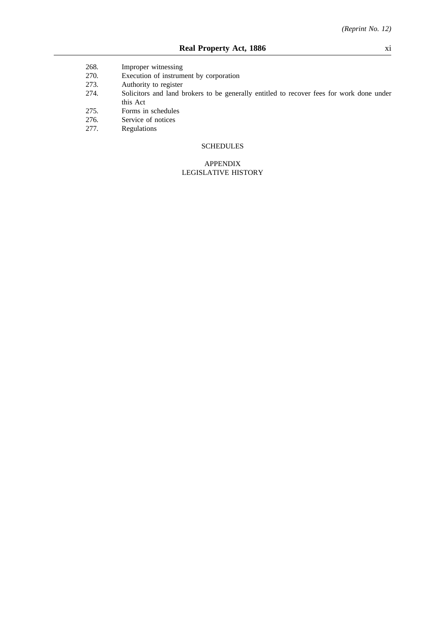- 268. Improper witnessing
- 270. Execution of instrument by corporation
- 273. Authority to register
- 274. Solicitors and land brokers to be generally entitled to recover fees for work done under this Act
- 275. Forms in schedules
- 276. Service of notices<br>277. Regulations
- Regulations

## **SCHEDULES**

### APPENDIX LEGISLATIVE HISTORY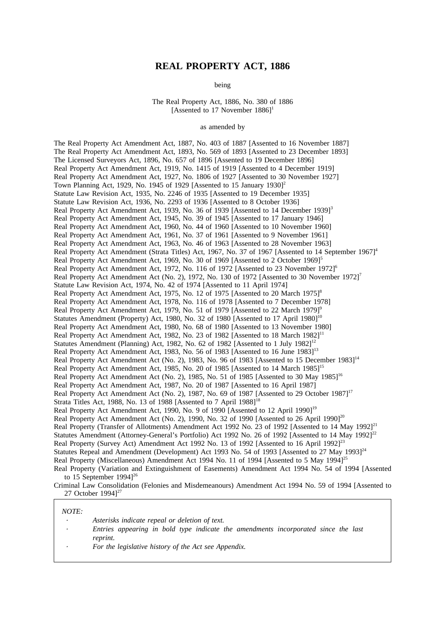## **REAL PROPERTY ACT, 1886**

being

The Real Property Act, 1886, No. 380 of 1886 [Assented to 17 November  $1886$ ]<sup>1</sup>

as amended by

The Real Property Act Amendment Act, 1887, No. 403 of 1887 [Assented to 16 November 1887] The Real Property Act Amendment Act, 1893, No. 569 of 1893 [Assented to 23 December 1893] The Licensed Surveyors Act, 1896, No. 657 of 1896 [Assented to 19 December 1896] Real Property Act Amendment Act, 1919, No. 1415 of 1919 [Assented to 4 December 1919] Real Property Act Amendment Act, 1927, No. 1806 of 1927 [Assented to 30 November 1927] Town Planning Act, 1929, No. 1945 of 1929 [Assented to 15 January 1930]<sup>2</sup> Statute Law Revision Act, 1935, No. 2246 of 1935 [Assented to 19 December 1935] Statute Law Revision Act, 1936, No. 2293 of 1936 [Assented to 8 October 1936] Real Property Act Amendment Act, 1939, No. 36 of 1939 [Assented to 14 December 1939]<sup>3</sup> Real Property Act Amendment Act, 1945, No. 39 of 1945 [Assented to 17 January 1946] Real Property Act Amendment Act, 1960, No. 44 of 1960 [Assented to 10 November 1960] Real Property Act Amendment Act, 1961, No. 37 of 1961 [Assented to 9 November 1961] Real Property Act Amendment Act, 1963, No. 46 of 1963 [Assented to 28 November 1963] Real Property Act Amendment (Strata Titles) Act, 1967, No. 37 of 1967 [Assented to 14 September 1967]<sup>4</sup> Real Property Act Amendment Act, 1969, No. 30 of 1969 [Assented to 2 October 1969]<sup>5</sup> Real Property Act Amendment Act, 1972, No. 116 of 1972 [Assented to 23 November 1972]<sup>6</sup> Real Property Act Amendment Act (No. 2), 1972, No. 130 of 1972 [Assented to 30 November 1972]<sup>7</sup> Statute Law Revision Act, 1974, No. 42 of 1974 [Assented to 11 April 1974] Real Property Act Amendment Act, 1975, No. 12 of 1975 [Assented to 20 March 1975]<sup>8</sup> Real Property Act Amendment Act, 1978, No. 116 of 1978 [Assented to 7 December 1978] Real Property Act Amendment Act, 1979, No. 51 of 1979 [Assented to 22 March 1979]<sup>9</sup> Statutes Amendment (Property) Act, 1980, No. 32 of 1980 [Assented to 17 April 1980]<sup>10</sup> Real Property Act Amendment Act, 1980, No. 68 of 1980 [Assented to 13 November 1980] Real Property Act Amendment Act, 1982, No. 23 of 1982 [Assented to 18 March 1982]<sup>11</sup> Statutes Amendment (Planning) Act, 1982, No. 62 of 1982 [Assented to 1 July 1982]<sup>12</sup> Real Property Act Amendment Act, 1983, No. 56 of 1983 [Assented to 16 June 1983]<sup>13</sup> Real Property Act Amendment Act (No. 2), 1983, No. 96 of 1983 [Assented to 15 December 1983]<sup>14</sup> Real Property Act Amendment Act, 1985, No. 20 of 1985 [Assented to 14 March 1985]<sup>15</sup> Real Property Act Amendment Act (No. 2), 1985, No. 51 of 1985 [Assented to 30 May 1985]<sup>16</sup> Real Property Act Amendment Act, 1987, No. 20 of 1987 [Assented to 16 April 1987] Real Property Act Amendment Act (No. 2), 1987, No. 69 of 1987 [Assented to 29 October 1987]<sup>17</sup> Strata Titles Act, 1988, No. 13 of 1988 [Assented to 7 April 1988]<sup>18</sup> Real Property Act Amendment Act, 1990, No. 9 of 1990 [Assented to 12 April 1990]<sup>19</sup> Real Property Act Amendment Act (No. 2), 1990, No. 32 of 1990 [Assented to 26 April 1990]<sup>20</sup> Real Property (Transfer of Allotments) Amendment Act 1992 No. 23 of 1992 [Assented to 14 May 1992]<sup>21</sup> Statutes Amendment (Attorney-General's Portfolio) Act 1992 No. 26 of 1992 [Assented to 14 May 1992]<sup>22</sup> Real Property (Survey Act) Amendment Act 1992 No. 13 of 1992 [Assented to 16 April 1992]<sup>23</sup> Statutes Repeal and Amendment (Development) Act 1993 No. 54 of 1993 [Assented to 27 May 1993]<sup>24</sup> Real Property (Miscellaneous) Amendment Act 1994 No. 11 of 1994 [Assented to 5 May 1994]<sup>25</sup> Real Property (Variation and Extinguishment of Easements) Amendment Act 1994 No. 54 of 1994 [Assented to 15 September 1994]<sup>26</sup>

Criminal Law Consolidation (Felonies and Misdemeanours) Amendment Act 1994 No. 59 of 1994 [Assented to 27 October 1994]<sup>27</sup>

*NOTE:*

- *Asterisks indicate repeal or deletion of text.*
- *Entries appearing in bold type indicate the amendments incorporated since the last reprint.*
- *For the legislative history of the Act see Appendix.*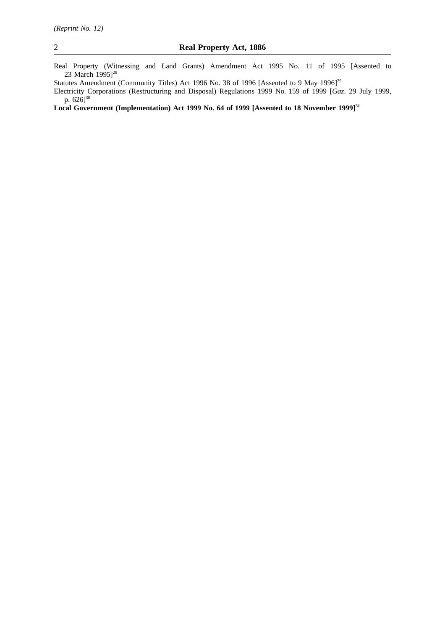- Real Property (Witnessing and Land Grants) Amendment Act 1995 No. 11 of 1995 [Assented to 23 March 1995]<sup>28</sup>
- Statutes Amendment (Community Titles) Act 1996 No. 38 of 1996 [Assented to 9 May 1996]<sup>29</sup>
- Electricity Corporations (Restructuring and Disposal) Regulations 1999 No. 159 of 1999 [*Gaz*. 29 July 1999, p.  $626]^{30}$

Local Government (Implementation) Act 1999 No. 64 of 1999 [Assented to 18 November 1999]<sup>31</sup>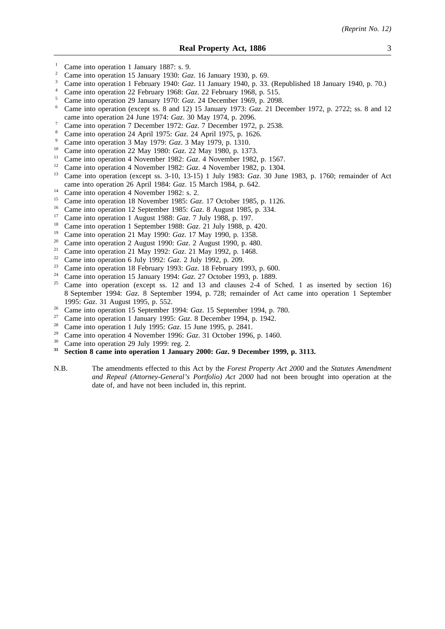- <sup>1</sup> Came into operation 1 January 1887: s. 9.
- <sup>2</sup> Came into operation 15 January 1930: *Gaz*. 16 January 1930, p. 69.<br><sup>3</sup> Came into operation 1 February 1940: *Gaz*. 11 January 1940, p. 33.
- <sup>3</sup> Came into operation 1 February 1940: *Gaz*. 11 January 1940, p. 33. (Republished 18 January 1940, p. 70.)
- <sup>4</sup> Came into operation 22 February 1968: *Gaz*. 22 February 1968, p. 515.
- <sup>5</sup> Came into operation 29 January 1970: *Gaz*. 24 December 1969, p. 2098.<br><sup>6</sup> Came into operation (except ss. 8 and 12) 15 January 1973: *Gaz*. 21 De
- <sup>6</sup> Came into operation (except ss. 8 and 12) 15 January 1973: *Gaz*. 21 December 1972, p. 2722; ss. 8 and 12 came into operation 24 June 1974: *Gaz*. 30 May 1974, p. 2096.
- <sup>7</sup> Came into operation 7 December 1972: *Gaz*. 7 December 1972, p. 2538.
- <sup>8</sup> Came into operation 24 April 1975: *Gaz*. 24 April 1975, p. 1626.
- <sup>9</sup> Came into operation 3 May 1979: *Gaz*. 3 May 1979, p. 1310.
- <sup>10</sup> Came into operation 22 May 1980: *Gaz*. 22 May 1980, p. 1373.
- <sup>11</sup> Came into operation 4 November 1982: *Gaz*. 4 November 1982, p. 1567.
- <sup>12</sup> Came into operation 4 November 1982: *Gaz*. 4 November 1982, p. 1304.<br><sup>13</sup> Came into operation (oxeant ss. <sup>2</sup>, 10, 13, 15), 1 July 1983: *Gaz*. <sup>20</sup> Juny
- <sup>13</sup> Came into operation (except ss. 3-10, 13-15) 1 July 1983: *Gaz*. 30 June 1983, p. 1760; remainder of Act came into operation 26 April 1984: *Gaz*. 15 March 1984, p. 642.
- <sup>14</sup> Came into operation 4 November 1982: s. 2.<br><sup>15</sup> Came into aparties 18 November 1985: Ca
- <sup>15</sup> Came into operation 18 November 1985: *Gaz*. 17 October 1985, p. 1126.<br><sup>16</sup> Came into approxima 12 September 1985: *Gaz*. 8 Avenuet 1985, p. 224.
- <sup>16</sup> Came into operation 1.2 September 1985: *Gaz*. 8 August 1985, p. 334.
- <sup>17</sup> Came into operation 1 August 1988: *Gaz*. 7 July 1988, p. 197.
- <sup>18</sup> Came into operation 1 September 1988: *Gaz*. 21 July 1988, p. 420.
- <sup>19</sup> Came into operation 21 May 1990: *Gaz*. 17 May 1990, p. 1358.
- <sup>20</sup> Came into operation 2 August 1990: *Gaz*. 2 August 1990, p. 480.
- <sup>21</sup> Came into operation 21 May 1992: *Gaz*. 21 May 1992, p. 1468.<br><sup>22</sup> Came into operation 6 July 1992: *Gaz*. 2 July 1992, p. 209
- <sup>22</sup> Came into operation 6 July 1992: *Gaz*. 2 July 1992, p. 209.
- <sup>23</sup> Came into operation 18 February 1993: *Gaz*. 18 February 1993, p. 600.
- <sup>24</sup> Came into operation 15 January 1994: *Gaz*. 27 October 1993, p. 1889.
- <sup>25</sup> Came into operation (except ss. 12 and 13 and clauses  $2-4$  of Sched. 1 as inserted by section 16) 8 September 1994: *Gaz*. 8 September 1994, p. 728; remainder of Act came into operation 1 September 1995: *Gaz*. 31 August 1995, p. 552.
- <sup>26</sup> Came into operation 15 September 1994: *Gaz*. 15 September 1994, p. 780.
- <sup>27</sup> Came into operation 1 January 1995: *Gaz*. 8 December 1994, p. 1942.
- <sup>28</sup> Came into operation 1 July 1995: *Gaz*. 15 June 1995, p. 2841.
- <sup>29</sup> Came into operation 4 November 1996: *Gaz*. 31 October 1996, p. 1460.
- $\frac{30}{11}$  Came into operation 29 July 1999: reg. 2.<br> $\frac{31}{11}$  Section 8 came into operation 1 January

### **<sup>31</sup> Section 8 came into operation 1 January 2000:** *Gaz***. 9 December 1999, p. 3113.**

N.B. The amendments effected to this Act by the *Forest Property Act 2000* and the *Statutes Amendment and Repeal (Attorney-General's Portfolio) Act 2000* had not been brought into operation at the date of, and have not been included in, this reprint.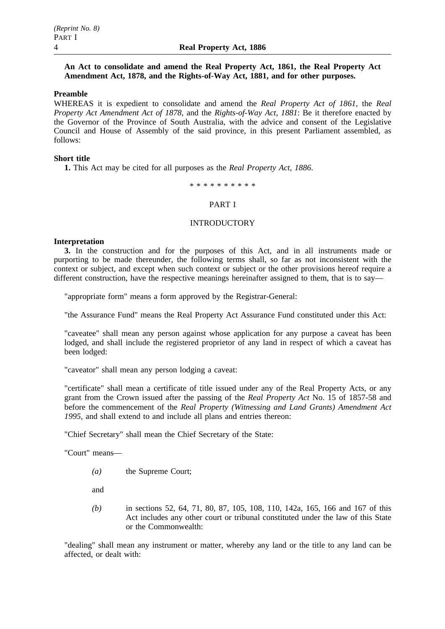## **An Act to consolidate and amend the Real Property Act, 1861, the Real Property Act Amendment Act, 1878, and the Rights-of-Way Act, 1881, and for other purposes.**

### **Preamble**

WHEREAS it is expedient to consolidate and amend the *Real Property Act of 1861*, the *Real Property Act Amendment Act of 1878*, and the *Rights-of-Way Act, 1881*: Be it therefore enacted by the Governor of the Province of South Australia, with the advice and consent of the Legislative Council and House of Assembly of the said province, in this present Parliament assembled, as follows:

### **Short title**

**1.** This Act may be cited for all purposes as the *Real Property Act, 1886*.

\*\*\*\*\*\*\*\*\*\*

### PART I

### INTRODUCTORY

### **Interpretation**

**3.** In the construction and for the purposes of this Act, and in all instruments made or purporting to be made thereunder, the following terms shall, so far as not inconsistent with the context or subject, and except when such context or subject or the other provisions hereof require a different construction, have the respective meanings hereinafter assigned to them, that is to say—

"appropriate form" means a form approved by the Registrar-General:

"the Assurance Fund" means the Real Property Act Assurance Fund constituted under this Act:

"caveatee" shall mean any person against whose application for any purpose a caveat has been lodged, and shall include the registered proprietor of any land in respect of which a caveat has been lodged:

"caveator" shall mean any person lodging a caveat:

"certificate" shall mean a certificate of title issued under any of the Real Property Acts, or any grant from the Crown issued after the passing of the *Real Property Act* No. 15 of 1857-58 and before the commencement of the *Real Property (Witnessing and Land Grants) Amendment Act 1995*, and shall extend to and include all plans and entries thereon:

"Chief Secretary" shall mean the Chief Secretary of the State:

"Court" means—

*(a)* the Supreme Court;

and

*(b)* in sections 52, 64, 71, 80, 87, 105, 108, 110, 142a, 165, 166 and 167 of this Act includes any other court or tribunal constituted under the law of this State or the Commonwealth:

"dealing" shall mean any instrument or matter, whereby any land or the title to any land can be affected, or dealt with: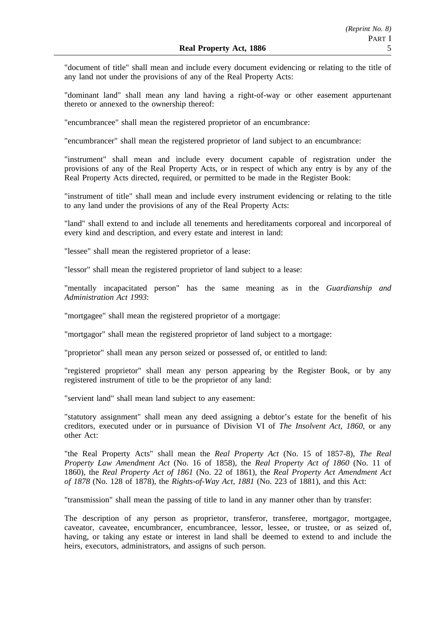"document of title" shall mean and include every document evidencing or relating to the title of any land not under the provisions of any of the Real Property Acts:

"dominant land" shall mean any land having a right-of-way or other easement appurtenant thereto or annexed to the ownership thereof:

"encumbrancee" shall mean the registered proprietor of an encumbrance:

"encumbrancer" shall mean the registered proprietor of land subject to an encumbrance:

"instrument" shall mean and include every document capable of registration under the provisions of any of the Real Property Acts, or in respect of which any entry is by any of the Real Property Acts directed, required, or permitted to be made in the Register Book:

"instrument of title" shall mean and include every instrument evidencing or relating to the title to any land under the provisions of any of the Real Property Acts:

"land" shall extend to and include all tenements and hereditaments corporeal and incorporeal of every kind and description, and every estate and interest in land:

"lessee" shall mean the registered proprietor of a lease:

"lessor" shall mean the registered proprietor of land subject to a lease:

"mentally incapacitated person" has the same meaning as in the *Guardianship and Administration Act 1993*:

"mortgagee" shall mean the registered proprietor of a mortgage:

"mortgagor" shall mean the registered proprietor of land subject to a mortgage:

"proprietor" shall mean any person seized or possessed of, or entitled to land:

"registered proprietor" shall mean any person appearing by the Register Book, or by any registered instrument of title to be the proprietor of any land:

"servient land" shall mean land subject to any easement:

"statutory assignment" shall mean any deed assigning a debtor's estate for the benefit of his creditors, executed under or in pursuance of Division VI of *The Insolvent Act, 1860*, or any other Act:

"the Real Property Acts" shall mean the *Real Property Act* (No. 15 of 1857-8), *The Real Property Law Amendment Act* (No. 16 of 1858), the *Real Property Act of 1860* (No. 11 of 1860), the *Real Property Act of 1861* (No. 22 of 1861), the *Real Property Act Amendment Act of 1878* (No. 128 of 1878), the *Rights-of-Way Act, 1881* (No. 223 of 1881), and this Act:

"transmission" shall mean the passing of title to land in any manner other than by transfer:

The description of any person as proprietor, transferor, transferee, mortgagor, mortgagee, caveator, caveatee, encumbrancer, encumbrancee, lessor, lessee, or trustee, or as seized of, having, or taking any estate or interest in land shall be deemed to extend to and include the heirs, executors, administrators, and assigns of such person.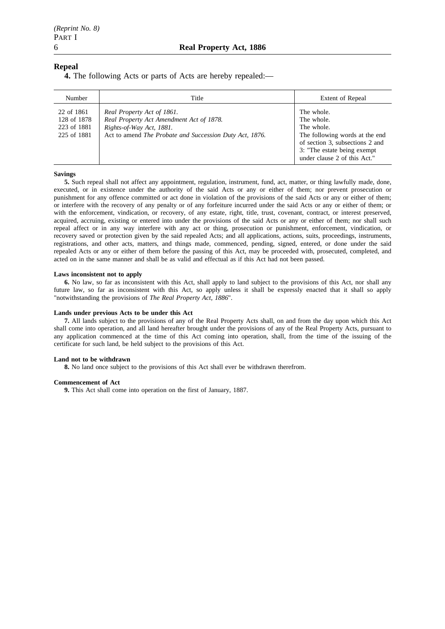### **Repeal**

**4.** The following Acts or parts of Acts are hereby repealed:—

| Number                                                  | Title                                                                                                                                                                 | Extent of Repeal                                                                                                                                                           |
|---------------------------------------------------------|-----------------------------------------------------------------------------------------------------------------------------------------------------------------------|----------------------------------------------------------------------------------------------------------------------------------------------------------------------------|
| 22 of 1861<br>128 of 1878<br>223 of 1881<br>225 of 1881 | Real Property Act of 1861.<br>Real Property Act Amendment Act of 1878.<br>Rights-of-Way Act, 1881.<br>Act to amend <i>The Probate and Succession Duty Act, 1876</i> . | The whole.<br>The whole.<br>The whole.<br>The following words at the end<br>of section 3, subsections 2 and<br>3: "The estate being exempt<br>under clause 2 of this Act." |

#### **Savings**

**5.** Such repeal shall not affect any appointment, regulation, instrument, fund, act, matter, or thing lawfully made, done, executed, or in existence under the authority of the said Acts or any or either of them; nor prevent prosecution or punishment for any offence committed or act done in violation of the provisions of the said Acts or any or either of them; or interfere with the recovery of any penalty or of any forfeiture incurred under the said Acts or any or either of them; or with the enforcement, vindication, or recovery, of any estate, right, title, trust, covenant, contract, or interest preserved, acquired, accruing, existing or entered into under the provisions of the said Acts or any or either of them; nor shall such repeal affect or in any way interfere with any act or thing, prosecution or punishment, enforcement, vindication, or recovery saved or protection given by the said repealed Acts; and all applications, actions, suits, proceedings, instruments, registrations, and other acts, matters, and things made, commenced, pending, signed, entered, or done under the said repealed Acts or any or either of them before the passing of this Act, may be proceeded with, prosecuted, completed, and acted on in the same manner and shall be as valid and effectual as if this Act had not been passed.

### **Laws inconsistent not to apply**

**6.** No law, so far as inconsistent with this Act, shall apply to land subject to the provisions of this Act, nor shall any future law, so far as inconsistent with this Act, so apply unless it shall be expressly enacted that it shall so apply "notwithstanding the provisions of *The Real Property Act, 1886*".

#### **Lands under previous Acts to be under this Act**

**7.** All lands subject to the provisions of any of the Real Property Acts shall, on and from the day upon which this Act shall come into operation, and all land hereafter brought under the provisions of any of the Real Property Acts, pursuant to any application commenced at the time of this Act coming into operation, shall, from the time of the issuing of the certificate for such land, be held subject to the provisions of this Act.

#### **Land not to be withdrawn**

**8.** No land once subject to the provisions of this Act shall ever be withdrawn therefrom.

#### **Commencement of Act**

**9.** This Act shall come into operation on the first of January, 1887.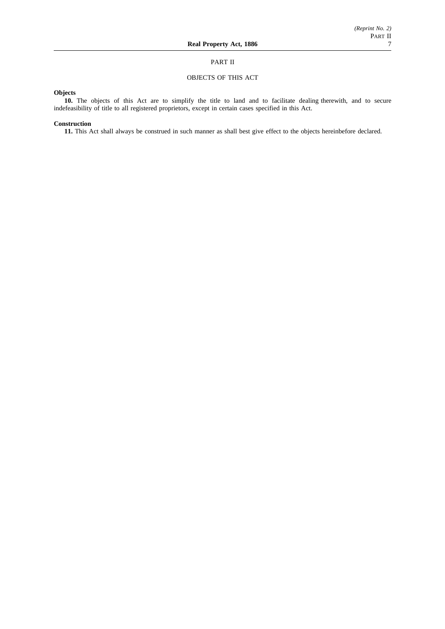### PART II

### OBJECTS OF THIS ACT

## **Objects**

**10.** The objects of this Act are to simplify the title to land and to facilitate dealing therewith, and to secure indefeasibility of title to all registered proprietors, except in certain cases specified in this Act.

### **Construction**

**11.** This Act shall always be construed in such manner as shall best give effect to the objects hereinbefore declared.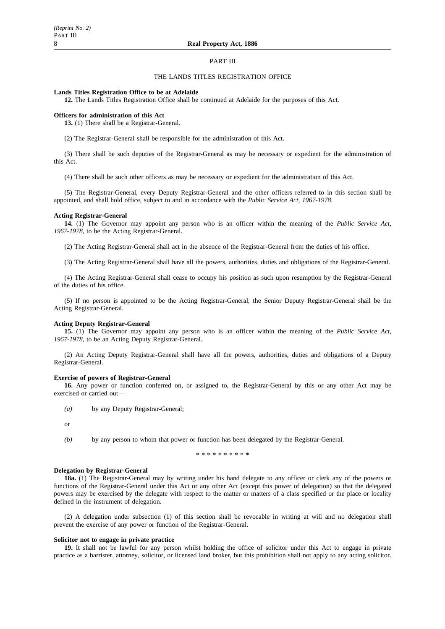### 8 **Real Property Act, 1886**

#### PART III

#### THE LANDS TITLES REGISTRATION OFFICE

#### **Lands Titles Registration Office to be at Adelaide**

**12.** The Lands Titles Registration Office shall be continued at Adelaide for the purposes of this Act.

#### **Officers for administration of this Act**

**13.** (1) There shall be a Registrar-General.

(2) The Registrar-General shall be responsible for the administration of this Act.

(3) There shall be such deputies of the Registrar-General as may be necessary or expedient for the administration of this Act.

(4) There shall be such other officers as may be necessary or expedient for the administration of this Act.

(5) The Registrar-General, every Deputy Registrar-General and the other officers referred to in this section shall be appointed, and shall hold office, subject to and in accordance with the *Public Service Act, 1967-1978*.

#### **Acting Registrar-General**

**14.** (1) The Governor may appoint any person who is an officer within the meaning of the *Public Service Act, 1967-1978*, to be the Acting Registrar-General.

(2) The Acting Registrar-General shall act in the absence of the Registrar-General from the duties of his office.

(3) The Acting Registrar-General shall have all the powers, authorities, duties and obligations of the Registrar-General.

(4) The Acting Registrar-General shall cease to occupy his position as such upon resumption by the Registrar-General of the duties of his office.

(5) If no person is appointed to be the Acting Registrar-General, the Senior Deputy Registrar-General shall be the Acting Registrar-General.

#### **Acting Deputy Registrar-General**

**15.** (1) The Governor may appoint any person who is an officer within the meaning of the *Public Service Act, 1967-1978*, to be an Acting Deputy Registrar-General.

(2) An Acting Deputy Registrar-General shall have all the powers, authorities, duties and obligations of a Deputy Registrar-General.

#### **Exercise of powers of Registrar-General**

**16.** Any power or function conferred on, or assigned to, the Registrar-General by this or any other Act may be exercised or carried out—

*(a)* by any Deputy Registrar-General;

or

*(b)* by any person to whom that power or function has been delegated by the Registrar-General.

\*\*\*\*\*\*\*\*

#### **Delegation by Registrar-General**

**18a.** (1) The Registrar-General may by writing under his hand delegate to any officer or clerk any of the powers or functions of the Registrar-General under this Act or any other Act (except this power of delegation) so that the delegated powers may be exercised by the delegate with respect to the matter or matters of a class specified or the place or locality defined in the instrument of delegation.

(2) A delegation under subsection (1) of this section shall be revocable in writing at will and no delegation shall prevent the exercise of any power or function of the Registrar-General.

#### **Solicitor not to engage in private practice**

**19.** It shall not be lawful for any person whilst holding the office of solicitor under this Act to engage in private practice as a barrister, attorney, solicitor, or licensed land broker, but this prohibition shall not apply to any acting solicitor.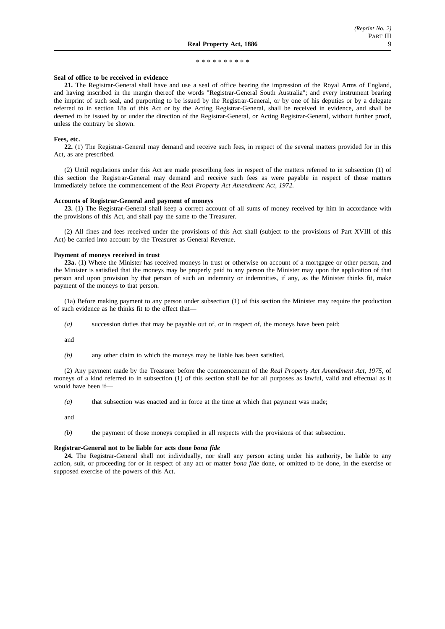#### \*\*\*\*\*\*\*\*\*\*

### **Seal of office to be received in evidence**

**21.** The Registrar-General shall have and use a seal of office bearing the impression of the Royal Arms of England, and having inscribed in the margin thereof the words "Registrar-General South Australia"; and every instrument bearing the imprint of such seal, and purporting to be issued by the Registrar-General, or by one of his deputies or by a delegate referred to in section 18a of this Act or by the Acting Registrar-General, shall be received in evidence, and shall be deemed to be issued by or under the direction of the Registrar-General, or Acting Registrar-General, without further proof, unless the contrary be shown.

#### **Fees, etc.**

**22.** (1) The Registrar-General may demand and receive such fees, in respect of the several matters provided for in this Act, as are prescribed.

(2) Until regulations under this Act are made prescribing fees in respect of the matters referred to in subsection (1) of this section the Registrar-General may demand and receive such fees as were payable in respect of those matters immediately before the commencement of the *Real Property Act Amendment Act, 1972*.

#### **Accounts of Registrar-General and payment of moneys**

**23.** (1) The Registrar-General shall keep a correct account of all sums of money received by him in accordance with the provisions of this Act, and shall pay the same to the Treasurer.

(2) All fines and fees received under the provisions of this Act shall (subject to the provisions of Part XVIII of this Act) be carried into account by the Treasurer as General Revenue.

#### **Payment of moneys received in trust**

**23a.** (1) Where the Minister has received moneys in trust or otherwise on account of a mortgagee or other person, and the Minister is satisfied that the moneys may be properly paid to any person the Minister may upon the application of that person and upon provision by that person of such an indemnity or indemnities, if any, as the Minister thinks fit, make payment of the moneys to that person.

(1a) Before making payment to any person under subsection (1) of this section the Minister may require the production of such evidence as he thinks fit to the effect that—

*(a)* succession duties that may be payable out of, or in respect of, the moneys have been paid;

and

*(b)* any other claim to which the moneys may be liable has been satisfied.

(2) Any payment made by the Treasurer before the commencement of the *Real Property Act Amendment Act, 1975*, of moneys of a kind referred to in subsection (1) of this section shall be for all purposes as lawful, valid and effectual as it would have been if—

*(a)* that subsection was enacted and in force at the time at which that payment was made;

and

*(b)* the payment of those moneys complied in all respects with the provisions of that subsection.

#### **Registrar-General not to be liable for acts done** *bona fide*

**24.** The Registrar-General shall not individually, nor shall any person acting under his authority, be liable to any action, suit, or proceeding for or in respect of any act or matter *bona fide* done, or omitted to be done, in the exercise or supposed exercise of the powers of this Act.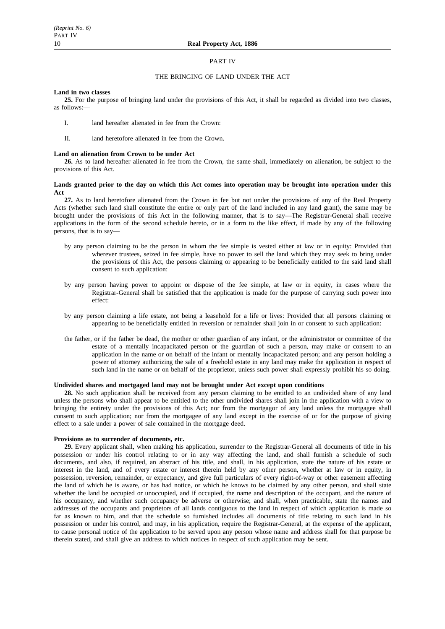#### PART IV

### THE BRINGING OF LAND UNDER THE ACT

#### **Land in two classes**

**25.** For the purpose of bringing land under the provisions of this Act, it shall be regarded as divided into two classes, as follows:—

- I. land hereafter alienated in fee from the Crown:
- II. land heretofore alienated in fee from the Crown.

#### **Land on alienation from Crown to be under Act**

**26.** As to land hereafter alienated in fee from the Crown, the same shall, immediately on alienation, be subject to the provisions of this Act.

#### **Lands granted prior to the day on which this Act comes into operation may be brought into operation under this Act**

**27.** As to land heretofore alienated from the Crown in fee but not under the provisions of any of the Real Property Acts (whether such land shall constitute the entire or only part of the land included in any land grant), the same may be brought under the provisions of this Act in the following manner, that is to say—The Registrar-General shall receive applications in the form of the second schedule hereto, or in a form to the like effect, if made by any of the following persons, that is to say—

- by any person claiming to be the person in whom the fee simple is vested either at law or in equity: Provided that wherever trustees, seized in fee simple, have no power to sell the land which they may seek to bring under the provisions of this Act, the persons claiming or appearing to be beneficially entitled to the said land shall consent to such application:
- by any person having power to appoint or dispose of the fee simple, at law or in equity, in cases where the Registrar-General shall be satisfied that the application is made for the purpose of carrying such power into effect:
- by any person claiming a life estate, not being a leasehold for a life or lives: Provided that all persons claiming or appearing to be beneficially entitled in reversion or remainder shall join in or consent to such application:
- the father, or if the father be dead, the mother or other guardian of any infant, or the administrator or committee of the estate of a mentally incapacitated person or the guardian of such a person, may make or consent to an application in the name or on behalf of the infant or mentally incapacitated person; and any person holding a power of attorney authorizing the sale of a freehold estate in any land may make the application in respect of such land in the name or on behalf of the proprietor, unless such power shall expressly prohibit his so doing.

#### **Undivided shares and mortgaged land may not be brought under Act except upon conditions**

**28.** No such application shall be received from any person claiming to be entitled to an undivided share of any land unless the persons who shall appear to be entitled to the other undivided shares shall join in the application with a view to bringing the entirety under the provisions of this Act; nor from the mortgagor of any land unless the mortgagee shall consent to such application; nor from the mortgagee of any land except in the exercise of or for the purpose of giving effect to a sale under a power of sale contained in the mortgage deed.

#### **Provisions as to surrender of documents, etc.**

**29.** Every applicant shall, when making his application, surrender to the Registrar-General all documents of title in his possession or under his control relating to or in any way affecting the land, and shall furnish a schedule of such documents, and also, if required, an abstract of his title, and shall, in his application, state the nature of his estate or interest in the land, and of every estate or interest therein held by any other person, whether at law or in equity, in possession, reversion, remainder, or expectancy, and give full particulars of every right-of-way or other easement affecting the land of which he is aware, or has had notice, or which he knows to be claimed by any other person, and shall state whether the land be occupied or unoccupied, and if occupied, the name and description of the occupant, and the nature of his occupancy, and whether such occupancy be adverse or otherwise; and shall, when practicable, state the names and addresses of the occupants and proprietors of all lands contiguous to the land in respect of which application is made so far as known to him, and that the schedule so furnished includes all documents of title relating to such land in his possession or under his control, and may, in his application, require the Registrar-General, at the expense of the applicant, to cause personal notice of the application to be served upon any person whose name and address shall for that purpose be therein stated, and shall give an address to which notices in respect of such application may be sent.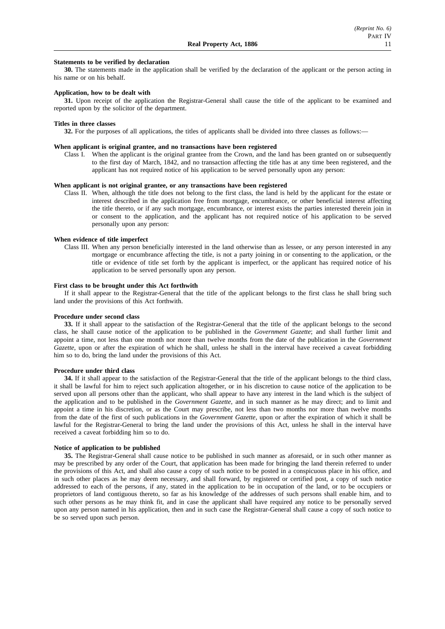#### **Statements to be verified by declaration**

**30.** The statements made in the application shall be verified by the declaration of the applicant or the person acting in his name or on his behalf.

#### **Application, how to be dealt with**

**31.** Upon receipt of the application the Registrar-General shall cause the title of the applicant to be examined and reported upon by the solicitor of the department.

#### **Titles in three classes**

**32.** For the purposes of all applications, the titles of applicants shall be divided into three classes as follows:—

#### **When applicant is original grantee, and no transactions have been registered**

Class I. When the applicant is the original grantee from the Crown, and the land has been granted on or subsequently to the first day of March, 1842, and no transaction affecting the title has at any time been registered, and the applicant has not required notice of his application to be served personally upon any person:

#### **When applicant is not original grantee, or any transactions have been registered**

Class II. When, although the title does not belong to the first class, the land is held by the applicant for the estate or interest described in the application free from mortgage, encumbrance, or other beneficial interest affecting the title thereto, or if any such mortgage, encumbrance, or interest exists the parties interested therein join in or consent to the application, and the applicant has not required notice of his application to be served personally upon any person:

#### **When evidence of title imperfect**

Class III. When any person beneficially interested in the land otherwise than as lessee, or any person interested in any mortgage or encumbrance affecting the title, is not a party joining in or consenting to the application, or the title or evidence of title set forth by the applicant is imperfect, or the applicant has required notice of his application to be served personally upon any person.

#### **First class to be brought under this Act forthwith**

If it shall appear to the Registrar-General that the title of the applicant belongs to the first class he shall bring such land under the provisions of this Act forthwith.

#### **Procedure under second class**

**33.** If it shall appear to the satisfaction of the Registrar-General that the title of the applicant belongs to the second class, he shall cause notice of the application to be published in the *Government Gazette*; and shall further limit and appoint a time, not less than one month nor more than twelve months from the date of the publication in the *Government Gazette*, upon or after the expiration of which he shall, unless he shall in the interval have received a caveat forbidding him so to do, bring the land under the provisions of this Act.

#### **Procedure under third class**

**34.** If it shall appear to the satisfaction of the Registrar-General that the title of the applicant belongs to the third class, it shall be lawful for him to reject such application altogether, or in his discretion to cause notice of the application to be served upon all persons other than the applicant, who shall appear to have any interest in the land which is the subject of the application and to be published in the *Government Gazette*, and in such manner as he may direct; and to limit and appoint a time in his discretion, or as the Court may prescribe, not less than two months nor more than twelve months from the date of the first of such publications in the *Government Gazette*, upon or after the expiration of which it shall be lawful for the Registrar-General to bring the land under the provisions of this Act, unless he shall in the interval have received a caveat forbidding him so to do.

#### **Notice of application to be published**

**35.** The Registrar-General shall cause notice to be published in such manner as aforesaid, or in such other manner as may be prescribed by any order of the Court, that application has been made for bringing the land therein referred to under the provisions of this Act, and shall also cause a copy of such notice to be posted in a conspicuous place in his office, and in such other places as he may deem necessary, and shall forward, by registered or certified post, a copy of such notice addressed to each of the persons, if any, stated in the application to be in occupation of the land, or to be occupiers or proprietors of land contiguous thereto, so far as his knowledge of the addresses of such persons shall enable him, and to such other persons as he may think fit, and in case the applicant shall have required any notice to be personally served upon any person named in his application, then and in such case the Registrar-General shall cause a copy of such notice to be so served upon such person.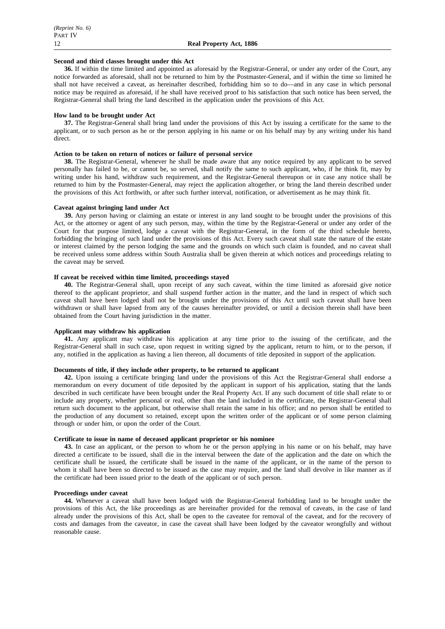### **Second and third classes brought under this Act**

**36.** If within the time limited and appointed as aforesaid by the Registrar-General, or under any order of the Court, any notice forwarded as aforesaid, shall not be returned to him by the Postmaster-General, and if within the time so limited he shall not have received a caveat, as hereinafter described, forbidding him so to do—and in any case in which personal notice may be required as aforesaid, if he shall have received proof to his satisfaction that such notice has been served, the Registrar-General shall bring the land described in the application under the provisions of this Act.

#### **How land to be brought under Act**

**37.** The Registrar-General shall bring land under the provisions of this Act by issuing a certificate for the same to the applicant, or to such person as he or the person applying in his name or on his behalf may by any writing under his hand direct.

#### **Action to be taken on return of notices or failure of personal service**

**38.** The Registrar-General, whenever he shall be made aware that any notice required by any applicant to be served personally has failed to be, or cannot be, so served, shall notify the same to such applicant, who, if he think fit, may by writing under his hand, withdraw such requirement, and the Registrar-General thereupon or in case any notice shall be returned to him by the Postmaster-General, may reject the application altogether, or bring the land therein described under the provisions of this Act forthwith, or after such further interval, notification, or advertisement as he may think fit.

### **Caveat against bringing land under Act**

**39.** Any person having or claiming an estate or interest in any land sought to be brought under the provisions of this Act, or the attorney or agent of any such person, may, within the time by the Registrar-General or under any order of the Court for that purpose limited, lodge a caveat with the Registrar-General, in the form of the third schedule hereto, forbidding the bringing of such land under the provisions of this Act. Every such caveat shall state the nature of the estate or interest claimed by the person lodging the same and the grounds on which such claim is founded, and no caveat shall be received unless some address within South Australia shall be given therein at which notices and proceedings relating to the caveat may be served.

### **If caveat be received within time limited, proceedings stayed**

**40.** The Registrar-General shall, upon receipt of any such caveat, within the time limited as aforesaid give notice thereof to the applicant proprietor, and shall suspend further action in the matter, and the land in respect of which such caveat shall have been lodged shall not be brought under the provisions of this Act until such caveat shall have been withdrawn or shall have lapsed from any of the causes hereinafter provided, or until a decision therein shall have been obtained from the Court having jurisdiction in the matter.

#### **Applicant may withdraw his application**

**41.** Any applicant may withdraw his application at any time prior to the issuing of the certificate, and the Registrar-General shall in such case, upon request in writing signed by the applicant, return to him, or to the person, if any, notified in the application as having a lien thereon, all documents of title deposited in support of the application.

#### **Documents of title, if they include other property, to be returned to applicant**

**42.** Upon issuing a certificate bringing land under the provisions of this Act the Registrar-General shall endorse a memorandum on every document of title deposited by the applicant in support of his application, stating that the lands described in such certificate have been brought under the Real Property Act. If any such document of title shall relate to or include any property, whether personal or real, other than the land included in the certificate, the Registrar-General shall return such document to the applicant, but otherwise shall retain the same in his office; and no person shall be entitled to the production of any document so retained, except upon the written order of the applicant or of some person claiming through or under him, or upon the order of the Court.

#### **Certificate to issue in name of deceased applicant proprietor or his nominee**

**43.** In case an applicant, or the person to whom he or the person applying in his name or on his behalf, may have directed a certificate to be issued, shall die in the interval between the date of the application and the date on which the certificate shall be issued, the certificate shall be issued in the name of the applicant, or in the name of the person to whom it shall have been so directed to be issued as the case may require, and the land shall devolve in like manner as if the certificate had been issued prior to the death of the applicant or of such person.

#### **Proceedings under caveat**

**44.** Whenever a caveat shall have been lodged with the Registrar-General forbidding land to be brought under the provisions of this Act, the like proceedings as are hereinafter provided for the removal of caveats, in the case of land already under the provisions of this Act, shall be open to the caveatee for removal of the caveat, and for the recovery of costs and damages from the caveator, in case the caveat shall have been lodged by the caveator wrongfully and without reasonable cause.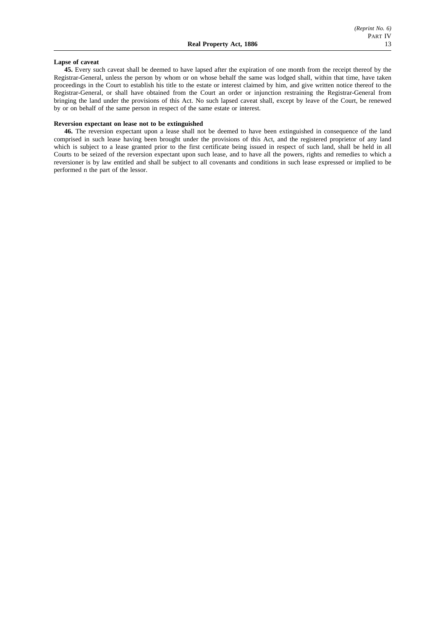#### **Lapse of caveat**

**45.** Every such caveat shall be deemed to have lapsed after the expiration of one month from the receipt thereof by the Registrar-General, unless the person by whom or on whose behalf the same was lodged shall, within that time, have taken proceedings in the Court to establish his title to the estate or interest claimed by him, and give written notice thereof to the Registrar-General, or shall have obtained from the Court an order or injunction restraining the Registrar-General from bringing the land under the provisions of this Act. No such lapsed caveat shall, except by leave of the Court, be renewed by or on behalf of the same person in respect of the same estate or interest.

#### **Reversion expectant on lease not to be extinguished**

**46.** The reversion expectant upon a lease shall not be deemed to have been extinguished in consequence of the land comprised in such lease having been brought under the provisions of this Act, and the registered proprietor of any land which is subject to a lease granted prior to the first certificate being issued in respect of such land, shall be held in all Courts to be seized of the reversion expectant upon such lease, and to have all the powers, rights and remedies to which a reversioner is by law entitled and shall be subject to all covenants and conditions in such lease expressed or implied to be performed n the part of the lessor.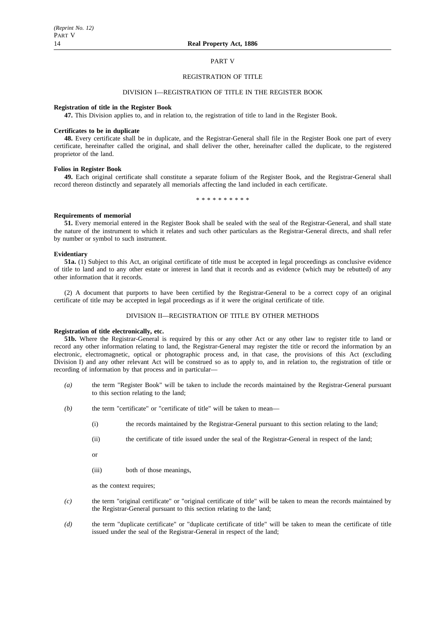#### PART V

#### REGISTRATION OF TITLE

#### DIVISION I—REGISTRATION OF TITLE IN THE REGISTER BOOK

#### **Registration of title in the Register Book**

**47.** This Division applies to, and in relation to, the registration of title to land in the Register Book.

#### **Certificates to be in duplicate**

**48.** Every certificate shall be in duplicate, and the Registrar-General shall file in the Register Book one part of every certificate, hereinafter called the original, and shall deliver the other, hereinafter called the duplicate, to the registered proprietor of the land.

#### **Folios in Register Book**

**49.** Each original certificate shall constitute a separate folium of the Register Book, and the Registrar-General shall record thereon distinctly and separately all memorials affecting the land included in each certificate.

\*\*\*\*\*\*\*\*\*\*

#### **Requirements of memorial**

**51.** Every memorial entered in the Register Book shall be sealed with the seal of the Registrar-General, and shall state the nature of the instrument to which it relates and such other particulars as the Registrar-General directs, and shall refer by number or symbol to such instrument.

#### **Evidentiary**

**51a.** (1) Subject to this Act, an original certificate of title must be accepted in legal proceedings as conclusive evidence of title to land and to any other estate or interest in land that it records and as evidence (which may be rebutted) of any other information that it records.

(2) A document that purports to have been certified by the Registrar-General to be a correct copy of an original certificate of title may be accepted in legal proceedings as if it were the original certificate of title.

#### DIVISION II—REGISTRATION OF TITLE BY OTHER METHODS

#### **Registration of title electronically, etc.**

**51b.** Where the Registrar-General is required by this or any other Act or any other law to register title to land or record any other information relating to land, the Registrar-General may register the title or record the information by an electronic, electromagnetic, optical or photographic process and, in that case, the provisions of this Act (excluding Division I) and any other relevant Act will be construed so as to apply to, and in relation to, the registration of title or recording of information by that process and in particular—

- *(a)* the term "Register Book" will be taken to include the records maintained by the Registrar-General pursuant to this section relating to the land;
- *(b)* the term "certificate" or "certificate of title" will be taken to mean—
	- (i) the records maintained by the Registrar-General pursuant to this section relating to the land;
	- (ii) the certificate of title issued under the seal of the Registrar-General in respect of the land;
	- or
	- (iii) both of those meanings,

as the context requires;

- *(c)* the term "original certificate" or "original certificate of title" will be taken to mean the records maintained by the Registrar-General pursuant to this section relating to the land;
- *(d)* the term "duplicate certificate" or "duplicate certificate of title" will be taken to mean the certificate of title issued under the seal of the Registrar-General in respect of the land;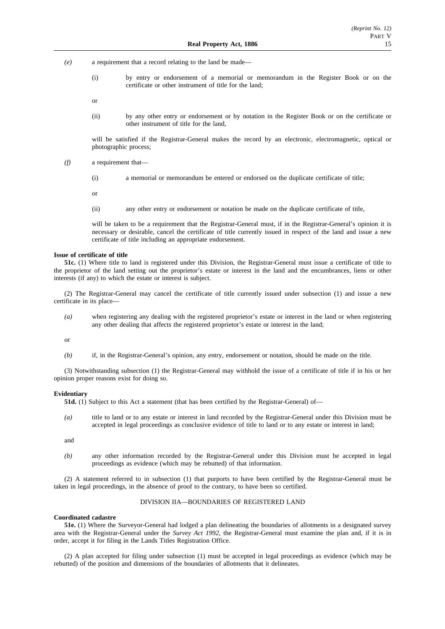*(e)* a requirement that a record relating to the land be made—

(i) by entry or endorsement of a memorial or memorandum in the Register Book or on the certificate or other instrument of title for the land;

or

(ii) by any other entry or endorsement or by notation in the Register Book or on the certificate or other instrument of title for the land,

will be satisfied if the Registrar-General makes the record by an electronic, electromagnetic, optical or photographic process;

- *(f)* a requirement that—
	- (i) a memorial or memorandum be entered or endorsed on the duplicate certificate of title;

or

(ii) any other entry or endorsement or notation be made on the duplicate certificate of title,

will be taken to be a requirement that the Registrar-General must, if in the Registrar-General's opinion it is necessary or desirable, cancel the certificate of title currently issued in respect of the land and issue a new certificate of title including an appropriate endorsement.

#### **Issue of certificate of title**

**51c.** (1) Where title to land is registered under this Division, the Registrar-General must issue a certificate of title to the proprietor of the land setting out the proprietor's estate or interest in the land and the encumbrances, liens or other interests (if any) to which the estate or interest is subject.

(2) The Registrar-General may cancel the certificate of title currently issued under subsection (1) and issue a new certificate in its place—

*(a)* when registering any dealing with the registered proprietor's estate or interest in the land or when registering any other dealing that affects the registered proprietor's estate or interest in the land;

or

*(b)* if, in the Registrar-General's opinion, any entry, endorsement or notation, should be made on the title.

(3) Notwithstanding subsection (1) the Registrar-General may withhold the issue of a certificate of title if in his or her opinion proper reasons exist for doing so.

#### **Evidentiary**

**51d.** (1) Subject to this Act a statement (that has been certified by the Registrar-General) of—

*(a)* title to land or to any estate or interest in land recorded by the Registrar-General under this Division must be accepted in legal proceedings as conclusive evidence of title to land or to any estate or interest in land;

and

*(b)* any other information recorded by the Registrar-General under this Division must be accepted in legal proceedings as evidence (which may be rebutted) of that information.

(2) A statement referred to in subsection (1) that purports to have been certified by the Registrar-General must be taken in legal proceedings, in the absence of proof to the contrary, to have been so certified.

### DIVISION IIA—BOUNDARIES OF REGISTERED LAND

#### **Coordinated cadastre**

**51e.** (1) Where the Surveyor-General had lodged a plan delineating the boundaries of allotments in a designated survey area with the Registrar-General under the *Survey Act 1992*, the Registrar-General must examine the plan and, if it is in order, accept it for filing in the Lands Titles Registration Office.

(2) A plan accepted for filing under subsection (1) must be accepted in legal proceedings as evidence (which may be rebutted) of the position and dimensions of the boundaries of allotments that it delineates.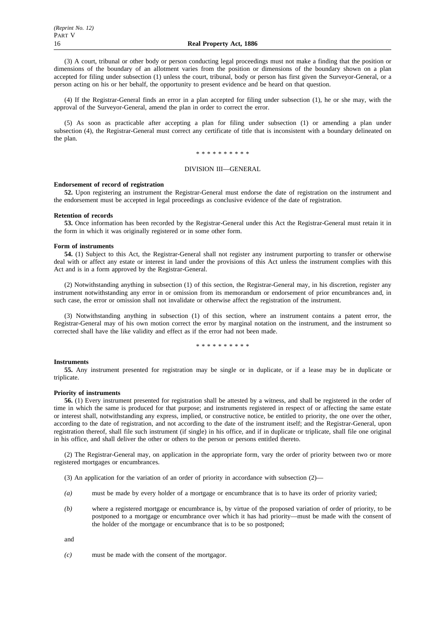(3) A court, tribunal or other body or person conducting legal proceedings must not make a finding that the position or dimensions of the boundary of an allotment varies from the position or dimensions of the boundary shown on a plan accepted for filing under subsection (1) unless the court, tribunal, body or person has first given the Surveyor-General, or a person acting on his or her behalf, the opportunity to present evidence and be heard on that question.

(4) If the Registrar-General finds an error in a plan accepted for filing under subsection (1), he or she may, with the approval of the Surveyor-General, amend the plan in order to correct the error.

(5) As soon as practicable after accepting a plan for filing under subsection (1) or amending a plan under subsection (4), the Registrar-General must correct any certificate of title that is inconsistent with a boundary delineated on the plan.

\*\*\*\*\*\*\*\*\*\*

#### DIVISION III—GENERAL

#### **Endorsement of record of registration**

**52.** Upon registering an instrument the Registrar-General must endorse the date of registration on the instrument and the endorsement must be accepted in legal proceedings as conclusive evidence of the date of registration.

#### **Retention of records**

**53.** Once information has been recorded by the Registrar-General under this Act the Registrar-General must retain it in the form in which it was originally registered or in some other form.

#### **Form of instruments**

**54.** (1) Subject to this Act, the Registrar-General shall not register any instrument purporting to transfer or otherwise deal with or affect any estate or interest in land under the provisions of this Act unless the instrument complies with this Act and is in a form approved by the Registrar-General.

(2) Notwithstanding anything in subsection (1) of this section, the Registrar-General may, in his discretion, register any instrument notwithstanding any error in or omission from its memorandum or endorsement of prior encumbrances and, in such case, the error or omission shall not invalidate or otherwise affect the registration of the instrument.

(3) Notwithstanding anything in subsection (1) of this section, where an instrument contains a patent error, the Registrar-General may of his own motion correct the error by marginal notation on the instrument, and the instrument so corrected shall have the like validity and effect as if the error had not been made.

\*\*\*\*\*\*\*\*\*

#### **Instruments**

**55.** Any instrument presented for registration may be single or in duplicate, or if a lease may be in duplicate or triplicate.

#### **Priority of instruments**

**56.** (1) Every instrument presented for registration shall be attested by a witness, and shall be registered in the order of time in which the same is produced for that purpose; and instruments registered in respect of or affecting the same estate or interest shall, notwithstanding any express, implied, or constructive notice, be entitled to priority, the one over the other, according to the date of registration, and not according to the date of the instrument itself; and the Registrar-General, upon registration thereof, shall file such instrument (if single) in his office, and if in duplicate or triplicate, shall file one original in his office, and shall deliver the other or others to the person or persons entitled thereto.

(2) The Registrar-General may, on application in the appropriate form, vary the order of priority between two or more registered mortgages or encumbrances.

- (3) An application for the variation of an order of priority in accordance with subsection (2)—
- *(a)* must be made by every holder of a mortgage or encumbrance that is to have its order of priority varied;
- *(b)* where a registered mortgage or encumbrance is, by virtue of the proposed variation of order of priority, to be postponed to a mortgage or encumbrance over which it has had priority—must be made with the consent of the holder of the mortgage or encumbrance that is to be so postponed;

and

*(c)* must be made with the consent of the mortgagor.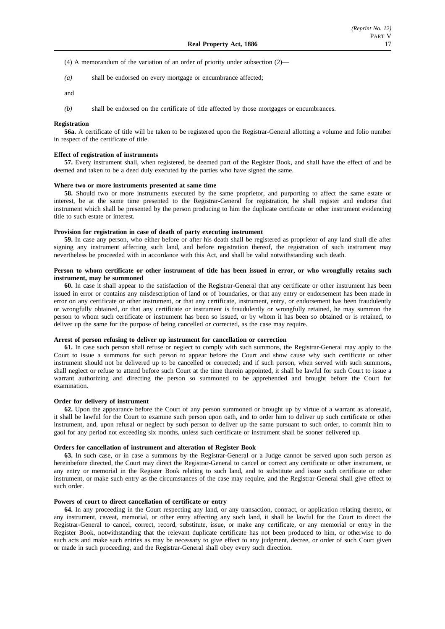(4) A memorandum of the variation of an order of priority under subsection (2)—

*(a)* shall be endorsed on every mortgage or encumbrance affected;

and

*(b)* shall be endorsed on the certificate of title affected by those mortgages or encumbrances.

#### **Registration**

**56a.** A certificate of title will be taken to be registered upon the Registrar-General allotting a volume and folio number in respect of the certificate of title.

#### **Effect of registration of instruments**

**57.** Every instrument shall, when registered, be deemed part of the Register Book, and shall have the effect of and be deemed and taken to be a deed duly executed by the parties who have signed the same.

#### **Where two or more instruments presented at same time**

**58.** Should two or more instruments executed by the same proprietor, and purporting to affect the same estate or interest, be at the same time presented to the Registrar-General for registration, he shall register and endorse that instrument which shall be presented by the person producing to him the duplicate certificate or other instrument evidencing title to such estate or interest.

### **Provision for registration in case of death of party executing instrument**

**59.** In case any person, who either before or after his death shall be registered as proprietor of any land shall die after signing any instrument affecting such land, and before registration thereof, the registration of such instrument may nevertheless be proceeded with in accordance with this Act, and shall be valid notwithstanding such death.

#### **Person to whom certificate or other instrument of title has been issued in error, or who wrongfully retains such instrument, may be summoned**

**60.** In case it shall appear to the satisfaction of the Registrar-General that any certificate or other instrument has been issued in error or contains any misdescription of land or of boundaries, or that any entry or endorsement has been made in error on any certificate or other instrument, or that any certificate, instrument, entry, or endorsement has been fraudulently or wrongfully obtained, or that any certificate or instrument is fraudulently or wrongfully retained, he may summon the person to whom such certificate or instrument has been so issued, or by whom it has been so obtained or is retained, to deliver up the same for the purpose of being cancelled or corrected, as the case may require.

### **Arrest of person refusing to deliver up instrument for cancellation or correction**

**61.** In case such person shall refuse or neglect to comply with such summons, the Registrar-General may apply to the Court to issue a summons for such person to appear before the Court and show cause why such certificate or other instrument should not be delivered up to be cancelled or corrected; and if such person, when served with such summons, shall neglect or refuse to attend before such Court at the time therein appointed, it shall be lawful for such Court to issue a warrant authorizing and directing the person so summoned to be apprehended and brought before the Court for examination.

#### **Order for delivery of instrument**

**62.** Upon the appearance before the Court of any person summoned or brought up by virtue of a warrant as aforesaid, it shall be lawful for the Court to examine such person upon oath, and to order him to deliver up such certificate or other instrument, and, upon refusal or neglect by such person to deliver up the same pursuant to such order, to commit him to gaol for any period not exceeding six months, unless such certificate or instrument shall be sooner delivered up.

#### **Orders for cancellation of instrument and alteration of Register Book**

**63.** In such case, or in case a summons by the Registrar-General or a Judge cannot be served upon such person as hereinbefore directed, the Court may direct the Registrar-General to cancel or correct any certificate or other instrument, or any entry or memorial in the Register Book relating to such land, and to substitute and issue such certificate or other instrument, or make such entry as the circumstances of the case may require, and the Registrar-General shall give effect to such order.

#### **Powers of court to direct cancellation of certificate or entry**

**64.** In any proceeding in the Court respecting any land, or any transaction, contract, or application relating thereto, or any instrument, caveat, memorial, or other entry affecting any such land, it shall be lawful for the Court to direct the Registrar-General to cancel, correct, record, substitute, issue, or make any certificate, or any memorial or entry in the Register Book, notwithstanding that the relevant duplicate certificate has not been produced to him, or otherwise to do such acts and make such entries as may be necessary to give effect to any judgment, decree, or order of such Court given or made in such proceeding, and the Registrar-General shall obey every such direction.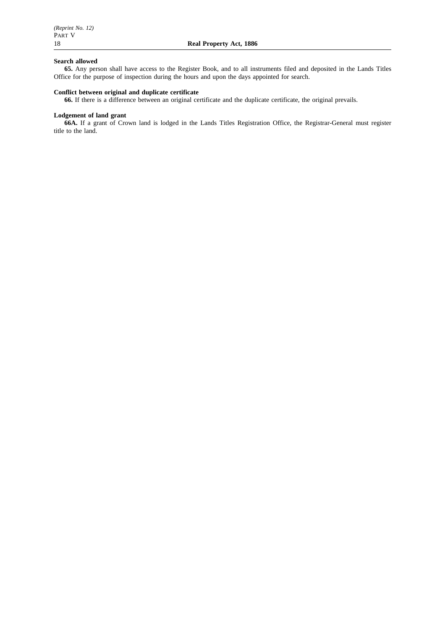### **Search allowed**

**65.** Any person shall have access to the Register Book, and to all instruments filed and deposited in the Lands Titles Office for the purpose of inspection during the hours and upon the days appointed for search.

#### **Conflict between original and duplicate certificate**

**66.** If there is a difference between an original certificate and the duplicate certificate, the original prevails.

### **Lodgement of land grant**

**66A.** If a grant of Crown land is lodged in the Lands Titles Registration Office, the Registrar-General must register title to the land.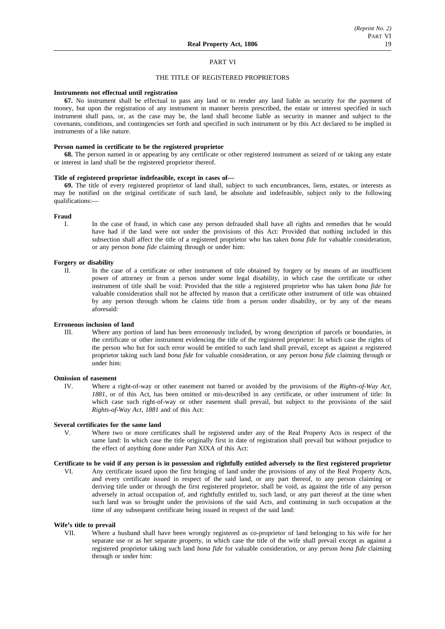### PART VI

#### THE TITLE OF REGISTERED PROPRIETORS

#### **Instruments not effectual until registration**

**67.** No instrument shall be effectual to pass any land or to render any land liable as security for the payment of money, but upon the registration of any instrument in manner herein prescribed, the estate or interest specified in such instrument shall pass, or, as the case may be, the land shall become liable as security in manner and subject to the covenants, conditions, and contingencies set forth and specified in such instrument or by this Act declared to be implied in instruments of a like nature.

### **Person named in certificate to be the registered proprietor**

**68.** The person named in or appearing by any certificate or other registered instrument as seized of or taking any estate or interest in land shall be the registered proprietor thereof.

#### **Title of registered proprietor indefeasible, except in cases of—**

**69.** The title of every registered proprietor of land shall, subject to such encumbrances, liens, estates, or interests as may be notified on the original certificate of such land, be absolute and indefeasible, subject only to the following qualifications:—

#### **Fraud**

I. In the case of fraud, in which case any person defrauded shall have all rights and remedies that he would have had if the land were not under the provisions of this Act: Provided that nothing included in this subsection shall affect the title of a registered proprietor who has taken *bona fide* for valuable consideration, or any person *bona fide* claiming through or under him:

#### **Forgery or disability**

II. In the case of a certificate or other instrument of title obtained by forgery or by means of an insufficient power of attorney or from a person under some legal disability, in which case the certificate or other instrument of title shall be void: Provided that the title a registered proprietor who has taken *bona fide* for valuable consideration shall not be affected by reason that a certificate other instrument of title was obtained by any person through whom he claims title from a person under disability, or by any of the means aforesaid:

#### **Erroneous inclusion of land**

III. Where any portion of land has been erroneously included, by wrong description of parcels or boundaries, in the certificate or other instrument evidencing the title of the registered proprietor: In which case the rights of the person who but for such error would be entitled to such land shall prevail, except as against a registered proprietor taking such land *bona fide* for valuable consideration, or any person *bona fide* claiming through or under him:

#### **Omission of easement**

IV. Where a right-of-way or other easement not barred or avoided by the provisions of the *Rights-of-Way Act, 1881*, or of this Act, has been omitted or mis-described in any certificate, or other instrument of title: In which case such right-of-way or other easement shall prevail, but subject to the provisions of the said *Rights-of-Way Act, 1881* and of this Act:

#### **Several certificates for the same land**

V. Where two or more certificates shall be registered under any of the Real Property Acts in respect of the same land: In which case the title originally first in date of registration shall prevail but without prejudice to the effect of anything done under Part XIXA of this Act:

### **Certificate to be void if any person is in possession and rightfully entitled adversely to the first registered proprietor**

VI. Any certificate issued upon the first bringing of land under the provisions of any of the Real Property Acts, and every certificate issued in respect of the said land, or any part thereof, to any person claiming or deriving title under or through the first registered proprietor, shall be void, as against the title of any person adversely in actual occupation of, and rightfully entitled to, such land, or any part thereof at the time when such land was so brought under the provisions of the said Acts, and continuing in such occupation at the time of any subsequent certificate being issued in respect of the said land:

### **Wife's title to prevail**

VII. Where a husband shall have been wrongly registered as co-proprietor of land belonging to his wife for her separate use or as her separate property, in which case the title of the wife shall prevail except as against a registered proprietor taking such land *bona fide* for valuable consideration, or any person *bona fide* claiming through or under him: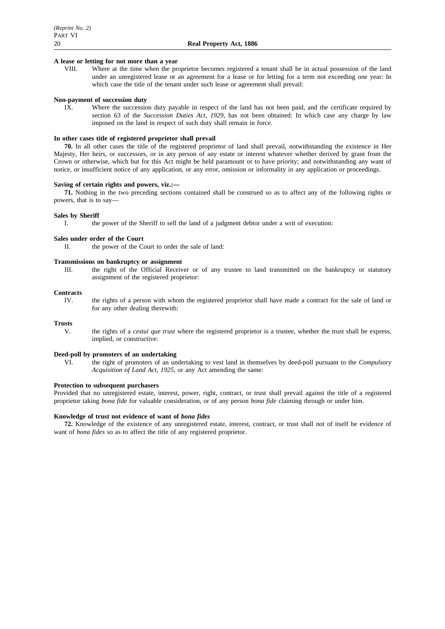### **A lease or letting for not more than a year**

VIII. Where at the time when the proprietor becomes registered a tenant shall be in actual possession of the land under an unregistered lease or an agreement for a lease or for letting for a term not exceeding one year: In which case the title of the tenant under such lease or agreement shall prevail:

#### **Non-payment of succession duty**

IX. Where the succession duty payable in respect of the land has not been paid, and the certificate required by section 63 of the *Succession Duties Act, 1929*, has not been obtained: In which case any charge by law imposed on the land in respect of such duty shall remain in force.

### **In other cases title of registered proprietor shall prevail**

**70.** In all other cases the title of the registered proprietor of land shall prevail, notwithstanding the existence in Her Majesty, Her heirs, or successors, or in any person of any estate or interest whatever whether derived by grant from the Crown or otherwise, which but for this Act might be held paramount or to have priority; and notwithstanding any want of notice, or insufficient notice of any application, or any error, omission or informality in any application or proceedings.

#### **Saving of certain rights and powers, viz.:—**

**71.** Nothing in the two preceding sections contained shall be construed so as to affect any of the following rights or powers, that is to say—

#### **Sales by Sheriff**

I. the power of the Sheriff to sell the land of a judgment debtor under a writ of execution:

#### **Sales under order of the Court**

II. the power of the Court to order the sale of land:

#### **Transmissions on bankruptcy or assignment**

III. the right of the Official Receiver or of any trustee to land transmitted on the bankruptcy or statutory assignment of the registered proprietor:

# **Contracts**

the rights of a person with whom the registered proprietor shall have made a contract for the sale of land or for any other dealing therewith:

### **Trusts**

V. the rights of a *cestui que trust* where the registered proprietor is a trustee, whether the trust shall be express, implied, or constructive:

### **Deed-poll by promoters of an undertaking**

VI. the right of promoters of an undertaking to vest land in themselves by deed-poll pursuant to the *Compulsory Acquisition of Land Act, 1925*, or any Act amending the same:

#### **Protection to subsequent purchasers**

Provided that no unregistered estate, interest, power, right, contract, or trust shall prevail against the title of a registered proprietor taking *bona fide* for valuable consideration, or of any person *bona fide* claiming through or under him.

#### **Knowledge of trust not evidence of want of** *bona fides*

**72.** Knowledge of the existence of any unregistered estate, interest, contract, or trust shall not of itself be evidence of want of *bona fides* so as to affect the title of any registered proprietor.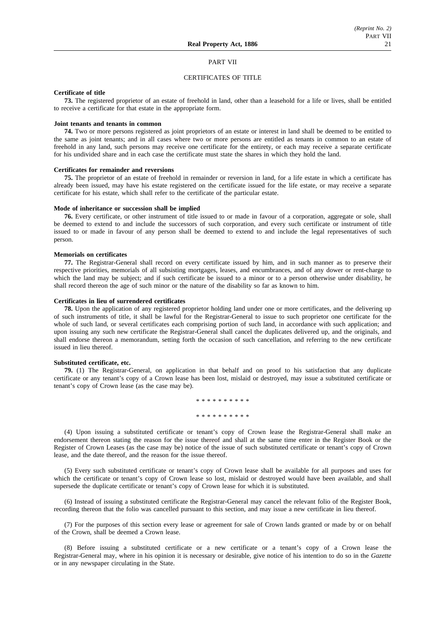### PART VII

### CERTIFICATES OF TITLE

### **Certificate of title**

**73.** The registered proprietor of an estate of freehold in land, other than a leasehold for a life or lives, shall be entitled to receive a certificate for that estate in the appropriate form.

#### **Joint tenants and tenants in common**

**74.** Two or more persons registered as joint proprietors of an estate or interest in land shall be deemed to be entitled to the same as joint tenants; and in all cases where two or more persons are entitled as tenants in common to an estate of freehold in any land, such persons may receive one certificate for the entirety, or each may receive a separate certificate for his undivided share and in each case the certificate must state the shares in which they hold the land.

#### **Certificates for remainder and reversions**

**75.** The proprietor of an estate of freehold in remainder or reversion in land, for a life estate in which a certificate has already been issued, may have his estate registered on the certificate issued for the life estate, or may receive a separate certificate for his estate, which shall refer to the certificate of the particular estate.

#### **Mode of inheritance or succession shall be implied**

**76.** Every certificate, or other instrument of title issued to or made in favour of a corporation, aggregate or sole, shall be deemed to extend to and include the successors of such corporation, and every such certificate or instrument of title issued to or made in favour of any person shall be deemed to extend to and include the legal representatives of such person.

#### **Memorials on certificates**

**77.** The Registrar-General shall record on every certificate issued by him, and in such manner as to preserve their respective priorities, memorials of all subsisting mortgages, leases, and encumbrances, and of any dower or rent-charge to which the land may be subject; and if such certificate be issued to a minor or to a person otherwise under disability, he shall record thereon the age of such minor or the nature of the disability so far as known to him.

#### **Certificates in lieu of surrendered certificates**

**78.** Upon the application of any registered proprietor holding land under one or more certificates, and the delivering up of such instruments of title, it shall be lawful for the Registrar-General to issue to such proprietor one certificate for the whole of such land, or several certificates each comprising portion of such land, in accordance with such application; and upon issuing any such new certificate the Registrar-General shall cancel the duplicates delivered up, and the originals, and shall endorse thereon a memorandum, setting forth the occasion of such cancellation, and referring to the new certificate issued in lieu thereof.

#### **Substituted certificate, etc.**

**79.** (1) The Registrar-General, on application in that behalf and on proof to his satisfaction that any duplicate certificate or any tenant's copy of a Crown lease has been lost, mislaid or destroyed, may issue a substituted certificate or tenant's copy of Crown lease (as the case may be).

> \*\*\*\*\*\*\*\*\*\* \*\*\*\*\*\*\*\*\*\*

(4) Upon issuing a substituted certificate or tenant's copy of Crown lease the Registrar-General shall make an endorsement thereon stating the reason for the issue thereof and shall at the same time enter in the Register Book or the Register of Crown Leases (as the case may be) notice of the issue of such substituted certificate or tenant's copy of Crown lease, and the date thereof, and the reason for the issue thereof.

(5) Every such substituted certificate or tenant's copy of Crown lease shall be available for all purposes and uses for which the certificate or tenant's copy of Crown lease so lost, mislaid or destroyed would have been available, and shall supersede the duplicate certificate or tenant's copy of Crown lease for which it is substituted.

(6) Instead of issuing a substituted certificate the Registrar-General may cancel the relevant folio of the Register Book, recording thereon that the folio was cancelled pursuant to this section, and may issue a new certificate in lieu thereof.

(7) For the purposes of this section every lease or agreement for sale of Crown lands granted or made by or on behalf of the Crown, shall be deemed a Crown lease.

(8) Before issuing a substituted certificate or a new certificate or a tenant's copy of a Crown lease the Registrar-General may, where in his opinion it is necessary or desirable, give notice of his intention to do so in the *Gazette* or in any newspaper circulating in the State.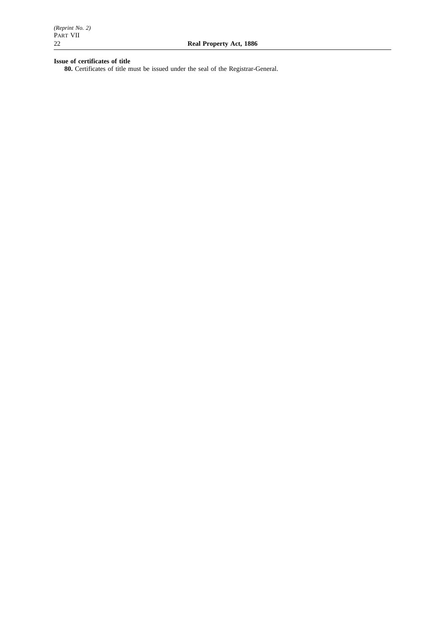## **Issue of certificates of title**

**80.** Certificates of title must be issued under the seal of the Registrar-General.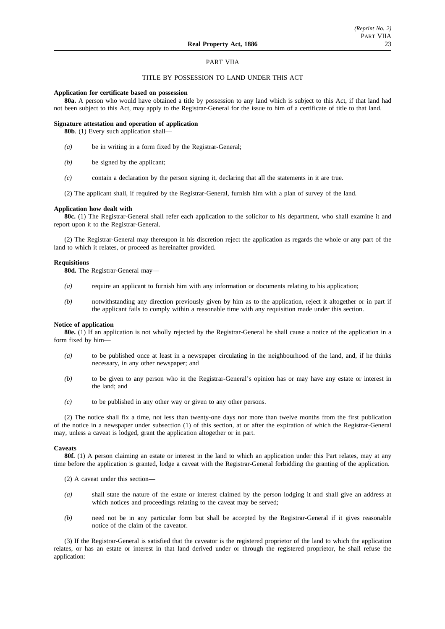### PART VIIA

### TITLE BY POSSESSION TO LAND UNDER THIS ACT

#### **Application for certificate based on possession**

**80a.** A person who would have obtained a title by possession to any land which is subject to this Act, if that land had not been subject to this Act, may apply to the Registrar-General for the issue to him of a certificate of title to that land.

#### **Signature attestation and operation of application**

**80b**. (1) Every such application shall—

- *(a)* be in writing in a form fixed by the Registrar-General;
- *(b)* be signed by the applicant;
- *(c)* contain a declaration by the person signing it, declaring that all the statements in it are true.
- (2) The applicant shall, if required by the Registrar-General, furnish him with a plan of survey of the land.

#### **Application how dealt with**

**80c.** (1) The Registrar-General shall refer each application to the solicitor to his department, who shall examine it and report upon it to the Registrar-General.

(2) The Registrar-General may thereupon in his discretion reject the application as regards the whole or any part of the land to which it relates, or proceed as hereinafter provided.

### **Requisitions**

**80d.** The Registrar-General may—

- *(a)* require an applicant to furnish him with any information or documents relating to his application;
- *(b)* notwithstanding any direction previously given by him as to the application, reject it altogether or in part if the applicant fails to comply within a reasonable time with any requisition made under this section.

#### **Notice of application**

**80e.** (1) If an application is not wholly rejected by the Registrar-General he shall cause a notice of the application in a form fixed by him—

- *(a)* to be published once at least in a newspaper circulating in the neighbourhood of the land, and, if he thinks necessary, in any other newspaper; and
- *(b)* to be given to any person who in the Registrar-General's opinion has or may have any estate or interest in the land; and
- *(c)* to be published in any other way or given to any other persons.

(2) The notice shall fix a time, not less than twenty-one days nor more than twelve months from the first publication of the notice in a newspaper under subsection (1) of this section, at or after the expiration of which the Registrar-General may, unless a caveat is lodged, grant the application altogether or in part.

#### **Caveats**

**80f.** (1) A person claiming an estate or interest in the land to which an application under this Part relates, may at any time before the application is granted, lodge a caveat with the Registrar-General forbidding the granting of the application.

- (2) A caveat under this section—
- *(a)* shall state the nature of the estate or interest claimed by the person lodging it and shall give an address at which notices and proceedings relating to the caveat may be served;
- *(b)* need not be in any particular form but shall be accepted by the Registrar-General if it gives reasonable notice of the claim of the caveator.

(3) If the Registrar-General is satisfied that the caveator is the registered proprietor of the land to which the application relates, or has an estate or interest in that land derived under or through the registered proprietor, he shall refuse the application: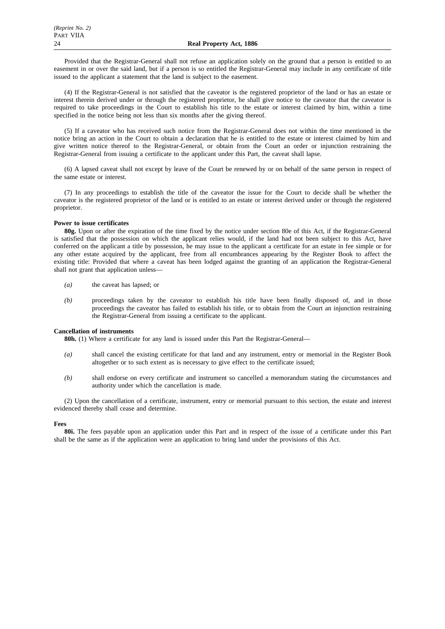Provided that the Registrar-General shall not refuse an application solely on the ground that a person is entitled to an easement in or over the said land, but if a person is so entitled the Registrar-General may include in any certificate of title issued to the applicant a statement that the land is subject to the easement.

(4) If the Registrar-General is not satisfied that the caveator is the registered proprietor of the land or has an estate or interest therein derived under or through the registered proprietor, he shall give notice to the caveator that the caveator is required to take proceedings in the Court to establish his title to the estate or interest claimed by him, within a time specified in the notice being not less than six months after the giving thereof.

(5) If a caveator who has received such notice from the Registrar-General does not within the time mentioned in the notice bring an action in the Court to obtain a declaration that he is entitled to the estate or interest claimed by him and give written notice thereof to the Registrar-General, or obtain from the Court an order or injunction restraining the Registrar-General from issuing a certificate to the applicant under this Part, the caveat shall lapse.

(6) A lapsed caveat shall not except by leave of the Court be renewed by or on behalf of the same person in respect of the same estate or interest.

(7) In any proceedings to establish the title of the caveator the issue for the Court to decide shall be whether the caveator is the registered proprietor of the land or is entitled to an estate or interest derived under or through the registered proprietor.

#### **Power to issue certificates**

**80g.** Upon or after the expiration of the time fixed by the notice under section 80e of this Act, if the Registrar-General is satisfied that the possession on which the applicant relies would, if the land had not been subject to this Act, have conferred on the applicant a title by possession, he may issue to the applicant a certificate for an estate in fee simple or for any other estate acquired by the applicant, free from all encumbrances appearing by the Register Book to affect the existing title: Provided that where a caveat has been lodged against the granting of an application the Registrar-General shall not grant that application unless—

- *(a)* the caveat has lapsed; or
- *(b)* proceedings taken by the caveator to establish his title have been finally disposed of, and in those proceedings the caveator has failed to establish his title, or to obtain from the Court an injunction restraining the Registrar-General from issuing a certificate to the applicant.

## **Cancellation of instruments**

**80h.** (1) Where a certificate for any land is issued under this Part the Registrar-General—

- *(a)* shall cancel the existing certificate for that land and any instrument, entry or memorial in the Register Book altogether or to such extent as is necessary to give effect to the certificate issued;
- *(b)* shall endorse on every certificate and instrument so cancelled a memorandum stating the circumstances and authority under which the cancellation is made.

(2) Upon the cancellation of a certificate, instrument, entry or memorial pursuant to this section, the estate and interest evidenced thereby shall cease and determine.

## **Fees**

**80i.** The fees payable upon an application under this Part and in respect of the issue of a certificate under this Part shall be the same as if the application were an application to bring land under the provisions of this Act.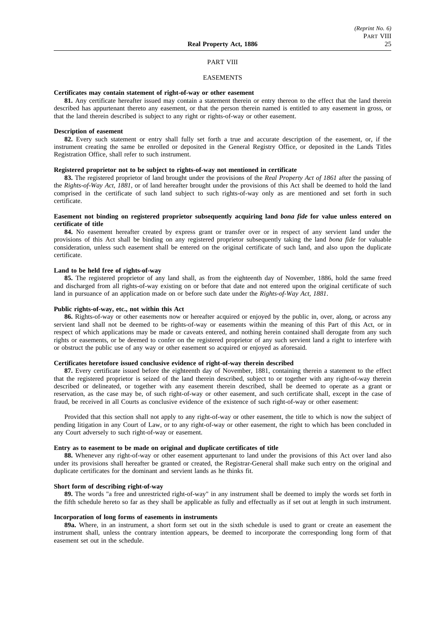## PART VIII

## EASEMENTS

## **Certificates may contain statement of right-of-way or other easement**

**81.** Any certificate hereafter issued may contain a statement therein or entry thereon to the effect that the land therein described has appurtenant thereto any easement, or that the person therein named is entitled to any easement in gross, or that the land therein described is subject to any right or rights-of-way or other easement.

#### **Description of easement**

**82.** Every such statement or entry shall fully set forth a true and accurate description of the easement, or, if the instrument creating the same be enrolled or deposited in the General Registry Office, or deposited in the Lands Titles Registration Office, shall refer to such instrument.

## **Registered proprietor not to be subject to rights-of-way not mentioned in certificate**

**83.** The registered proprietor of land brought under the provisions of the *Real Property Act of 1861* after the passing of the *Rights-of-Way Act, 1881*, or of land hereafter brought under the provisions of this Act shall be deemed to hold the land comprised in the certificate of such land subject to such rights-of-way only as are mentioned and set forth in such certificate.

## **Easement not binding on registered proprietor subsequently acquiring land** *bona fide* **for value unless entered on certificate of title**

**84.** No easement hereafter created by express grant or transfer over or in respect of any servient land under the provisions of this Act shall be binding on any registered proprietor subsequently taking the land *bona fide* for valuable consideration, unless such easement shall be entered on the original certificate of such land, and also upon the duplicate certificate.

#### **Land to be held free of rights-of-way**

**85.** The registered proprietor of any land shall, as from the eighteenth day of November, 1886, hold the same freed and discharged from all rights-of-way existing on or before that date and not entered upon the original certificate of such land in pursuance of an application made on or before such date under the *Rights-of-Way Act, 1881*.

#### **Public rights-of-way, etc., not within this Act**

**86.** Rights-of-way or other easements now or hereafter acquired or enjoyed by the public in, over, along, or across any servient land shall not be deemed to be rights-of-way or easements within the meaning of this Part of this Act, or in respect of which applications may be made or caveats entered, and nothing herein contained shall derogate from any such rights or easements, or be deemed to confer on the registered proprietor of any such servient land a right to interfere with or obstruct the public use of any way or other easement so acquired or enjoyed as aforesaid.

## **Certificates heretofore issued conclusive evidence of right-of-way therein described**

**87.** Every certificate issued before the eighteenth day of November, 1881, containing therein a statement to the effect that the registered proprietor is seized of the land therein described, subject to or together with any right-of-way therein described or delineated, or together with any easement therein described, shall be deemed to operate as a grant or reservation, as the case may be, of such right-of-way or other easement, and such certificate shall, except in the case of fraud, be received in all Courts as conclusive evidence of the existence of such right-of-way or other easement:

Provided that this section shall not apply to any right-of-way or other easement, the title to which is now the subject of pending litigation in any Court of Law, or to any right-of-way or other easement, the right to which has been concluded in any Court adversely to such right-of-way or easement.

#### **Entry as to easement to be made on original and duplicate certificates of title**

**88.** Whenever any right-of-way or other easement appurtenant to land under the provisions of this Act over land also under its provisions shall hereafter be granted or created, the Registrar-General shall make such entry on the original and duplicate certificates for the dominant and servient lands as he thinks fit.

## **Short form of describing right-of-way**

**89.** The words "a free and unrestricted right-of-way" in any instrument shall be deemed to imply the words set forth in the fifth schedule hereto so far as they shall be applicable as fully and effectually as if set out at length in such instrument.

## **Incorporation of long forms of easements in instruments**

**89a.** Where, in an instrument, a short form set out in the sixth schedule is used to grant or create an easement the instrument shall, unless the contrary intention appears, be deemed to incorporate the corresponding long form of that easement set out in the schedule.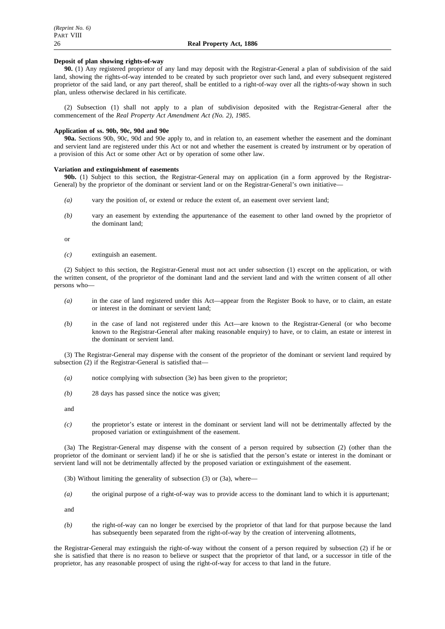## **Deposit of plan showing rights-of-way**

**90.** (1) Any registered proprietor of any land may deposit with the Registrar-General a plan of subdivision of the said land, showing the rights-of-way intended to be created by such proprietor over such land, and every subsequent registered proprietor of the said land, or any part thereof, shall be entitled to a right-of-way over all the rights-of-way shown in such plan, unless otherwise declared in his certificate.

(2) Subsection (1) shall not apply to a plan of subdivision deposited with the Registrar-General after the commencement of the *Real Property Act Amendment Act (No. 2), 1985*.

#### **Application of ss. 90b, 90c, 90d and 90e**

**90a.** Sections 90b, 90c, 90d and 90e apply to, and in relation to, an easement whether the easement and the dominant and servient land are registered under this Act or not and whether the easement is created by instrument or by operation of a provision of this Act or some other Act or by operation of some other law.

#### **Variation and extinguishment of easements**

**90b.** (1) Subject to this section, the Registrar-General may on application (in a form approved by the Registrar-General) by the proprietor of the dominant or servient land or on the Registrar-General's own initiative—

- *(a)* vary the position of, or extend or reduce the extent of, an easement over servient land;
- *(b)* vary an easement by extending the appurtenance of the easement to other land owned by the proprietor of the dominant land;

or

*(c)* extinguish an easement.

(2) Subject to this section, the Registrar-General must not act under subsection (1) except on the application, or with the written consent, of the proprietor of the dominant land and the servient land and with the written consent of all other persons who—

- *(a)* in the case of land registered under this Act—appear from the Register Book to have, or to claim, an estate or interest in the dominant or servient land;
- *(b)* in the case of land not registered under this Act—are known to the Registrar-General (or who become known to the Registrar-General after making reasonable enquiry) to have, or to claim, an estate or interest in the dominant or servient land.

(3) The Registrar-General may dispense with the consent of the proprietor of the dominant or servient land required by subsection (2) if the Registrar-General is satisfied that—

- *(a)* notice complying with subsection (3e) has been given to the proprietor;
- *(b)* 28 days has passed since the notice was given;

and

*(c)* the proprietor's estate or interest in the dominant or servient land will not be detrimentally affected by the proposed variation or extinguishment of the easement.

(3a) The Registrar-General may dispense with the consent of a person required by subsection (2) (other than the proprietor of the dominant or servient land) if he or she is satisfied that the person's estate or interest in the dominant or servient land will not be detrimentally affected by the proposed variation or extinguishment of the easement.

(3b) Without limiting the generality of subsection (3) or (3a), where—

*(a)* the original purpose of a right-of-way was to provide access to the dominant land to which it is appurtenant;

and

*(b)* the right-of-way can no longer be exercised by the proprietor of that land for that purpose because the land has subsequently been separated from the right-of-way by the creation of intervening allotments,

the Registrar-General may extinguish the right-of-way without the consent of a person required by subsection (2) if he or she is satisfied that there is no reason to believe or suspect that the proprietor of that land, or a successor in title of the proprietor, has any reasonable prospect of using the right-of-way for access to that land in the future.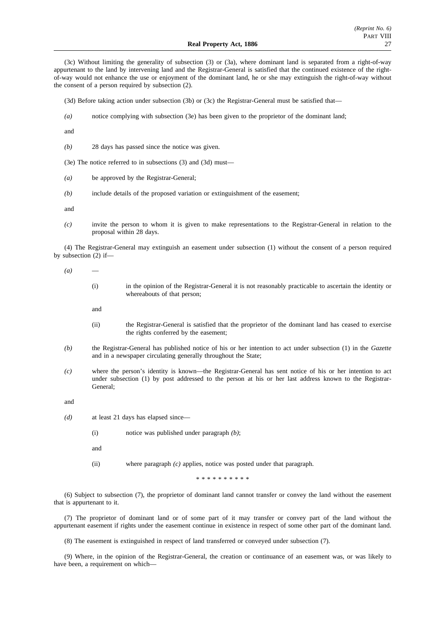(3c) Without limiting the generality of subsection (3) or (3a), where dominant land is separated from a right-of-way appurtenant to the land by intervening land and the Registrar-General is satisfied that the continued existence of the rightof-way would not enhance the use or enjoyment of the dominant land, he or she may extinguish the right-of-way without the consent of a person required by subsection (2).

(3d) Before taking action under subsection (3b) or (3c) the Registrar-General must be satisfied that—

*(a)* notice complying with subsection (3e) has been given to the proprietor of the dominant land;

and

- *(b)* 28 days has passed since the notice was given.
- (3e) The notice referred to in subsections (3) and (3d) must—
- *(a)* be approved by the Registrar-General;
- *(b)* include details of the proposed variation or extinguishment of the easement;

and

*(c)* invite the person to whom it is given to make representations to the Registrar-General in relation to the proposal within 28 days.

(4) The Registrar-General may extinguish an easement under subsection (1) without the consent of a person required by subsection (2) if—

 $(a)$ 

(i) in the opinion of the Registrar-General it is not reasonably practicable to ascertain the identity or whereabouts of that person;

and

- (ii) the Registrar-General is satisfied that the proprietor of the dominant land has ceased to exercise the rights conferred by the easement;
- *(b)* the Registrar-General has published notice of his or her intention to act under subsection (1) in the *Gazette* and in a newspaper circulating generally throughout the State;
- *(c)* where the person's identity is known—the Registrar-General has sent notice of his or her intention to act under subsection (1) by post addressed to the person at his or her last address known to the Registrar-General;

and

- *(d)* at least 21 days has elapsed since—
	- (i) notice was published under paragraph *(b)*;
	- and
	- (ii) where paragraph *(c)* applies, notice was posted under that paragraph.

\*\*\*\*\*\*\*\*\*

(6) Subject to subsection (7), the proprietor of dominant land cannot transfer or convey the land without the easement that is appurtenant to it.

(7) The proprietor of dominant land or of some part of it may transfer or convey part of the land without the appurtenant easement if rights under the easement continue in existence in respect of some other part of the dominant land.

(8) The easement is extinguished in respect of land transferred or conveyed under subsection (7).

(9) Where, in the opinion of the Registrar-General, the creation or continuance of an easement was, or was likely to have been, a requirement on which-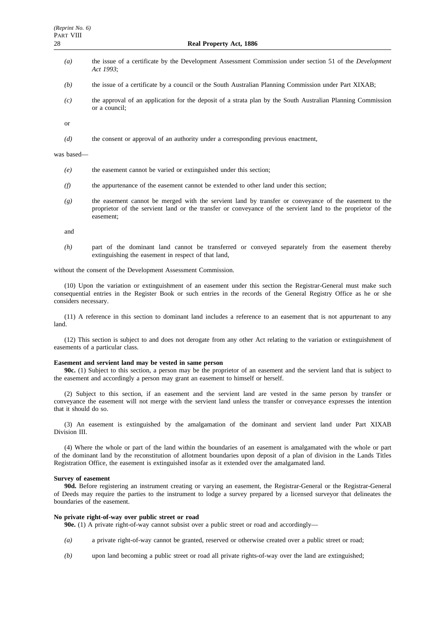- *(a)* the issue of a certificate by the Development Assessment Commission under section 51 of the *Development Act 1993*;
- *(b)* the issue of a certificate by a council or the South Australian Planning Commission under Part XIXAB;
- *(c)* the approval of an application for the deposit of a strata plan by the South Australian Planning Commission or a council;

or

*(d)* the consent or approval of an authority under a corresponding previous enactment,

was based—

- *(e)* the easement cannot be varied or extinguished under this section;
- *(f)* the appurtenance of the easement cannot be extended to other land under this section;
- *(g)* the easement cannot be merged with the servient land by transfer or conveyance of the easement to the proprietor of the servient land or the transfer or conveyance of the servient land to the proprietor of the easement;

and

*(h)* part of the dominant land cannot be transferred or conveyed separately from the easement thereby extinguishing the easement in respect of that land,

without the consent of the Development Assessment Commission.

(10) Upon the variation or extinguishment of an easement under this section the Registrar-General must make such consequential entries in the Register Book or such entries in the records of the General Registry Office as he or she considers necessary.

(11) A reference in this section to dominant land includes a reference to an easement that is not appurtenant to any land.

(12) This section is subject to and does not derogate from any other Act relating to the variation or extinguishment of easements of a particular class.

## **Easement and servient land may be vested in same person**

**90c.** (1) Subject to this section, a person may be the proprietor of an easement and the servient land that is subject to the easement and accordingly a person may grant an easement to himself or herself.

(2) Subject to this section, if an easement and the servient land are vested in the same person by transfer or conveyance the easement will not merge with the servient land unless the transfer or conveyance expresses the intention that it should do so.

(3) An easement is extinguished by the amalgamation of the dominant and servient land under Part XIXAB Division III.

(4) Where the whole or part of the land within the boundaries of an easement is amalgamated with the whole or part of the dominant land by the reconstitution of allotment boundaries upon deposit of a plan of division in the Lands Titles Registration Office, the easement is extinguished insofar as it extended over the amalgamated land.

#### **Survey of easement**

**90d.** Before registering an instrument creating or varying an easement, the Registrar-General or the Registrar-General of Deeds may require the parties to the instrument to lodge a survey prepared by a licensed surveyor that delineates the boundaries of the easement.

#### **No private right-of-way over public street or road**

**90e.** (1) A private right-of-way cannot subsist over a public street or road and accordingly—

- *(a)* a private right-of-way cannot be granted, reserved or otherwise created over a public street or road;
- *(b)* upon land becoming a public street or road all private rights-of-way over the land are extinguished;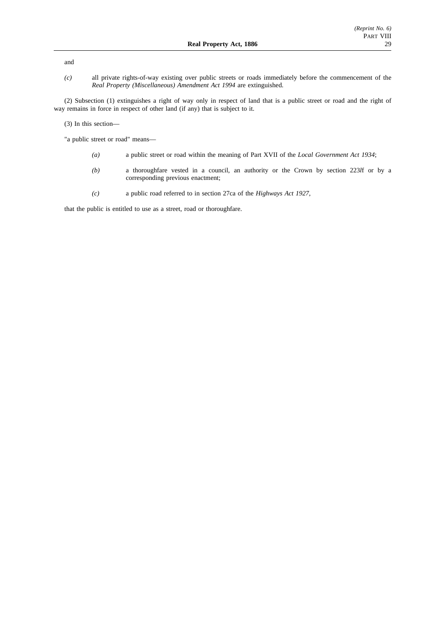and

*(c)* all private rights-of-way existing over public streets or roads immediately before the commencement of the *Real Property (Miscellaneous) Amendment Act 1994* are extinguished.

(2) Subsection (1) extinguishes a right of way only in respect of land that is a public street or road and the right of way remains in force in respect of other land (if any) that is subject to it.

(3) In this section—

"a public street or road" means—

- *(a)* a public street or road within the meaning of Part XVII of the *Local Government Act 1934*;
- *(b)* a thoroughfare vested in a council, an authority or the Crown by section 223*l*f or by a corresponding previous enactment;
- *(c)* a public road referred to in section 27ca of the *Highways Act 1927*,

that the public is entitled to use as a street, road or thoroughfare.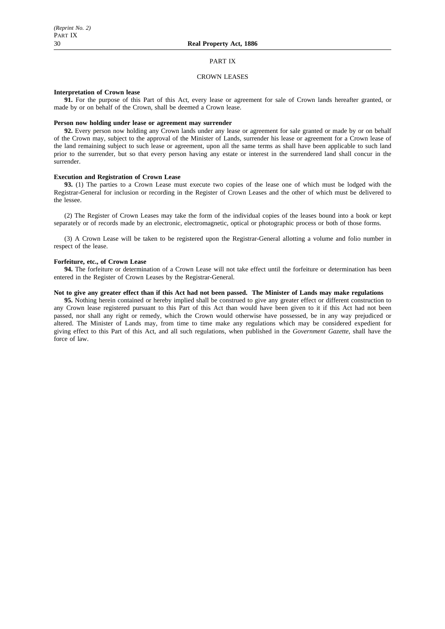## PART IX

#### CROWN LEASES

#### **Interpretation of Crown lease**

**91.** For the purpose of this Part of this Act, every lease or agreement for sale of Crown lands hereafter granted, or made by or on behalf of the Crown, shall be deemed a Crown lease.

#### **Person now holding under lease or agreement may surrender**

**92.** Every person now holding any Crown lands under any lease or agreement for sale granted or made by or on behalf of the Crown may, subject to the approval of the Minister of Lands, surrender his lease or agreement for a Crown lease of the land remaining subject to such lease or agreement, upon all the same terms as shall have been applicable to such land prior to the surrender, but so that every person having any estate or interest in the surrendered land shall concur in the surrender.

## **Execution and Registration of Crown Lease**

**93.** (1) The parties to a Crown Lease must execute two copies of the lease one of which must be lodged with the Registrar-General for inclusion or recording in the Register of Crown Leases and the other of which must be delivered to the lessee.

(2) The Register of Crown Leases may take the form of the individual copies of the leases bound into a book or kept separately or of records made by an electronic, electromagnetic, optical or photographic process or both of those forms.

(3) A Crown Lease will be taken to be registered upon the Registrar-General allotting a volume and folio number in respect of the lease.

#### **Forfeiture, etc., of Crown Lease**

**94.** The forfeiture or determination of a Crown Lease will not take effect until the forfeiture or determination has been entered in the Register of Crown Leases by the Registrar-General.

## **Not to give any greater effect than if this Act had not been passed. The Minister of Lands may make regulations**

**95.** Nothing herein contained or hereby implied shall be construed to give any greater effect or different construction to any Crown lease registered pursuant to this Part of this Act than would have been given to it if this Act had not been passed, nor shall any right or remedy, which the Crown would otherwise have possessed, be in any way prejudiced or altered. The Minister of Lands may, from time to time make any regulations which may be considered expedient for giving effect to this Part of this Act, and all such regulations, when published in the *Government Gazette*, shall have the force of law.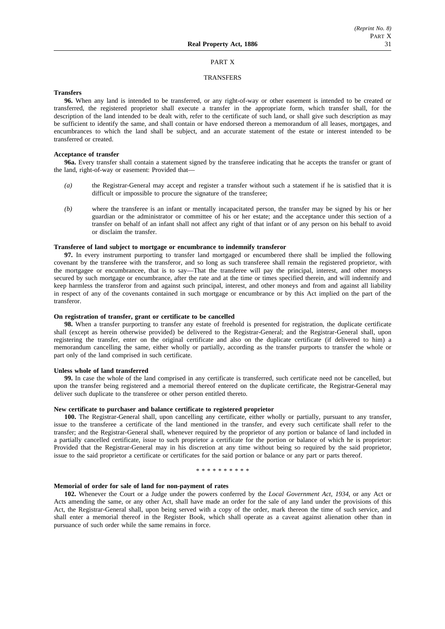## PART X

## **TRANSFERS**

## **Transfers**

**96.** When any land is intended to be transferred, or any right-of-way or other easement is intended to be created or transferred, the registered proprietor shall execute a transfer in the appropriate form, which transfer shall, for the description of the land intended to be dealt with, refer to the certificate of such land, or shall give such description as may be sufficient to identify the same, and shall contain or have endorsed thereon a memorandum of all leases, mortgages, and encumbrances to which the land shall be subject, and an accurate statement of the estate or interest intended to be transferred or created.

## **Acceptance of transfer**

**96a.** Every transfer shall contain a statement signed by the transferee indicating that he accepts the transfer or grant of the land, right-of-way or easement: Provided that—

- *(a)* the Registrar-General may accept and register a transfer without such a statement if he is satisfied that it is difficult or impossible to procure the signature of the transferee;
- *(b)* where the transferee is an infant or mentally incapacitated person, the transfer may be signed by his or her guardian or the administrator or committee of his or her estate; and the acceptance under this section of a transfer on behalf of an infant shall not affect any right of that infant or of any person on his behalf to avoid or disclaim the transfer.

#### **Transferee of land subject to mortgage or encumbrance to indemnify transferor**

**97.** In every instrument purporting to transfer land mortgaged or encumbered there shall be implied the following covenant by the transferee with the transferor, and so long as such transferee shall remain the registered proprietor, with the mortgagee or encumbrancee, that is to say—That the transferee will pay the principal, interest, and other moneys secured by such mortgage or encumbrance, after the rate and at the time or times specified therein, and will indemnify and keep harmless the transferor from and against such principal, interest, and other moneys and from and against all liability in respect of any of the covenants contained in such mortgage or encumbrance or by this Act implied on the part of the transferor.

## **On registration of transfer, grant or certificate to be cancelled**

**98.** When a transfer purporting to transfer any estate of freehold is presented for registration, the duplicate certificate shall (except as herein otherwise provided) be delivered to the Registrar-General; and the Registrar-General shall, upon registering the transfer, enter on the original certificate and also on the duplicate certificate (if delivered to him) a memorandum cancelling the same, either wholly or partially, according as the transfer purports to transfer the whole or part only of the land comprised in such certificate.

## **Unless whole of land transferred**

**99.** In case the whole of the land comprised in any certificate is transferred, such certificate need not be cancelled, but upon the transfer being registered and a memorial thereof entered on the duplicate certificate, the Registrar-General may deliver such duplicate to the transferee or other person entitled thereto.

#### **New certificate to purchaser and balance certificate to registered proprietor**

**100.** The Registrar-General shall, upon cancelling any certificate, either wholly or partially, pursuant to any transfer, issue to the transferee a certificate of the land mentioned in the transfer, and every such certificate shall refer to the transfer; and the Registrar-General shall, whenever required by the proprietor of any portion or balance of land included in a partially cancelled certificate, issue to such proprietor a certificate for the portion or balance of which he is proprietor: Provided that the Registrar-General may in his discretion at any time without being so required by the said proprietor, issue to the said proprietor a certificate or certificates for the said portion or balance or any part or parts thereof.

## \*\*\*\*\*\*\*\*\*

## **Memorial of order for sale of land for non-payment of rates**

**102.** Whenever the Court or a Judge under the powers conferred by the *Local Government Act, 1934*, or any Act or Acts amending the same, or any other Act, shall have made an order for the sale of any land under the provisions of this Act, the Registrar-General shall, upon being served with a copy of the order, mark thereon the time of such service, and shall enter a memorial thereof in the Register Book, which shall operate as a caveat against alienation other than in pursuance of such order while the same remains in force.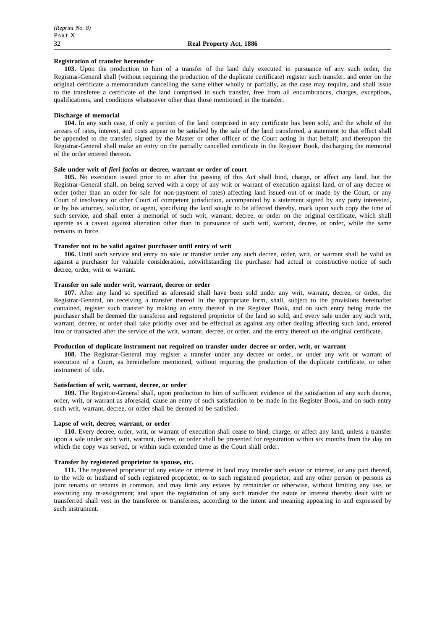## **Registration of transfer hereunder**

**103.** Upon the production to him of a transfer of the land duly executed in pursuance of any such order, the Registrar-General shall (without requiring the production of the duplicate certificate) register such transfer, and enter on the original certificate a memorandum cancelling the same either wholly or partially, as the case may require, and shall issue to the transferee a certificate of the land comprised in such transfer, free from all encumbrances, charges, exceptions, qualifications, and conditions whatsoever other than those mentioned in the transfer.

## **Discharge of memorial**

**104.** In any such case, if only a portion of the land comprised in any certificate has been sold, and the whole of the arrears of rates, interest, and costs appear to be satisfied by the sale of the land transferred, a statement to that effect shall be appended to the transfer, signed by the Master or other officer of the Court acting in that behalf; and thereupon the Registrar-General shall make an entry on the partially cancelled certificate in the Register Book, discharging the memorial of the order entered thereon.

## **Sale under writ of** *fieri facias* **or decree, warrant or order of court**

**105.** No execution issued prior to or after the passing of this Act shall bind, charge, or affect any land, but the Registrar-General shall, on being served with a copy of any writ or warrant of execution against land, or of any decree or order (other than an order for sale for non-payment of rates) affecting land issued out of or made by the Court, or any Court of insolvency or other Court of competent jurisdiction, accompanied by a statement signed by any party interested, or by his attorney, solicitor, or agent, specifying the land sought to be affected thereby, mark upon such copy the time of such service, and shall enter a memorial of such writ, warrant, decree, or order on the original certificate, which shall operate as a caveat against alienation other than in pursuance of such writ, warrant, decree, or order, while the same remains in force.

## **Transfer not to be valid against purchaser until entry of writ**

**106.** Until such service and entry no sale or transfer under any such decree, order, writ, or warrant shall be valid as against a purchaser for valuable consideration, notwithstanding the purchaser had actual or constructive notice of such decree, order, writ or warrant.

## **Transfer on sale under writ, warrant, decree or order**

**107.** After any land so specified as aforesaid shall have been sold under any writ, warrant, decree, or order, the Registrar-General, on receiving a transfer thereof in the appropriate form, shall, subject to the provisions hereinafter contained, register such transfer by making an entry thereof in the Register Book, and on such entry being made the purchaser shall be deemed the transferee and registered proprietor of the land so sold; and every sale under any such writ, warrant, decree, or order shall take priority over and be effectual as against any other dealing affecting such land, entered into or transacted after the service of the writ, warrant, decree, or order, and the entry thereof on the original certificate.

## **Production of duplicate instrument not required on transfer under decree or order, writ, or warrant**

**108.** The Registrar-General may register a transfer under any decree or order, or under any writ or warrant of execution of a Court, as hereinbefore mentioned, without requiring the production of the duplicate certificate, or other instrument of title.

#### **Satisfaction of writ, warrant, decree, or order**

**109.** The Registrar-General shall, upon production to him of sufficient evidence of the satisfaction of any such decree, order, writ, or warrant as aforesaid, cause an entry of such satisfaction to be made in the Register Book, and on such entry such writ, warrant, decree, or order shall be deemed to be satisfied.

#### **Lapse of writ, decree, warrant, or order**

**110.** Every decree, order, writ, or warrant of execution shall cease to bind, charge, or affect any land, unless a transfer upon a sale under such writ, warrant, decree, or order shall be presented for registration within six months from the day on which the copy was served, or within such extended time as the Court shall order.

#### **Transfer by registered proprietor to spouse, etc.**

**111.** The registered proprietor of any estate or interest in land may transfer such estate or interest, or any part thereof, to the wife or husband of such registered proprietor, or to such registered proprietor, and any other person or persons as joint tenants or tenants in common, and may limit any estates by remainder or otherwise, without limiting any use, or executing any re-assignment; and upon the registration of any such transfer the estate or interest thereby dealt with or transferred shall vest in the transferee or transferees, according to the intent and meaning appearing in and expressed by such instrument.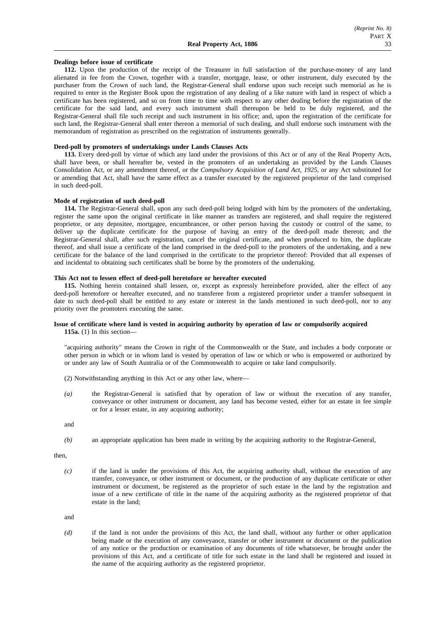## **Dealings before issue of certificate**

**112.** Upon the production of the receipt of the Treasurer in full satisfaction of the purchase-money of any land alienated in fee from the Crown, together with a transfer, mortgage, lease, or other instrument, duly executed by the purchaser from the Crown of such land, the Registrar-General shall endorse upon such receipt such memorial as he is required to enter in the Register Book upon the registration of any dealing of a like nature with land in respect of which a certificate has been registered, and so on from time to time with respect to any other dealing before the registration of the certificate for the said land, and every such instrument shall thereupon be held to be duly registered, and the Registrar-General shall file such receipt and such instrument in his office; and, upon the registration of the certificate for such land, the Registrar-General shall enter thereon a memorial of such dealing, and shall endorse such instrument with the memorandum of registration as prescribed on the registration of instruments generally.

## **Deed-poll by promoters of undertakings under Lands Clauses Acts**

**113.** Every deed-poll by virtue of which any land under the provisions of this Act or of any of the Real Property Acts, shall have been, or shall hereafter be, vested in the promoters of an undertaking as provided by the Lands Clauses Consolidation Act, or any amendment thereof, or the *Compulsory Acquisition of Land Act, 1925*, or any Act substituted for or amending that Act, shall have the same effect as a transfer executed by the registered proprietor of the land comprised in such deed-poll.

## **Mode of registration of such deed-poll**

**114.** The Registrar-General shall, upon any such deed-poll being lodged with him by the promoters of the undertaking, register the same upon the original certificate in like manner as transfers are registered, and shall require the registered proprietor, or any depositee, mortgagee, encumbrancee, or other person having the custody or control of the same, to deliver up the duplicate certificate for the purpose of having an entry of the deed-poll made thereon; and the Registrar-General shall, after such registration, cancel the original certificate, and when produced to him, the duplicate thereof, and shall issue a certificate of the land comprised in the deed-poll to the promoters of the undertaking, and a new certificate for the balance of the land comprised in the certificate to the proprietor thereof: Provided that all expenses of and incidental to obtaining such certificates shall be borne by the promoters of the undertaking.

#### **This Act not to lessen effect of deed-poll heretofore or hereafter executed**

**115.** Nothing herein contained shall lessen, or, except as expressly hereinbefore provided, alter the effect of any deed-poll heretofore or hereafter executed, and no transferee from a registered proprietor under a transfer subsequent in date to such deed-poll shall be entitled to any estate or interest in the lands mentioned in such deed-poll, nor to any priority over the promoters executing the same.

## **Issue of certificate where land is vested in acquiring authority by operation of law or compulsorily acquired**

**115a.** (1) In this section—

"acquiring authority" means the Crown in right of the Commonwealth or the State, and includes a body corporate or other person in which or in whom land is vested by operation of law or which or who is empowered or authorized by or under any law of South Australia or of the Commonwealth to acquire or take land compulsorily.

- (2) Notwithstanding anything in this Act or any other law, where—
- *(a)* the Registrar-General is satisfied that by operation of law or without the execution of any transfer, conveyance or other instrument or document, any land has become vested, either for an estate in fee simple or for a lesser estate, in any acquiring authority;

and

*(b)* an appropriate application has been made in writing by the acquiring authority to the Registrar-General,

then,

*(c)* if the land is under the provisions of this Act, the acquiring authority shall, without the execution of any transfer, conveyance, or other instrument or document, or the production of any duplicate certificate or other instrument or document, be registered as the proprietor of such estate in the land by the registration and issue of a new certificate of title in the name of the acquiring authority as the registered proprietor of that estate in the land;

and

*(d)* if the land is not under the provisions of this Act, the land shall, without any further or other application being made or the execution of any conveyance, transfer or other instrument or document or the publication of any notice or the production or examination of any documents of title whatsoever, be brought under the provisions of this Act, and a certificate of title for such estate in the land shall be registered and issued in the name of the acquiring authority as the registered proprietor.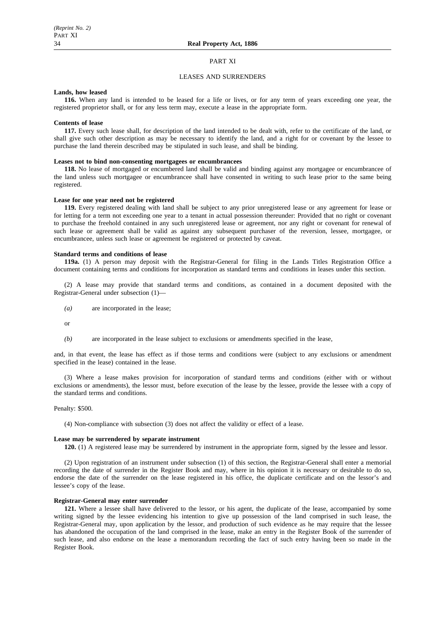## PART XI

## LEASES AND SURRENDERS

#### **Lands, how leased**

**116.** When any land is intended to be leased for a life or lives, or for any term of years exceeding one year, the registered proprietor shall, or for any less term may, execute a lease in the appropriate form.

#### **Contents of lease**

**117.** Every such lease shall, for description of the land intended to be dealt with, refer to the certificate of the land, or shall give such other description as may be necessary to identify the land, and a right for or covenant by the lessee to purchase the land therein described may be stipulated in such lease, and shall be binding.

#### **Leases not to bind non-consenting mortgagees or encumbrancees**

**118.** No lease of mortgaged or encumbered land shall be valid and binding against any mortgagee or encumbrancee of the land unless such mortgagee or encumbrancee shall have consented in writing to such lease prior to the same being registered.

#### **Lease for one year need not be registered**

**119.** Every registered dealing with land shall be subject to any prior unregistered lease or any agreement for lease or for letting for a term not exceeding one year to a tenant in actual possession thereunder: Provided that no right or covenant to purchase the freehold contained in any such unregistered lease or agreement, nor any right or covenant for renewal of such lease or agreement shall be valid as against any subsequent purchaser of the reversion, lessee, mortgagee, or encumbrancee, unless such lease or agreement be registered or protected by caveat.

#### **Standard terms and conditions of lease**

**119a.** (1) A person may deposit with the Registrar-General for filing in the Lands Titles Registration Office a document containing terms and conditions for incorporation as standard terms and conditions in leases under this section.

(2) A lease may provide that standard terms and conditions, as contained in a document deposited with the Registrar-General under subsection (1)—

*(a)* are incorporated in the lease;

or

*(b)* are incorporated in the lease subject to exclusions or amendments specified in the lease,

and, in that event, the lease has effect as if those terms and conditions were (subject to any exclusions or amendment specified in the lease) contained in the lease.

(3) Where a lease makes provision for incorporation of standard terms and conditions (either with or without exclusions or amendments), the lessor must, before execution of the lease by the lessee, provide the lessee with a copy of the standard terms and conditions.

Penalty: \$500.

(4) Non-compliance with subsection (3) does not affect the validity or effect of a lease.

#### **Lease may be surrendered by separate instrument**

**120.** (1) A registered lease may be surrendered by instrument in the appropriate form, signed by the lessee and lessor.

(2) Upon registration of an instrument under subsection (1) of this section, the Registrar-General shall enter a memorial recording the date of surrender in the Register Book and may, where in his opinion it is necessary or desirable to do so, endorse the date of the surrender on the lease registered in his office, the duplicate certificate and on the lessor's and lessee's copy of the lease.

#### **Registrar-General may enter surrender**

**121.** Where a lessee shall have delivered to the lessor, or his agent, the duplicate of the lease, accompanied by some writing signed by the lessee evidencing his intention to give up possession of the land comprised in such lease, the Registrar-General may, upon application by the lessor, and production of such evidence as he may require that the lessee has abandoned the occupation of the land comprised in the lease, make an entry in the Register Book of the surrender of such lease, and also endorse on the lease a memorandum recording the fact of such entry having been so made in the Register Book.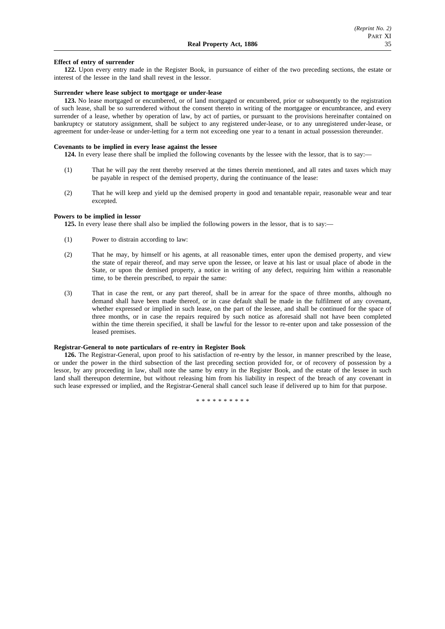## **Effect of entry of surrender**

**122.** Upon every entry made in the Register Book, in pursuance of either of the two preceding sections, the estate or interest of the lessee in the land shall revest in the lessor.

## **Surrender where lease subject to mortgage or under-lease**

**123.** No lease mortgaged or encumbered, or of land mortgaged or encumbered, prior or subsequently to the registration of such lease, shall be so surrendered without the consent thereto in writing of the mortgagee or encumbrancee, and every surrender of a lease, whether by operation of law, by act of parties, or pursuant to the provisions hereinafter contained on bankruptcy or statutory assignment, shall be subject to any registered under-lease, or to any unregistered under-lease, or agreement for under-lease or under-letting for a term not exceeding one year to a tenant in actual possession thereunder.

#### **Covenants to be implied in every lease against the lessee**

**124.** In every lease there shall be implied the following covenants by the lessee with the lessor, that is to say:—

- (1) That he will pay the rent thereby reserved at the times therein mentioned, and all rates and taxes which may be payable in respect of the demised property, during the continuance of the lease:
- (2) That he will keep and yield up the demised property in good and tenantable repair, reasonable wear and tear excepted.

## **Powers to be implied in lessor**

**125.** In every lease there shall also be implied the following powers in the lessor, that is to say:—

- (1) Power to distrain according to law:
- (2) That he may, by himself or his agents, at all reasonable times, enter upon the demised property, and view the state of repair thereof, and may serve upon the lessee, or leave at his last or usual place of abode in the State, or upon the demised property, a notice in writing of any defect, requiring him within a reasonable time, to be therein prescribed, to repair the same:
- (3) That in case the rent, or any part thereof, shall be in arrear for the space of three months, although no demand shall have been made thereof, or in case default shall be made in the fulfilment of any covenant, whether expressed or implied in such lease, on the part of the lessee, and shall be continued for the space of three months, or in case the repairs required by such notice as aforesaid shall not have been completed within the time therein specified, it shall be lawful for the lessor to re-enter upon and take possession of the leased premises.

#### **Registrar-General to note particulars of re-entry in Register Book**

**126.** The Registrar-General, upon proof to his satisfaction of re-entry by the lessor, in manner prescribed by the lease, or under the power in the third subsection of the last preceding section provided for, or of recovery of possession by a lessor, by any proceeding in law, shall note the same by entry in the Register Book, and the estate of the lessee in such land shall thereupon determine, but without releasing him from his liability in respect of the breach of any covenant in such lease expressed or implied, and the Registrar-General shall cancel such lease if delivered up to him for that purpose.

\*\*\*\*\*\*\*\*\*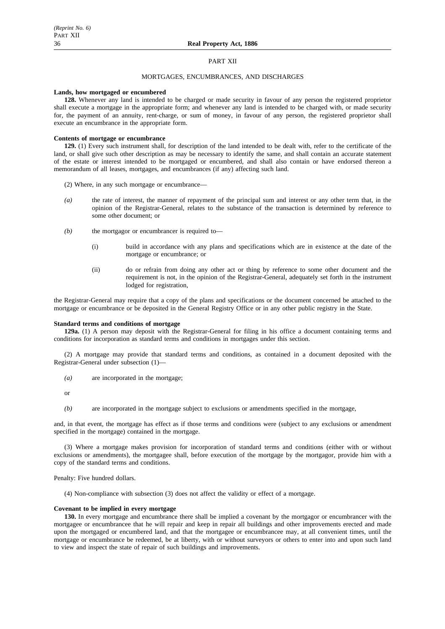## PART XII

## MORTGAGES, ENCUMBRANCES, AND DISCHARGES

#### **Lands, how mortgaged or encumbered**

**128.** Whenever any land is intended to be charged or made security in favour of any person the registered proprietor shall execute a mortgage in the appropriate form; and whenever any land is intended to be charged with, or made security for, the payment of an annuity, rent-charge, or sum of money, in favour of any person, the registered proprietor shall execute an encumbrance in the appropriate form.

#### **Contents of mortgage or encumbrance**

**129.** (1) Every such instrument shall, for description of the land intended to be dealt with, refer to the certificate of the land, or shall give such other description as may be necessary to identify the same, and shall contain an accurate statement of the estate or interest intended to be mortgaged or encumbered, and shall also contain or have endorsed thereon a memorandum of all leases, mortgages, and encumbrances (if any) affecting such land.

- (2) Where, in any such mortgage or encumbrance—
- *(a)* the rate of interest, the manner of repayment of the principal sum and interest or any other term that, in the opinion of the Registrar-General, relates to the substance of the transaction is determined by reference to some other document; or
- *(b)* the mortgagor or encumbrancer is required to—
	- (i) build in accordance with any plans and specifications which are in existence at the date of the mortgage or encumbrance; or
	- (ii) do or refrain from doing any other act or thing by reference to some other document and the requirement is not, in the opinion of the Registrar-General, adequately set forth in the instrument lodged for registration,

the Registrar-General may require that a copy of the plans and specifications or the document concerned be attached to the mortgage or encumbrance or be deposited in the General Registry Office or in any other public registry in the State.

#### **Standard terms and conditions of mortgage**

**129a.** (1) A person may deposit with the Registrar-General for filing in his office a document containing terms and conditions for incorporation as standard terms and conditions in mortgages under this section.

(2) A mortgage may provide that standard terms and conditions, as contained in a document deposited with the Registrar-General under subsection (1)—

*(a)* are incorporated in the mortgage;

or

*(b)* are incorporated in the mortgage subject to exclusions or amendments specified in the mortgage,

and, in that event, the mortgage has effect as if those terms and conditions were (subject to any exclusions or amendment specified in the mortgage) contained in the mortgage.

(3) Where a mortgage makes provision for incorporation of standard terms and conditions (either with or without exclusions or amendments), the mortgagee shall, before execution of the mortgage by the mortgagor, provide him with a copy of the standard terms and conditions.

Penalty: Five hundred dollars.

(4) Non-compliance with subsection (3) does not affect the validity or effect of a mortgage.

#### **Covenant to be implied in every mortgage**

**130.** In every mortgage and encumbrance there shall be implied a covenant by the mortgagor or encumbrancer with the mortgagee or encumbrancee that he will repair and keep in repair all buildings and other improvements erected and made upon the mortgaged or encumbered land, and that the mortgagee or encumbrancee may, at all convenient times, until the mortgage or encumbrance be redeemed, be at liberty, with or without surveyors or others to enter into and upon such land to view and inspect the state of repair of such buildings and improvements.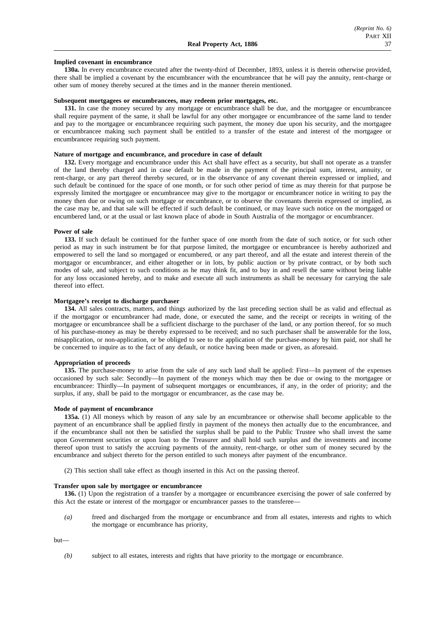## **Implied covenant in encumbrance**

**130a.** In every encumbrance executed after the twenty-third of December, 1893, unless it is therein otherwise provided, there shall be implied a covenant by the encumbrancer with the encumbrancee that he will pay the annuity, rent-charge or other sum of money thereby secured at the times and in the manner therein mentioned.

#### **Subsequent mortgagees or encumbrancees, may redeem prior mortgages, etc.**

**131.** In case the money secured by any mortgage or encumbrance shall be due, and the mortgagee or encumbrancee shall require payment of the same, it shall be lawful for any other mortgagee or encumbrancee of the same land to tender and pay to the mortgagee or encumbrancee requiring such payment, the money due upon his security, and the mortgagee or encumbrancee making such payment shall be entitled to a transfer of the estate and interest of the mortgagee or encumbrancee requiring such payment.

#### **Nature of mortgage and encumbrance, and procedure in case of default**

**132.** Every mortgage and encumbrance under this Act shall have effect as a security, but shall not operate as a transfer of the land thereby charged and in case default be made in the payment of the principal sum, interest, annuity, or rent-charge, or any part thereof thereby secured, or in the observance of any covenant therein expressed or implied, and such default be continued for the space of one month, or for such other period of time as may therein for that purpose be expressly limited the mortgagee or encumbrancee may give to the mortgagor or encumbrancer notice in writing to pay the money then due or owing on such mortgage or encumbrance, or to observe the covenants therein expressed or implied, as the case may be, and that sale will be effected if such default be continued, or may leave such notice on the mortgaged or encumbered land, or at the usual or last known place of abode in South Australia of the mortgagor or encumbrancer.

#### **Power of sale**

**133.** If such default be continued for the further space of one month from the date of such notice, or for such other period as may in such instrument be for that purpose limited, the mortgagee or encumbrancee is hereby authorized and empowered to sell the land so mortgaged or encumbered, or any part thereof, and all the estate and interest therein of the mortgagor or encumbrancer, and either altogether or in lots, by public auction or by private contract, or by both such modes of sale, and subject to such conditions as he may think fit, and to buy in and resell the same without being liable for any loss occasioned hereby, and to make and execute all such instruments as shall be necessary for carrying the sale thereof into effect.

## **Mortgagee's receipt to discharge purchaser**

**134.** All sales contracts, matters, and things authorized by the last preceding section shall be as valid and effectual as if the mortgagor or encumbrancer had made, done, or executed the same, and the receipt or receipts in writing of the mortgagee or encumbrancee shall be a sufficient discharge to the purchaser of the land, or any portion thereof, for so much of his purchase-money as may be thereby expressed to be received; and no such purchaser shall be answerable for the loss, misapplication, or non-application, or be obliged to see to the application of the purchase-money by him paid, nor shall he be concerned to inquire as to the fact of any default, or notice having been made or given, as aforesaid.

## **Appropriation of proceeds**

**135.** The purchase-money to arise from the sale of any such land shall be applied: First—In payment of the expenses occasioned by such sale: Secondly—In payment of the moneys which may then be due or owing to the mortgagee or encumbrancee: Thirdly—In payment of subsequent mortgages or encumbrances, if any, in the order of priority; and the surplus, if any, shall be paid to the mortgagor or encumbrancer, as the case may be.

#### **Mode of payment of encumbrance**

**135a.** (1) All moneys which by reason of any sale by an encumbrancee or otherwise shall become applicable to the payment of an encumbrance shall be applied firstly in payment of the moneys then actually due to the encumbrancee, and if the encumbrance shall not then be satisfied the surplus shall be paid to the Public Trustee who shall invest the same upon Government securities or upon loan to the Treasurer and shall hold such surplus and the investments and income thereof upon trust to satisfy the accruing payments of the annuity, rent-charge, or other sum of money secured by the encumbrance and subject thereto for the person entitled to such moneys after payment of the encumbrance.

(2) This section shall take effect as though inserted in this Act on the passing thereof.

#### **Transfer upon sale by mortgagee or encumbrancee**

**136.** (1) Upon the registration of a transfer by a mortgagee or encumbrancee exercising the power of sale conferred by this Act the estate or interest of the mortgagor or encumbrancer passes to the transferee-

*(a)* freed and discharged from the mortgage or encumbrance and from all estates, interests and rights to which the mortgage or encumbrance has priority,

but—

*(b)* subject to all estates, interests and rights that have priority to the mortgage or encumbrance.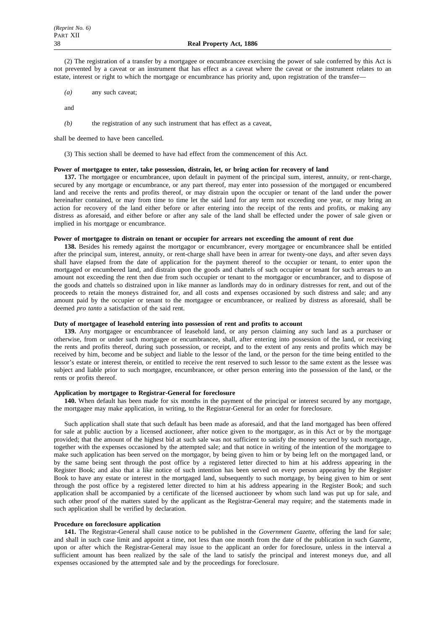(2) The registration of a transfer by a mortgagee or encumbrancee exercising the power of sale conferred by this Act is not prevented by a caveat or an instrument that has effect as a caveat where the caveat or the instrument relates to an estate, interest or right to which the mortgage or encumbrance has priority and, upon registration of the transfer—

*(a)* any such caveat;

and

*(b)* the registration of any such instrument that has effect as a caveat,

shall be deemed to have been cancelled.

(3) This section shall be deemed to have had effect from the commencement of this Act.

## **Power of mortgagee to enter, take possession, distrain, let, or bring action for recovery of land**

**137.** The mortgagee or encumbrancee, upon default in payment of the principal sum, interest, annuity, or rent-charge, secured by any mortgage or encumbrance, or any part thereof, may enter into possession of the mortgaged or encumbered land and receive the rents and profits thereof, or may distrain upon the occupier or tenant of the land under the power hereinafter contained, or may from time to time let the said land for any term not exceeding one year, or may bring an action for recovery of the land either before or after entering into the receipt of the rents and profits, or making any distress as aforesaid, and either before or after any sale of the land shall be effected under the power of sale given or implied in his mortgage or encumbrance.

## **Power of mortgagee to distrain on tenant or occupier for arrears not exceeding the amount of rent due**

**138.** Besides his remedy against the mortgagor or encumbrancer, every mortgagee or encumbrancee shall be entitled after the principal sum, interest, annuity, or rent-charge shall have been in arrear for twenty-one days, and after seven days shall have elapsed from the date of application for the payment thereof to the occupier or tenant, to enter upon the mortgaged or encumbered land, and distrain upon the goods and chattels of such occupier or tenant for such arrears to an amount not exceeding the rent then due from such occupier or tenant to the mortgagor or encumbrancer, and to dispose of the goods and chattels so distrained upon in like manner as landlords may do in ordinary distresses for rent, and out of the proceeds to retain the moneys distrained for, and all costs and expenses occasioned by such distress and sale; and any amount paid by the occupier or tenant to the mortgagee or encumbrancee, or realized by distress as aforesaid, shall be deemed *pro tanto* a satisfaction of the said rent.

## **Duty of mortgagee of leasehold entering into possession of rent and profits to account**

**139.** Any mortgagee or encumbrancee of leasehold land, or any person claiming any such land as a purchaser or otherwise, from or under such mortgagee or encumbrancee, shall, after entering into possession of the land, or receiving the rents and profits thereof, during such possession, or receipt, and to the extent of any rents and profits which may be received by him, become and be subject and liable to the lessor of the land, or the person for the time being entitled to the lessor's estate or interest therein, or entitled to receive the rent reserved to such lessor to the same extent as the lessee was subject and liable prior to such mortgagee, encumbrancee, or other person entering into the possession of the land, or the rents or profits thereof.

## **Application by mortgagee to Registrar-General for foreclosure**

**140.** When default has been made for six months in the payment of the principal or interest secured by any mortgage, the mortgagee may make application, in writing, to the Registrar-General for an order for foreclosure.

Such application shall state that such default has been made as aforesaid, and that the land mortgaged has been offered for sale at public auction by a licensed auctioneer, after notice given to the mortgagor, as in this Act or by the mortgage provided; that the amount of the highest bid at such sale was not sufficient to satisfy the money secured by such mortgage, together with the expenses occasioned by the attempted sale; and that notice in writing of the intention of the mortgagee to make such application has been served on the mortgagor, by being given to him or by being left on the mortgaged land, or by the same being sent through the post office by a registered letter directed to him at his address appearing in the Register Book; and also that a like notice of such intention has been served on every person appearing by the Register Book to have any estate or interest in the mortgaged land, subsequently to such mortgage, by being given to him or sent through the post office by a registered letter directed to him at his address appearing in the Register Book; and such application shall be accompanied by a certificate of the licensed auctioneer by whom such land was put up for sale, and such other proof of the matters stated by the applicant as the Registrar-General may require; and the statements made in such application shall be verified by declaration.

#### **Procedure on foreclosure application**

**141.** The Registrar-General shall cause notice to be published in the *Government Gazette*, offering the land for sale; and shall in such case limit and appoint a time, not less than one month from the date of the publication in such *Gazette*, upon or after which the Registrar-General may issue to the applicant an order for foreclosure, unless in the interval a sufficient amount has been realized by the sale of the land to satisfy the principal and interest moneys due, and all expenses occasioned by the attempted sale and by the proceedings for foreclosure.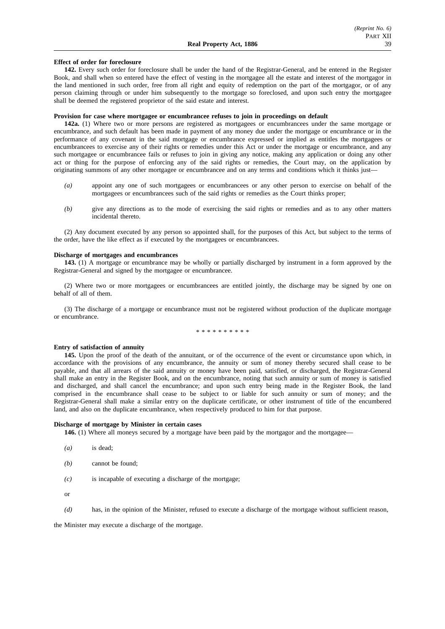## **Effect of order for foreclosure**

**142.** Every such order for foreclosure shall be under the hand of the Registrar-General, and be entered in the Register Book, and shall when so entered have the effect of vesting in the mortgagee all the estate and interest of the mortgagor in the land mentioned in such order, free from all right and equity of redemption on the part of the mortgagor, or of any person claiming through or under him subsequently to the mortgage so foreclosed, and upon such entry the mortgagee shall be deemed the registered proprietor of the said estate and interest.

#### **Provision for case where mortgagee or encumbrancee refuses to join in proceedings on default**

**142a.** (1) Where two or more persons are registered as mortgagees or encumbrancees under the same mortgage or encumbrance, and such default has been made in payment of any money due under the mortgage or encumbrance or in the performance of any covenant in the said mortgage or encumbrance expressed or implied as entitles the mortgagees or encumbrancees to exercise any of their rights or remedies under this Act or under the mortgage or encumbrance, and any such mortgagee or encumbrancee fails or refuses to join in giving any notice, making any application or doing any other act or thing for the purpose of enforcing any of the said rights or remedies, the Court may, on the application by originating summons of any other mortgagee or encumbrancee and on any terms and conditions which it thinks just—

- *(a)* appoint any one of such mortgagees or encumbrancees or any other person to exercise on behalf of the mortgagees or encumbrancees such of the said rights or remedies as the Court thinks proper;
- *(b)* give any directions as to the mode of exercising the said rights or remedies and as to any other matters incidental thereto.

(2) Any document executed by any person so appointed shall, for the purposes of this Act, but subject to the terms of the order, have the like effect as if executed by the mortgagees or encumbrancees.

#### **Discharge of mortgages and encumbrances**

**143.** (1) A mortgage or encumbrance may be wholly or partially discharged by instrument in a form approved by the Registrar-General and signed by the mortgagee or encumbrancee.

(2) Where two or more mortgagees or encumbrancees are entitled jointly, the discharge may be signed by one on behalf of all of them.

(3) The discharge of a mortgage or encumbrance must not be registered without production of the duplicate mortgage or encumbrance.

\*\*\*\*\*\*\*\*\*\*

## **Entry of satisfaction of annuity**

**145.** Upon the proof of the death of the annuitant, or of the occurrence of the event or circumstance upon which, in accordance with the provisions of any encumbrance, the annuity or sum of money thereby secured shall cease to be payable, and that all arrears of the said annuity or money have been paid, satisfied, or discharged, the Registrar-General shall make an entry in the Register Book, and on the encumbrance, noting that such annuity or sum of money is satisfied and discharged, and shall cancel the encumbrance; and upon such entry being made in the Register Book, the land comprised in the encumbrance shall cease to be subject to or liable for such annuity or sum of money; and the Registrar-General shall make a similar entry on the duplicate certificate, or other instrument of title of the encumbered land, and also on the duplicate encumbrance, when respectively produced to him for that purpose.

#### **Discharge of mortgage by Minister in certain cases**

**146.** (1) Where all moneys secured by a mortgage have been paid by the mortgagor and the mortgagee—

- *(a)* is dead;
- *(b)* cannot be found;
- *(c)* is incapable of executing a discharge of the mortgage;
- or
- *(d)* has, in the opinion of the Minister, refused to execute a discharge of the mortgage without sufficient reason,

the Minister may execute a discharge of the mortgage.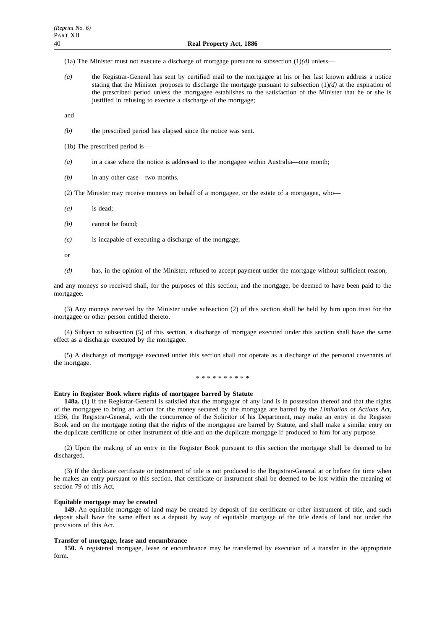(1a) The Minister must not execute a discharge of mortgage pursuant to subsection  $(1)(d)$  unless—

*(a)* the Registrar-General has sent by certified mail to the mortgagee at his or her last known address a notice stating that the Minister proposes to discharge the mortgage pursuant to subsection (1)*(d)* at the expiration of the prescribed period unless the mortgagee establishes to the satisfaction of the Minister that he or she is justified in refusing to execute a discharge of the mortgage;

and

- *(b)* the prescribed period has elapsed since the notice was sent.
- (1b) The prescribed period is—
- *(a)* in a case where the notice is addressed to the mortgagee within Australia—one month;
- *(b)* in any other case—two months.

(2) The Minister may receive moneys on behalf of a mortgagee, or the estate of a mortgagee, who—

- *(a)* is dead;
- *(b)* cannot be found;
- *(c)* is incapable of executing a discharge of the mortgage;

or

*(d)* has, in the opinion of the Minister, refused to accept payment under the mortgage without sufficient reason,

and any moneys so received shall, for the purposes of this section, and the mortgage, be deemed to have been paid to the mortgagee.

(3) Any moneys received by the Minister under subsection (2) of this section shall be held by him upon trust for the mortgagee or other person entitled thereto.

(4) Subject to subsection (5) of this section, a discharge of mortgage executed under this section shall have the same effect as a discharge executed by the mortgagee.

(5) A discharge of mortgage executed under this section shall not operate as a discharge of the personal covenants of the mortgage.

\*\*\*\*\*\*\*\*\*

#### **Entry in Register Book where rights of mortgagee barred by Statute**

**148a.** (1) If the Registrar-General is satisfied that the mortgagor of any land is in possession thereof and that the rights of the mortgagee to bring an action for the money secured by the mortgage are barred by the *Limitation of Actions Act, 1936*, the Registrar-General, with the concurrence of the Solicitor of his Department, may make an entry in the Register Book and on the mortgage noting that the rights of the mortgagee are barred by Statute, and shall make a similar entry on the duplicate certificate or other instrument of title and on the duplicate mortgage if produced to him for any purpose.

(2) Upon the making of an entry in the Register Book pursuant to this section the mortgage shall be deemed to be discharged.

(3) If the duplicate certificate or instrument of title is not produced to the Registrar-General at or before the time when he makes an entry pursuant to this section, that certificate or instrument shall be deemed to be lost within the meaning of section 79 of this Act.

#### **Equitable mortgage may be created**

**149.** An equitable mortgage of land may be created by deposit of the certificate or other instrument of title, and such deposit shall have the same effect as a deposit by way of equitable mortgage of the title deeds of land not under the provisions of this Act.

#### **Transfer of mortgage, lease and encumbrance**

**150.** A registered mortgage, lease or encumbrance may be transferred by execution of a transfer in the appropriate form.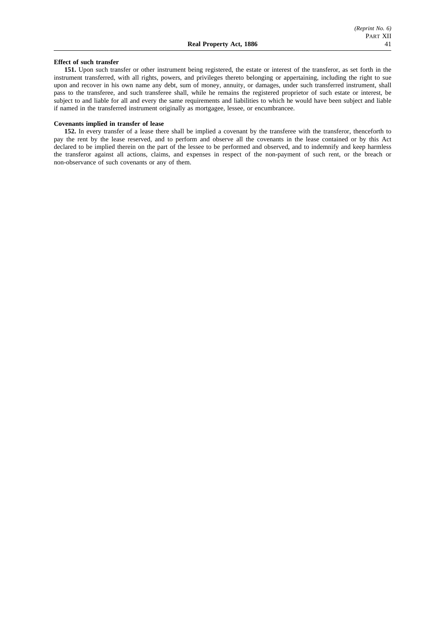## **Effect of such transfer**

**151.** Upon such transfer or other instrument being registered, the estate or interest of the transferor, as set forth in the instrument transferred, with all rights, powers, and privileges thereto belonging or appertaining, including the right to sue upon and recover in his own name any debt, sum of money, annuity, or damages, under such transferred instrument, shall pass to the transferee, and such transferee shall, while he remains the registered proprietor of such estate or interest, be subject to and liable for all and every the same requirements and liabilities to which he would have been subject and liable if named in the transferred instrument originally as mortgagee, lessee, or encumbrancee.

## **Covenants implied in transfer of lease**

**152.** In every transfer of a lease there shall be implied a covenant by the transferee with the transferor, thenceforth to pay the rent by the lease reserved, and to perform and observe all the covenants in the lease contained or by this Act declared to be implied therein on the part of the lessee to be performed and observed, and to indemnify and keep harmless the transferor against all actions, claims, and expenses in respect of the non-payment of such rent, or the breach or non-observance of such covenants or any of them.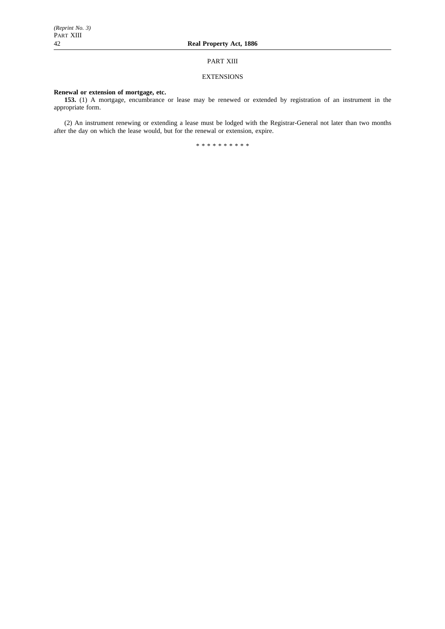## PART XIII

## EXTENSIONS

#### **Renewal or extension of mortgage, etc.**

**153.** (1) A mortgage, encumbrance or lease may be renewed or extended by registration of an instrument in the appropriate form.

(2) An instrument renewing or extending a lease must be lodged with the Registrar-General not later than two months after the day on which the lease would, but for the renewal or extension, expire.

\*\*\*\*\*\*\*\*\*\*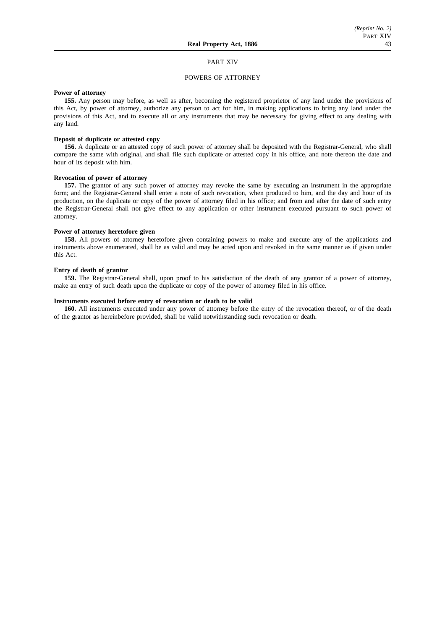## PART XIV

## POWERS OF ATTORNEY

## **Power of attorney**

**155.** Any person may before, as well as after, becoming the registered proprietor of any land under the provisions of this Act, by power of attorney, authorize any person to act for him, in making applications to bring any land under the provisions of this Act, and to execute all or any instruments that may be necessary for giving effect to any dealing with any land.

## **Deposit of duplicate or attested copy**

**156.** A duplicate or an attested copy of such power of attorney shall be deposited with the Registrar-General, who shall compare the same with original, and shall file such duplicate or attested copy in his office, and note thereon the date and hour of its deposit with him.

### **Revocation of power of attorney**

**157.** The grantor of any such power of attorney may revoke the same by executing an instrument in the appropriate form; and the Registrar-General shall enter a note of such revocation, when produced to him, and the day and hour of its production, on the duplicate or copy of the power of attorney filed in his office; and from and after the date of such entry the Registrar-General shall not give effect to any application or other instrument executed pursuant to such power of attorney.

## **Power of attorney heretofore given**

**158.** All powers of attorney heretofore given containing powers to make and execute any of the applications and instruments above enumerated, shall be as valid and may be acted upon and revoked in the same manner as if given under this Act.

#### **Entry of death of grantor**

**159.** The Registrar-General shall, upon proof to his satisfaction of the death of any grantor of a power of attorney, make an entry of such death upon the duplicate or copy of the power of attorney filed in his office.

## **Instruments executed before entry of revocation or death to be valid**

**160.** All instruments executed under any power of attorney before the entry of the revocation thereof, or of the death of the grantor as hereinbefore provided, shall be valid notwithstanding such revocation or death.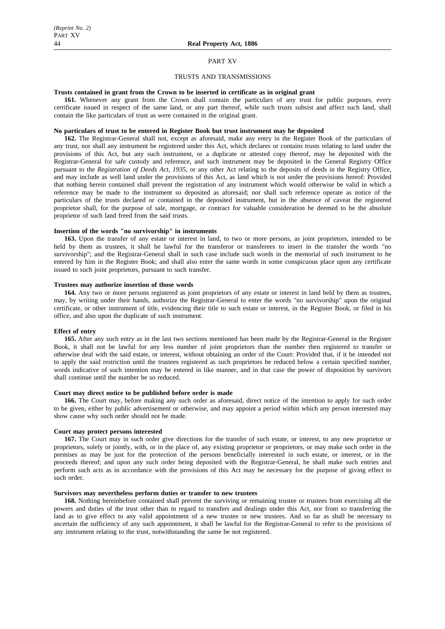## PART XV

#### TRUSTS AND TRANSMISSIONS

#### **Trusts contained in grant from the Crown to be inserted in certificate as in original grant**

**161.** Whenever any grant from the Crown shall contain the particulars of any trust for public purposes, every certificate issued in respect of the same land, or any part thereof, while such trusts subsist and affect such land, shall contain the like particulars of trust as were contained in the original grant.

#### **No particulars of trust to be entered in Register Book but trust instrument may be deposited**

**162.** The Registrar-General shall not, except as aforesaid, make any entry in the Register Book of the particulars of any trust, nor shall any instrument be registered under this Act, which declares or contains trusts relating to land under the provisions of this Act, but any such instrument, or a duplicate or attested copy thereof, may be deposited with the Registrar-General for safe custody and reference, and such instrument may be deposited in the General Registry Office pursuant to the *Registration of Deeds Act, 1935*, or any other Act relating to the deposits of deeds in the Registry Office, and may include as well land under the provisions of this Act, as land which is not under the provisions hereof: Provided that nothing herein contained shall prevent the registration of any instrument which would otherwise be valid in which a reference may be made to the instrument so deposited as aforesaid; nor shall such reference operate as notice of the particulars of the trusts declared or contained in the deposited instrument, but in the absence of caveat the registered proprietor shall, for the purpose of sale, mortgage, or contract for valuable consideration be deemed to be the absolute proprietor of such land freed from the said trusts.

#### **Insertion of the words "no survivorship" in instruments**

**163.** Upon the transfer of any estate or interest in land, to two or more persons, as joint proprietors, intended to be held by them as trustees, it shall be lawful for the transferor or transferees to insert in the transfer the words "no survivorship"; and the Registrar-General shall in such case include such words in the memorial of such instrument to be entered by him in the Register Book; and shall also enter the same words in some conspicuous place upon any certificate issued to such joint proprietors, pursuant to such transfer.

#### **Trustees may authorize insertion of those words**

**164.** Any two or more persons registered as joint proprietors of any estate or interest in land held by them as trustees, may, by writing under their hands, authorize the Registrar-General to enter the words "no survivorship" upon the original certificate, or other instrument of title, evidencing their title to such estate or interest, in the Register Book, or filed in his office, and also upon the duplicate of such instrument.

#### **Effect of entry**

**165.** After any such entry as in the last two sections mentioned has been made by the Registrar-General in the Register Book, it shall not be lawful for any less number of joint proprietors than the number then registered to transfer or otherwise deal with the said estate, or interest, without obtaining an order of the Court: Provided that, if it be intended not to apply the said restriction until the trustees registered as such proprietors be reduced below a certain specified number, words indicative of such intention may be entered in like manner, and in that case the power of disposition by survivors shall continue until the number be so reduced.

#### **Court may direct notice to be published before order is made**

**166.** The Court may, before making any such order as aforesaid, direct notice of the intention to apply for such order to be given, either by public advertisement or otherwise, and may appoint a period within which any person interested may show cause why such order should not be made.

#### **Court may protect persons interested**

**167.** The Court may in such order give directions for the transfer of such estate, or interest, to any new proprietor or proprietors, solely or jointly, with, or in the place of, any existing proprietor or proprietors, or may make such order in the premises as may be just for the protection of the persons beneficially interested in such estate, or interest, or in the proceeds thereof; and upon any such order being deposited with the Registrar-General, he shall make such entries and perform such acts as in accordance with the provisions of this Act may be necessary for the purpose of giving effect to such order.

#### **Survivors may nevertheless perform duties or transfer to new trustees**

**168.** Nothing hereinbefore contained shall prevent the surviving or remaining trustee or trustees from exercising all the powers and duties of the trust other than in regard to transfers and dealings under this Act, nor from so transferring the land as to give effect to any valid appointment of a new trustee or new trustees. And so far as shall be necessary to ascertain the sufficiency of any such appointment, it shall be lawful for the Registrar-General to refer to the provisions of any instrument relating to the trust, notwithstanding the same be not registered.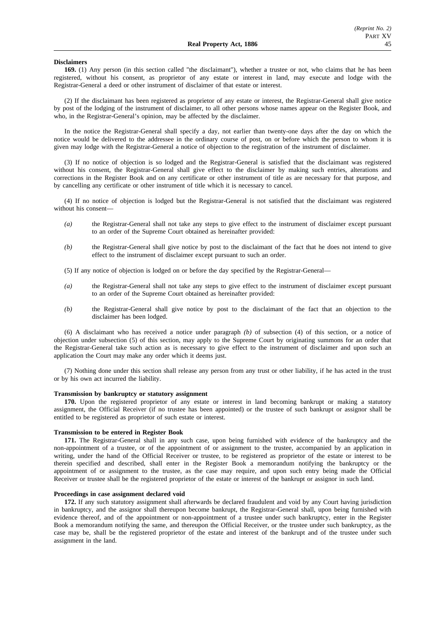## **Disclaimers**

**169.** (1) Any person (in this section called "the disclaimant"), whether a trustee or not, who claims that he has been registered, without his consent, as proprietor of any estate or interest in land, may execute and lodge with the Registrar-General a deed or other instrument of disclaimer of that estate or interest.

(2) If the disclaimant has been registered as proprietor of any estate or interest, the Registrar-General shall give notice by post of the lodging of the instrument of disclaimer, to all other persons whose names appear on the Register Book, and who, in the Registrar-General's opinion, may be affected by the disclaimer.

In the notice the Registrar-General shall specify a day, not earlier than twenty-one days after the day on which the notice would be delivered to the addressee in the ordinary course of post, on or before which the person to whom it is given may lodge with the Registrar-General a notice of objection to the registration of the instrument of disclaimer.

(3) If no notice of objection is so lodged and the Registrar-General is satisfied that the disclaimant was registered without his consent, the Registrar-General shall give effect to the disclaimer by making such entries, alterations and corrections in the Register Book and on any certificate or other instrument of title as are necessary for that purpose, and by cancelling any certificate or other instrument of title which it is necessary to cancel.

(4) If no notice of objection is lodged but the Registrar-General is not satisfied that the disclaimant was registered without his consent—

- *(a)* the Registrar-General shall not take any steps to give effect to the instrument of disclaimer except pursuant to an order of the Supreme Court obtained as hereinafter provided:
- *(b)* the Registrar-General shall give notice by post to the disclaimant of the fact that he does not intend to give effect to the instrument of disclaimer except pursuant to such an order.
- (5) If any notice of objection is lodged on or before the day specified by the Registrar-General—
- *(a)* the Registrar-General shall not take any steps to give effect to the instrument of disclaimer except pursuant to an order of the Supreme Court obtained as hereinafter provided:
- *(b)* the Registrar-General shall give notice by post to the disclaimant of the fact that an objection to the disclaimer has been lodged.

(6) A disclaimant who has received a notice under paragraph *(b)* of subsection (4) of this section, or a notice of objection under subsection (5) of this section, may apply to the Supreme Court by originating summons for an order that the Registrar-General take such action as is necessary to give effect to the instrument of disclaimer and upon such an application the Court may make any order which it deems just.

(7) Nothing done under this section shall release any person from any trust or other liability, if he has acted in the trust or by his own act incurred the liability.

#### **Transmission by bankruptcy or statutory assignment**

**170.** Upon the registered proprietor of any estate or interest in land becoming bankrupt or making a statutory assignment, the Official Receiver (if no trustee has been appointed) or the trustee of such bankrupt or assignor shall be entitled to be registered as proprietor of such estate or interest.

## **Transmission to be entered in Register Book**

**171.** The Registrar-General shall in any such case, upon being furnished with evidence of the bankruptcy and the non-appointment of a trustee, or of the appointment of or assignment to the trustee, accompanied by an application in writing, under the hand of the Official Receiver or trustee, to be registered as proprietor of the estate or interest to be therein specified and described, shall enter in the Register Book a memorandum notifying the bankruptcy or the appointment of or assignment to the trustee, as the case may require, and upon such entry being made the Official Receiver or trustee shall be the registered proprietor of the estate or interest of the bankrupt or assignor in such land.

#### **Proceedings in case assignment declared void**

**172.** If any such statutory assignment shall afterwards be declared fraudulent and void by any Court having jurisdiction in bankruptcy, and the assignor shall thereupon become bankrupt, the Registrar-General shall, upon being furnished with evidence thereof, and of the appointment or non-appointment of a trustee under such bankruptcy, enter in the Register Book a memorandum notifying the same, and thereupon the Official Receiver, or the trustee under such bankruptcy, as the case may be, shall be the registered proprietor of the estate and interest of the bankrupt and of the trustee under such assignment in the land.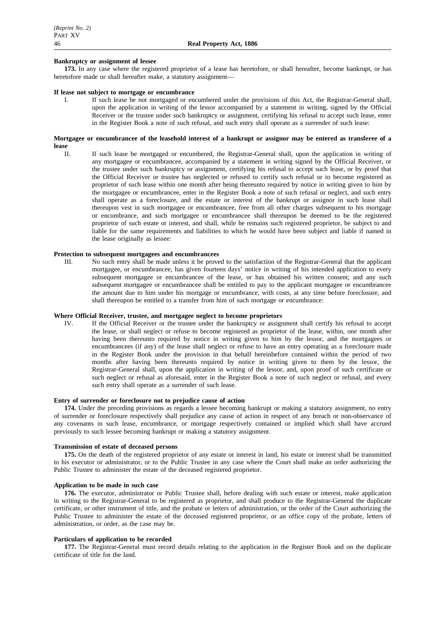## **Bankruptcy or assignment of lessee**

**173.** In any case where the registered proprietor of a lease has heretofore, or shall hereafter, become bankrupt, or has heretofore made or shall hereafter make, a statutory assignment—

#### **If lease not subject to mortgage or encumbrance**

I. If such lease be not mortgaged or encumbered under the provisions of this Act, the Registrar-General shall, upon the application in writing of the lessor accompanied by a statement in writing, signed by the Official Receiver or the trustee under such bankruptcy or assignment, certifying his refusal to accept such lease, enter in the Register Book a note of such refusal, and such entry shall operate as a surrender of such lease:

## **Mortgagee or encumbrancee of the leasehold interest of a bankrupt or assignor may be entered as transferee of a lease**

II. If such lease be mortgaged or encumbered, the Registrar-General shall, upon the application in writing of any mortgagee or encumbrancee, accompanied by a statement in writing signed by the Official Receiver, or the trustee under such bankruptcy or assignment, certifying his refusal to accept such lease, or by proof that the Official Receiver or trustee has neglected or refused to certify such refusal or to become registered as proprietor of such lease within one month after being thereunto required by notice in writing given to him by the mortgagee or encumbrancee, enter in the Register Book a note of such refusal or neglect, and such entry shall operate as a foreclosure, and the estate or interest of the bankrupt or assignor in such lease shall thereupon vest in such mortgagee or encumbrancee, free from all other charges subsequent to his mortgage or encumbrance, and such mortgagee or encumbrancee shall thereupon be deemed to be the registered proprietor of such estate or interest, and shall, while he remains such registered proprietor, be subject to and liable for the same requirements and liabilities to which he would have been subject and liable if named in the lease originally as lessee:

#### **Protection to subsequent mortgagees and encumbrancees**

III. No such entry shall be made unless it be proved to the satisfaction of the Registrar-General that the applicant mortgagee, or encumbrancee, has given fourteen days' notice in writing of his intended application to every subsequent mortgagee or encumbrancee of the lease, or has obtained his written consent; and any such subsequent mortgagee or encumbrancee shall be entitled to pay to the applicant mortgagee or encumbrancee the amount due to him under his mortgage or encumbrance, with costs, at any time before foreclosure, and shall thereupon be entitled to a transfer from him of such mortgage or encumbrance:

## **Where Official Receiver, trustee, and mortgagee neglect to become proprietors** IV. If the Official Receiver or the trustee under the bankruptcy or assign

If the Official Receiver or the trustee under the bankruptcy or assignment shall certify his refusal to accept the lease, or shall neglect or refuse to become registered as proprietor of the lease, within, one month after having been thereunto required by notice in writing given to him by the lessor, and the mortgagees or encumbrancees (if any) of the lease shall neglect or refuse to have an entry operating as a foreclosure made in the Register Book under the provision in that behalf hereinbefore contained within the period of two months after having been thereunto required by notice in writing given to them by the lessor, the Registrar-General shall, upon the application in writing of the lessor, and, upon proof of such certificate or such neglect or refusal as aforesaid, enter in the Register Book a note of such neglect or refusal, and every such entry shall operate as a surrender of such lease.

#### **Entry of surrender or foreclosure not to prejudice cause of action**

**174.** Under the preceding provisions as regards a lessee becoming bankrupt or making a statutory assignment, no entry of surrender or foreclosure respectively shall prejudice any cause of action in respect of any breach or non-observance of any covenants in such lease, encumbrance, or mortgage respectively contained or implied which shall have accrued previously to such lessee becoming bankrupt or making a statutory assignment.

## **Transmission of estate of deceased persons**

**175.** On the death of the registered proprietor of any estate or interest in land, his estate or interest shall be transmitted to his executor or administrator, or to the Public Trustee in any case where the Court shall make an order authorizing the Public Trustee to administer the estate of the deceased registered proprietor.

#### **Application to be made in such case**

**176.** The executor, administrator or Public Trustee shall, before dealing with such estate or interest, make application in writing to the Registrar-General to be registered as proprietor, and shall produce to the Registrar-General the duplicate certificate, or other instrument of title, and the probate or letters of administration, or the order of the Court authorizing the Public Trustee to administer the estate of the deceased registered proprietor, or an office copy of the probate, letters of administration, or order, as the case may be.

#### **Particulars of application to be recorded**

**177.** The Registrar-General must record details relating to the application in the Register Book and on the duplicate certificate of title for the land.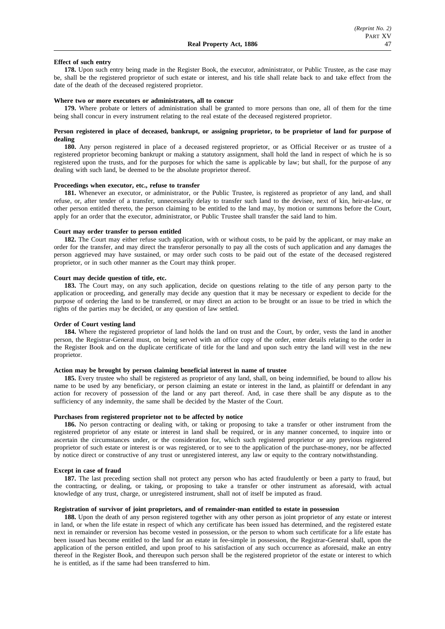## **Effect of such entry**

**178.** Upon such entry being made in the Register Book, the executor, administrator, or Public Trustee, as the case may be, shall be the registered proprietor of such estate or interest, and his title shall relate back to and take effect from the date of the death of the deceased registered proprietor.

#### **Where two or more executors or administrators, all to concur**

**179.** Where probate or letters of administration shall be granted to more persons than one, all of them for the time being shall concur in every instrument relating to the real estate of the deceased registered proprietor.

## **Person registered in place of deceased, bankrupt, or assigning proprietor, to be proprietor of land for purpose of dealing**

**180.** Any person registered in place of a deceased registered proprietor, or as Official Receiver or as trustee of a registered proprietor becoming bankrupt or making a statutory assignment, shall hold the land in respect of which he is so registered upon the trusts, and for the purposes for which the same is applicable by law; but shall, for the purpose of any dealing with such land, be deemed to be the absolute proprietor thereof.

#### **Proceedings when executor, etc., refuse to transfer**

**181.** Whenever an executor, or administrator, or the Public Trustee, is registered as proprietor of any land, and shall refuse, or, after tender of a transfer, unnecessarily delay to transfer such land to the devisee, next of kin, heir-at-law, or other person entitled thereto, the person claiming to be entitled to the land may, by motion or summons before the Court, apply for an order that the executor, administrator, or Public Trustee shall transfer the said land to him.

#### **Court may order transfer to person entitled**

**182.** The Court may either refuse such application, with or without costs, to be paid by the applicant, or may make an order for the transfer, and may direct the transferor personally to pay all the costs of such application and any damages the person aggrieved may have sustained, or may order such costs to be paid out of the estate of the deceased registered proprietor, or in such other manner as the Court may think proper.

#### **Court may decide question of title, etc.**

**183.** The Court may, on any such application, decide on questions relating to the title of any person party to the application or proceeding, and generally may decide any question that it may be necessary or expedient to decide for the purpose of ordering the land to be transferred, or may direct an action to be brought or an issue to be tried in which the rights of the parties may be decided, or any question of law settled.

#### **Order of Court vesting land**

**184.** Where the registered proprietor of land holds the land on trust and the Court, by order, vests the land in another person, the Registrar-General must, on being served with an office copy of the order, enter details relating to the order in the Register Book and on the duplicate certificate of title for the land and upon such entry the land will vest in the new proprietor.

#### **Action may be brought by person claiming beneficial interest in name of trustee**

**185.** Every trustee who shall be registered as proprietor of any land, shall, on being indemnified, be bound to allow his name to be used by any beneficiary, or person claiming an estate or interest in the land, as plaintiff or defendant in any action for recovery of possession of the land or any part thereof. And, in case there shall be any dispute as to the sufficiency of any indemnity, the same shall be decided by the Master of the Court.

#### **Purchases from registered proprietor not to be affected by notice**

**186.** No person contracting or dealing with, or taking or proposing to take a transfer or other instrument from the registered proprietor of any estate or interest in land shall be required, or in any manner concerned, to inquire into or ascertain the circumstances under, or the consideration for, which such registered proprietor or any previous registered proprietor of such estate or interest is or was registered, or to see to the application of the purchase-money, nor be affected by notice direct or constructive of any trust or unregistered interest, any law or equity to the contrary notwithstanding.

#### **Except in case of fraud**

**187.** The last preceding section shall not protect any person who has acted fraudulently or been a party to fraud, but the contracting, or dealing, or taking, or proposing to take a transfer or other instrument as aforesaid, with actual knowledge of any trust, charge, or unregistered instrument, shall not of itself be imputed as fraud.

#### **Registration of survivor of joint proprietors, and of remainder-man entitled to estate in possession**

**188.** Upon the death of any person registered together with any other person as joint proprietor of any estate or interest in land, or when the life estate in respect of which any certificate has been issued has determined, and the registered estate next in remainder or reversion has become vested in possession, or the person to whom such certificate for a life estate has been issued has become entitled to the land for an estate in fee-simple in possession, the Registrar-General shall, upon the application of the person entitled, and upon proof to his satisfaction of any such occurrence as aforesaid, make an entry thereof in the Register Book, and thereupon such person shall be the registered proprietor of the estate or interest to which he is entitled, as if the same had been transferred to him.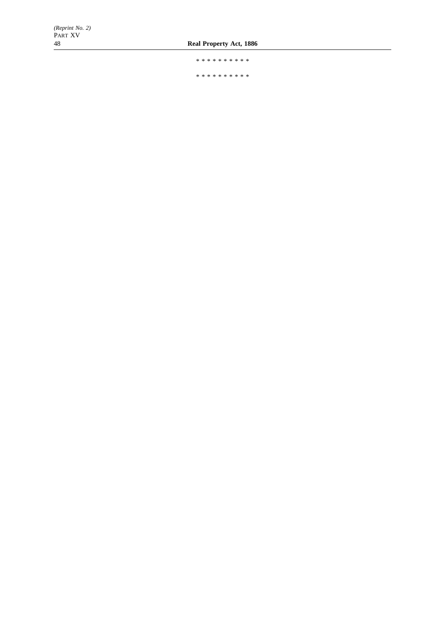\*\*\*\*\*\*\*\*\*\* \*\*\*\*\*\*\*\*\*\*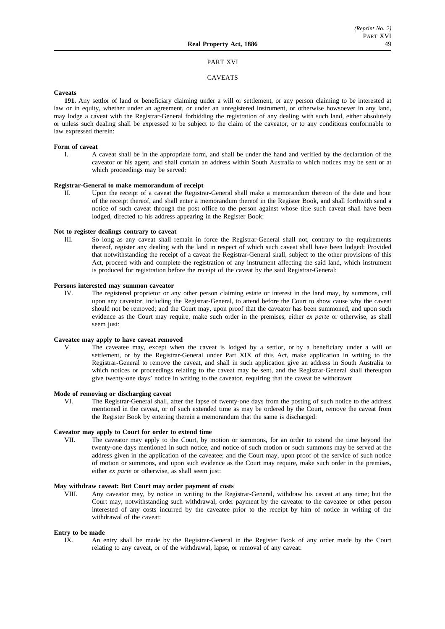## PART XVI

## CAVEATS

## **Caveats**

**191.** Any settlor of land or beneficiary claiming under a will or settlement, or any person claiming to be interested at law or in equity, whether under an agreement, or under an unregistered instrument, or otherwise howsoever in any land, may lodge a caveat with the Registrar-General forbidding the registration of any dealing with such land, either absolutely or unless such dealing shall be expressed to be subject to the claim of the caveator, or to any conditions conformable to law expressed therein:

## **Form of caveat**

I. A caveat shall be in the appropriate form, and shall be under the hand and verified by the declaration of the caveator or his agent, and shall contain an address within South Australia to which notices may be sent or at which proceedings may be served:

#### **Registrar-General to make memorandum of receipt**

II. Upon the receipt of a caveat the Registrar-General shall make a memorandum thereon of the date and hour of the receipt thereof, and shall enter a memorandum thereof in the Register Book, and shall forthwith send a notice of such caveat through the post office to the person against whose title such caveat shall have been lodged, directed to his address appearing in the Register Book:

#### **Not to register dealings contrary to caveat**

III. So long as any caveat shall remain in force the Registrar-General shall not, contrary to the requirements thereof, register any dealing with the land in respect of which such caveat shall have been lodged: Provided that notwithstanding the receipt of a caveat the Registrar-General shall, subject to the other provisions of this Act, proceed with and complete the registration of any instrument affecting the said land, which instrument is produced for registration before the receipt of the caveat by the said Registrar-General:

#### **Persons interested may summon caveator**

IV. The registered proprietor or any other person claiming estate or interest in the land may, by summons, call upon any caveator, including the Registrar-General, to attend before the Court to show cause why the caveat should not be removed; and the Court may, upon proof that the caveator has been summoned, and upon such evidence as the Court may require, make such order in the premises, either *ex parte* or otherwise, as shall seem just:

#### **Caveatee may apply to have caveat removed**

V. The caveatee may, except when the caveat is lodged by a settlor, or by a beneficiary under a will or settlement, or by the Registrar-General under Part XIX of this Act, make application in writing to the Registrar-General to remove the caveat, and shall in such application give an address in South Australia to which notices or proceedings relating to the caveat may be sent, and the Registrar-General shall thereupon give twenty-one days' notice in writing to the caveator, requiring that the caveat be withdrawn:

#### **Mode of removing or discharging caveat**

VI. The Registrar-General shall, after the lapse of twenty-one days from the posting of such notice to the address mentioned in the caveat, or of such extended time as may be ordered by the Court, remove the caveat from the Register Book by entering therein a memorandum that the same is discharged:

#### **Caveator may apply to Court for order to extend time**

VII. The caveator may apply to the Court, by motion or summons, for an order to extend the time beyond the twenty-one days mentioned in such notice, and notice of such motion or such summons may be served at the address given in the application of the caveatee; and the Court may, upon proof of the service of such notice of motion or summons, and upon such evidence as the Court may require, make such order in the premises, either *ex parte* or otherwise, as shall seem just:

## **May withdraw caveat: But Court may order payment of costs**

VIII. Any caveator may, by notice in writing to the Registrar-General, withdraw his caveat at any time; but the Court may, notwithstanding such withdrawal, order payment by the caveator to the caveatee or other person interested of any costs incurred by the caveatee prior to the receipt by him of notice in writing of the withdrawal of the caveat:

#### **Entry to be made**

IX. An entry shall be made by the Registrar-General in the Register Book of any order made by the Court relating to any caveat, or of the withdrawal, lapse, or removal of any caveat: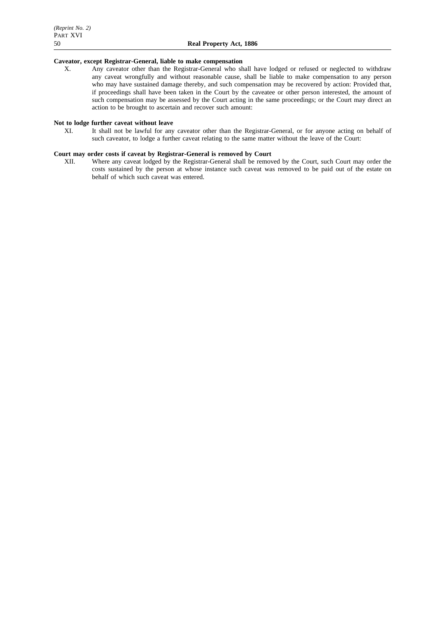# **Caveator, except Registrar-General, liable to make compensation**<br>X. Any caveator other than the Registrar-General who sh

Any caveator other than the Registrar-General who shall have lodged or refused or neglected to withdraw any caveat wrongfully and without reasonable cause, shall be liable to make compensation to any person who may have sustained damage thereby, and such compensation may be recovered by action: Provided that, if proceedings shall have been taken in the Court by the caveatee or other person interested, the amount of such compensation may be assessed by the Court acting in the same proceedings; or the Court may direct an action to be brought to ascertain and recover such amount:

## **Not to lodge further caveat without leave**<br>XI. It shall not be lawful for any

It shall not be lawful for any caveator other than the Registrar-General, or for anyone acting on behalf of such caveator, to lodge a further caveat relating to the same matter without the leave of the Court:

## **Court may order costs if caveat by Registrar-General is removed by Court** XII. Where any caveat lodged by the Registrar-General shall be removed

Where any caveat lodged by the Registrar-General shall be removed by the Court, such Court may order the costs sustained by the person at whose instance such caveat was removed to be paid out of the estate on behalf of which such caveat was entered.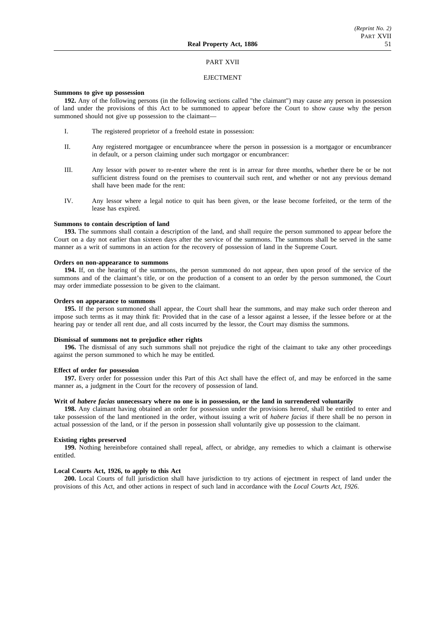## PART XVII

## EJECTMENT

#### **Summons to give up possession**

**192.** Any of the following persons (in the following sections called "the claimant") may cause any person in possession of land under the provisions of this Act to be summoned to appear before the Court to show cause why the person summoned should not give up possession to the claimant—

- I. The registered proprietor of a freehold estate in possession:
- II. Any registered mortgagee or encumbrancee where the person in possession is a mortgagor or encumbrancer in default, or a person claiming under such mortgagor or encumbrancer:
- III. Any lessor with power to re-enter where the rent is in arrear for three months, whether there be or be not sufficient distress found on the premises to countervail such rent, and whether or not any previous demand shall have been made for the rent:
- IV. Any lessor where a legal notice to quit has been given, or the lease become forfeited, or the term of the lease has expired.

## **Summons to contain description of land**

**193.** The summons shall contain a description of the land, and shall require the person summoned to appear before the Court on a day not earlier than sixteen days after the service of the summons. The summons shall be served in the same manner as a writ of summons in an action for the recovery of possession of land in the Supreme Court.

## **Orders on non-appearance to summons**

**194.** If, on the hearing of the summons, the person summoned do not appear, then upon proof of the service of the summons and of the claimant's title, or on the production of a consent to an order by the person summoned, the Court may order immediate possession to be given to the claimant.

#### **Orders on appearance to summons**

**195.** If the person summoned shall appear, the Court shall hear the summons, and may make such order thereon and impose such terms as it may think fit: Provided that in the case of a lessor against a lessee, if the lessee before or at the hearing pay or tender all rent due, and all costs incurred by the lessor, the Court may dismiss the summons.

## **Dismissal of summons not to prejudice other rights**

**196.** The dismissal of any such summons shall not prejudice the right of the claimant to take any other proceedings against the person summoned to which he may be entitled.

## **Effect of order for possession**

**197.** Every order for possession under this Part of this Act shall have the effect of, and may be enforced in the same manner as, a judgment in the Court for the recovery of possession of land.

#### **Writ of** *habere facias* **unnecessary where no one is in possession, or the land in surrendered voluntarily**

**198.** Any claimant having obtained an order for possession under the provisions hereof, shall be entitled to enter and take possession of the land mentioned in the order, without issuing a writ of *habere facias* if there shall be no person in actual possession of the land, or if the person in possession shall voluntarily give up possession to the claimant.

## **Existing rights preserved**

**199.** Nothing hereinbefore contained shall repeal, affect, or abridge, any remedies to which a claimant is otherwise entitled.

#### **Local Courts Act, 1926, to apply to this Act**

**200.** Local Courts of full jurisdiction shall have jurisdiction to try actions of ejectment in respect of land under the provisions of this Act, and other actions in respect of such land in accordance with the *Local Courts Act, 1926*.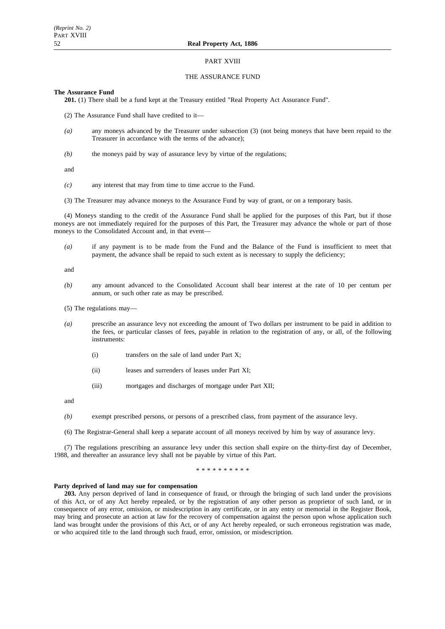## PART XVIII

#### THE ASSURANCE FUND

#### **The Assurance Fund**

**201.** (1) There shall be a fund kept at the Treasury entitled "Real Property Act Assurance Fund".

- (2) The Assurance Fund shall have credited to it—
- *(a)* any moneys advanced by the Treasurer under subsection (3) (not being moneys that have been repaid to the Treasurer in accordance with the terms of the advance);
- *(b)* the moneys paid by way of assurance levy by virtue of the regulations;

and

- *(c)* any interest that may from time to time accrue to the Fund.
- (3) The Treasurer may advance moneys to the Assurance Fund by way of grant, or on a temporary basis.

(4) Moneys standing to the credit of the Assurance Fund shall be applied for the purposes of this Part, but if those moneys are not immediately required for the purposes of this Part, the Treasurer may advance the whole or part of those moneys to the Consolidated Account and, in that event—

*(a)* if any payment is to be made from the Fund and the Balance of the Fund is insufficient to meet that payment, the advance shall be repaid to such extent as is necessary to supply the deficiency;

and

- *(b)* any amount advanced to the Consolidated Account shall bear interest at the rate of 10 per centum per annum, or such other rate as may be prescribed.
- (5) The regulations may—
- *(a)* prescribe an assurance levy not exceeding the amount of Two dollars per instrument to be paid in addition to the fees, or particular classes of fees, payable in relation to the registration of any, or all, of the following instruments:
	- (i) transfers on the sale of land under Part X;
	- (ii) leases and surrenders of leases under Part XI;
	- (iii) mortgages and discharges of mortgage under Part XII;

and

- *(b)* exempt prescribed persons, or persons of a prescribed class, from payment of the assurance levy.
- (6) The Registrar-General shall keep a separate account of all moneys received by him by way of assurance levy.

(7) The regulations prescribing an assurance levy under this section shall expire on the thirty-first day of December, 1988, and thereafter an assurance levy shall not be payable by virtue of this Part.

\*\*\*\*\*\*\*\*\*\*

## **Party deprived of land may sue for compensation**

**203.** Any person deprived of land in consequence of fraud, or through the bringing of such land under the provisions of this Act, or of any Act hereby repealed, or by the registration of any other person as proprietor of such land, or in consequence of any error, omission, or misdescription in any certificate, or in any entry or memorial in the Register Book, may bring and prosecute an action at law for the recovery of compensation against the person upon whose application such land was brought under the provisions of this Act, or of any Act hereby repealed, or such erroneous registration was made, or who acquired title to the land through such fraud, error, omission, or misdescription.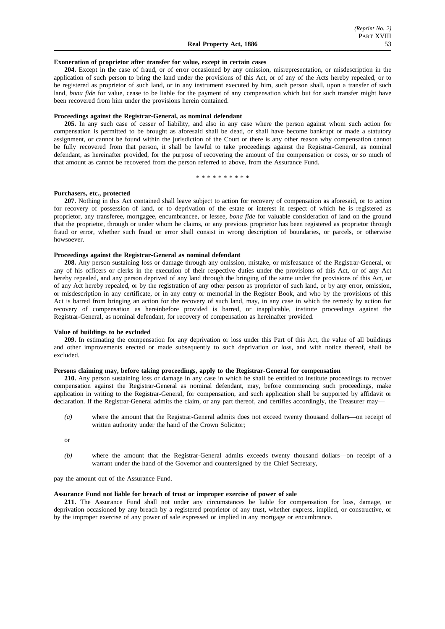## **Real Property Act, 1886** 53

## **Exoneration of proprietor after transfer for value, except in certain cases**

**204.** Except in the case of fraud, or of error occasioned by any omission, misrepresentation, or misdescription in the application of such person to bring the land under the provisions of this Act, or of any of the Acts hereby repealed, or to be registered as proprietor of such land, or in any instrument executed by him, such person shall, upon a transfer of such land, *bona fide* for value, cease to be liable for the payment of any compensation which but for such transfer might have been recovered from him under the provisions herein contained.

#### **Proceedings against the Registrar-General, as nominal defendant**

**205.** In any such case of cesser of liability, and also in any case where the person against whom such action for compensation is permitted to be brought as aforesaid shall be dead, or shall have become bankrupt or made a statutory assignment, or cannot be found within the jurisdiction of the Court or there is any other reason why compensation cannot be fully recovered from that person, it shall be lawful to take proceedings against the Registrar-General, as nominal defendant, as hereinafter provided, for the purpose of recovering the amount of the compensation or costs, or so much of that amount as cannot be recovered from the person referred to above, from the Assurance Fund.

\*\*\*\*\*\*\*\*\*\*

## **Purchasers, etc., protected**

**207.** Nothing in this Act contained shall leave subject to action for recovery of compensation as aforesaid, or to action for recovery of possession of land, or to deprivation of the estate or interest in respect of which he is registered as proprietor, any transferee, mortgagee, encumbrancee, or lessee, *bona fide* for valuable consideration of land on the ground that the proprietor, through or under whom he claims, or any previous proprietor has been registered as proprietor through fraud or error, whether such fraud or error shall consist in wrong description of boundaries, or parcels, or otherwise howsoever.

#### **Proceedings against the Registrar-General as nominal defendant**

**208.** Any person sustaining loss or damage through any omission, mistake, or misfeasance of the Registrar-General, or any of his officers or clerks in the execution of their respective duties under the provisions of this Act, or of any Act hereby repealed, and any person deprived of any land through the bringing of the same under the provisions of this Act, or of any Act hereby repealed, or by the registration of any other person as proprietor of such land, or by any error, omission, or misdescription in any certificate, or in any entry or memorial in the Register Book, and who by the provisions of this Act is barred from bringing an action for the recovery of such land, may, in any case in which the remedy by action for recovery of compensation as hereinbefore provided is barred, or inapplicable, institute proceedings against the Registrar-General, as nominal defendant, for recovery of compensation as hereinafter provided.

#### **Value of buildings to be excluded**

**209.** In estimating the compensation for any deprivation or loss under this Part of this Act, the value of all buildings and other improvements erected or made subsequently to such deprivation or loss, and with notice thereof, shall be excluded.

## **Persons claiming may, before taking proceedings, apply to the Registrar-General for compensation**

**210.** Any person sustaining loss or damage in any case in which he shall be entitled to institute proceedings to recover compensation against the Registrar-General as nominal defendant, may, before commencing such proceedings, make application in writing to the Registrar-General, for compensation, and such application shall be supported by affidavit or declaration. If the Registrar-General admits the claim, or any part thereof, and certifies accordingly, the Treasurer may-

*(a)* where the amount that the Registrar-General admits does not exceed twenty thousand dollars—on receipt of written authority under the hand of the Crown Solicitor;

or

*(b)* where the amount that the Registrar-General admits exceeds twenty thousand dollars—on receipt of a warrant under the hand of the Governor and countersigned by the Chief Secretary,

pay the amount out of the Assurance Fund.

## **Assurance Fund not liable for breach of trust or improper exercise of power of sale**

**211.** The Assurance Fund shall not under any circumstances be liable for compensation for loss, damage, or deprivation occasioned by any breach by a registered proprietor of any trust, whether express, implied, or constructive, or by the improper exercise of any power of sale expressed or implied in any mortgage or encumbrance.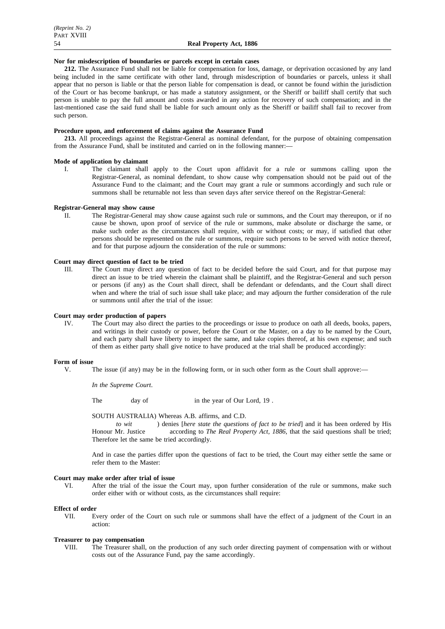## **Nor for misdescription of boundaries or parcels except in certain cases**

**212.** The Assurance Fund shall not be liable for compensation for loss, damage, or deprivation occasioned by any land being included in the same certificate with other land, through misdescription of boundaries or parcels, unless it shall appear that no person is liable or that the person liable for compensation is dead, or cannot be found within the jurisdiction of the Court or has become bankrupt, or has made a statutory assignment, or the Sheriff or bailiff shall certify that such person is unable to pay the full amount and costs awarded in any action for recovery of such compensation; and in the last-mentioned case the said fund shall be liable for such amount only as the Sheriff or bailiff shall fail to recover from such person.

## **Procedure upon, and enforcement of claims against the Assurance Fund**

**213.** All proceedings against the Registrar-General as nominal defendant, for the purpose of obtaining compensation from the Assurance Fund, shall be instituted and carried on in the following manner:—

## **Mode of application by claimant**

I. The claimant shall apply to the Court upon affidavit for a rule or summons calling upon the Registrar-General, as nominal defendant, to show cause why compensation should not be paid out of the Assurance Fund to the claimant; and the Court may grant a rule or summons accordingly and such rule or summons shall be returnable not less than seven days after service thereof on the Registrar-General:

## **Registrar-General may show cause**

II. The Registrar-General may show cause against such rule or summons, and the Court may thereupon, or if no cause be shown, upon proof of service of the rule or summons, make absolute or discharge the same, or make such order as the circumstances shall require, with or without costs; or may, if satisfied that other persons should be represented on the rule or summons, require such persons to be served with notice thereof, and for that purpose adjourn the consideration of the rule or summons:

## **Court may direct question of fact to be tried**

III. The Court may direct any question of fact to be decided before the said Court, and for that purpose may direct an issue to be tried wherein the claimant shall be plaintiff, and the Registrar-General and such person or persons (if any) as the Court shall direct, shall be defendant or defendants, and the Court shall direct when and where the trial of such issue shall take place; and may adjourn the further consideration of the rule or summons until after the trial of the issue:

## **Court may order production of papers**<br>IV. The Court may also direct t

The Court may also direct the parties to the proceedings or issue to produce on oath all deeds, books, papers, and writings in their custody or power, before the Court or the Master, on a day to be named by the Court, and each party shall have liberty to inspect the same, and take copies thereof, at his own expense; and such of them as either party shall give notice to have produced at the trial shall be produced accordingly:

## **Form of issue**

V. The issue (if any) may be in the following form, or in such other form as the Court shall approve:—

*In the Supreme Court*.

The day of in the year of Our Lord, 19.

#### SOUTH AUSTRALIA) Whereas A.B. affirms, and C.D.

*to wit* ) denies [*here state the questions of fact to be tried*] and it has been ordered by His Honour Mr. Justice according to *The Real Property Act, 1886*, that the said questions shall be tried; Therefore let the same be tried accordingly.

And in case the parties differ upon the questions of fact to be tried, the Court may either settle the same or refer them to the Master:

## **Court may make order after trial of issue**

VI. After the trial of the issue the Court may, upon further consideration of the rule or summons, make such order either with or without costs, as the circumstances shall require:

#### **Effect of order**

VII. Every order of the Court on such rule or summons shall have the effect of a judgment of the Court in an action:

## **Treasurer to pay compensation**

VIII. The Treasurer shall, on the production of any such order directing payment of compensation with or without costs out of the Assurance Fund, pay the same accordingly.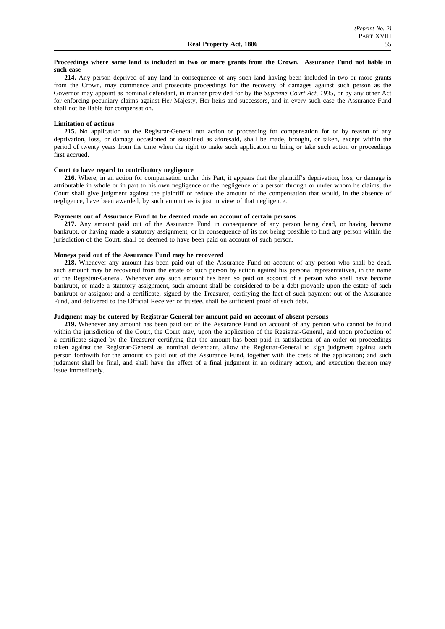## **Proceedings where same land is included in two or more grants from the Crown. Assurance Fund not liable in such case**

**214.** Any person deprived of any land in consequence of any such land having been included in two or more grants from the Crown, may commence and prosecute proceedings for the recovery of damages against such person as the Governor may appoint as nominal defendant, in manner provided for by the *Supreme Court Act, 1935*, or by any other Act for enforcing pecuniary claims against Her Majesty, Her heirs and successors, and in every such case the Assurance Fund shall not be liable for compensation.

## **Limitation of actions**

**215.** No application to the Registrar-General nor action or proceeding for compensation for or by reason of any deprivation, loss, or damage occasioned or sustained as aforesaid, shall be made, brought, or taken, except within the period of twenty years from the time when the right to make such application or bring or take such action or proceedings first accrued.

## **Court to have regard to contributory negligence**

**216.** Where, in an action for compensation under this Part, it appears that the plaintiff's deprivation, loss, or damage is attributable in whole or in part to his own negligence or the negligence of a person through or under whom he claims, the Court shall give judgment against the plaintiff or reduce the amount of the compensation that would, in the absence of negligence, have been awarded, by such amount as is just in view of that negligence.

## **Payments out of Assurance Fund to be deemed made on account of certain persons**

**217.** Any amount paid out of the Assurance Fund in consequence of any person being dead, or having become bankrupt, or having made a statutory assignment, or in consequence of its not being possible to find any person within the jurisdiction of the Court, shall be deemed to have been paid on account of such person.

#### **Moneys paid out of the Assurance Fund may be recovered**

**218.** Whenever any amount has been paid out of the Assurance Fund on account of any person who shall be dead, such amount may be recovered from the estate of such person by action against his personal representatives, in the name of the Registrar-General. Whenever any such amount has been so paid on account of a person who shall have become bankrupt, or made a statutory assignment, such amount shall be considered to be a debt provable upon the estate of such bankrupt or assignor; and a certificate, signed by the Treasurer, certifying the fact of such payment out of the Assurance Fund, and delivered to the Official Receiver or trustee, shall be sufficient proof of such debt.

## **Judgment may be entered by Registrar-General for amount paid on account of absent persons**

**219.** Whenever any amount has been paid out of the Assurance Fund on account of any person who cannot be found within the jurisdiction of the Court, the Court may, upon the application of the Registrar-General, and upon production of a certificate signed by the Treasurer certifying that the amount has been paid in satisfaction of an order on proceedings taken against the Registrar-General as nominal defendant, allow the Registrar-General to sign judgment against such person forthwith for the amount so paid out of the Assurance Fund, together with the costs of the application; and such judgment shall be final, and shall have the effect of a final judgment in an ordinary action, and execution thereon may issue immediately.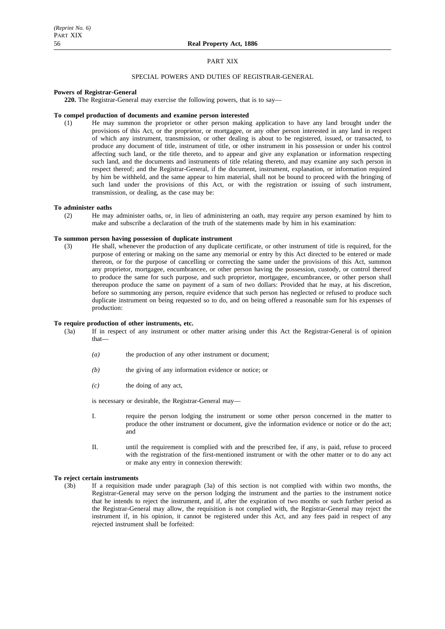## 56 **Real Property Act, 1886**

## PART XIX

## SPECIAL POWERS AND DUTIES OF REGISTRAR-GENERAL

## **Powers of Registrar-General**

**220.** The Registrar-General may exercise the following powers, that is to say—

## **To compel production of documents and examine person interested**

(1) He may summon the proprietor or other person making application to have any land brought under the provisions of this Act, or the proprietor, or mortgagee, or any other person interested in any land in respect of which any instrument, transmission, or other dealing is about to be registered, issued, or transacted, to produce any document of title, instrument of title, or other instrument in his possession or under his control affecting such land, or the title thereto, and to appear and give any explanation or information respecting such land, and the documents and instruments of title relating thereto, and may examine any such person in respect thereof; and the Registrar-General, if the document, instrument, explanation, or information required by him be withheld, and the same appear to him material, shall not be bound to proceed with the bringing of such land under the provisions of this Act, or with the registration or issuing of such instrument, transmission, or dealing, as the case may be:

## **To administer oaths**

(2) He may administer oaths, or, in lieu of administering an oath, may require any person examined by him to make and subscribe a declaration of the truth of the statements made by him in his examination:

## **To summon person having possession of duplicate instrument**

(3) He shall, whenever the production of any duplicate certificate, or other instrument of title is required, for the purpose of entering or making on the same any memorial or entry by this Act directed to be entered or made thereon, or for the purpose of cancelling or correcting the same under the provisions of this Act, summon any proprietor, mortgagee, encumbrancee, or other person having the possession, custody, or control thereof to produce the same for such purpose, and such proprietor, mortgagee, encumbrancee, or other person shall thereupon produce the same on payment of a sum of two dollars: Provided that he may, at his discretion, before so summoning any person, require evidence that such person has neglected or refused to produce such duplicate instrument on being requested so to do, and on being offered a reasonable sum for his expenses of production:

## **To require production of other instruments, etc.**

- (3a) If in respect of any instrument or other matter arising under this Act the Registrar-General is of opinion that—
	- *(a)* the production of any other instrument or document;
	- *(b)* the giving of any information evidence or notice; or
	- *(c)* the doing of any act,

is necessary or desirable, the Registrar-General may—

- I. require the person lodging the instrument or some other person concerned in the matter to produce the other instrument or document, give the information evidence or notice or do the act; and
- II. until the requirement is complied with and the prescribed fee, if any, is paid, refuse to proceed with the registration of the first-mentioned instrument or with the other matter or to do any act or make any entry in connexion therewith:

## **To reject certain instruments**

(3b) If a requisition made under paragraph (3a) of this section is not complied with within two months, the Registrar-General may serve on the person lodging the instrument and the parties to the instrument notice that he intends to reject the instrument, and if, after the expiration of two months or such further period as the Registrar-General may allow, the requisition is not complied with, the Registrar-General may reject the instrument if, in his opinion, it cannot be registered under this Act, and any fees paid in respect of any rejected instrument shall be forfeited: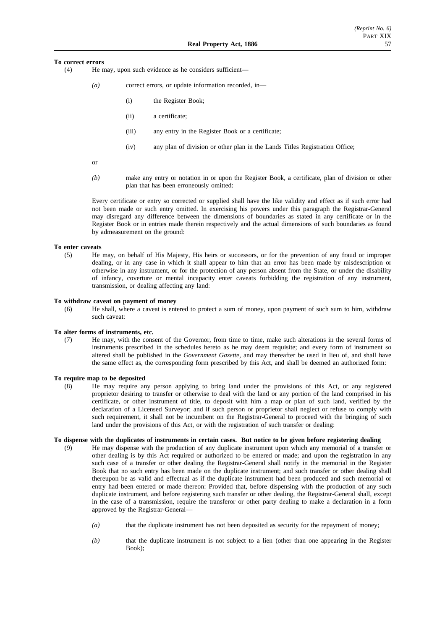## **To correct errors**

- (4) He may, upon such evidence as he considers sufficient—
	- *(a)* correct errors, or update information recorded, in—
		- (i) the Register Book;
		- (ii) a certificate;
		- (iii) any entry in the Register Book or a certificate;
		- (iv) any plan of division or other plan in the Lands Titles Registration Office;
	- or
	- *(b)* make any entry or notation in or upon the Register Book, a certificate, plan of division or other plan that has been erroneously omitted:

Every certificate or entry so corrected or supplied shall have the like validity and effect as if such error had not been made or such entry omitted. In exercising his powers under this paragraph the Registrar-General may disregard any difference between the dimensions of boundaries as stated in any certificate or in the Register Book or in entries made therein respectively and the actual dimensions of such boundaries as found by admeasurement on the ground:

#### **To enter caveats**

(5) He may, on behalf of His Majesty, His heirs or successors, or for the prevention of any fraud or improper dealing, or in any case in which it shall appear to him that an error has been made by misdescription or otherwise in any instrument, or for the protection of any person absent from the State, or under the disability of infancy, coverture or mental incapacity enter caveats forbidding the registration of any instrument, transmission, or dealing affecting any land:

#### **To withdraw caveat on payment of money**

(6) He shall, where a caveat is entered to protect a sum of money, upon payment of such sum to him, withdraw such caveat:

## **To alter forms of instruments, etc.**

(7) He may, with the consent of the Governor, from time to time, make such alterations in the several forms of instruments prescribed in the schedules hereto as he may deem requisite; and every form of instrument so altered shall be published in the *Government Gazette*, and may thereafter be used in lieu of, and shall have the same effect as, the corresponding form prescribed by this Act, and shall be deemed an authorized form:

#### **To require map to be deposited**

(8) He may require any person applying to bring land under the provisions of this Act, or any registered proprietor desiring to transfer or otherwise to deal with the land or any portion of the land comprised in his certificate, or other instrument of title, to deposit with him a map or plan of such land, verified by the declaration of a Licensed Surveyor; and if such person or proprietor shall neglect or refuse to comply with such requirement, it shall not be incumbent on the Registrar-General to proceed with the bringing of such land under the provisions of this Act, or with the registration of such transfer or dealing:

## **To dispense with the duplicates of instruments in certain cases. But notice to be given before registering dealing**

- (9) He may dispense with the production of any duplicate instrument upon which any memorial of a transfer or other dealing is by this Act required or authorized to be entered or made; and upon the registration in any such case of a transfer or other dealing the Registrar-General shall notify in the memorial in the Register Book that no such entry has been made on the duplicate instrument; and such transfer or other dealing shall thereupon be as valid and effectual as if the duplicate instrument had been produced and such memorial or entry had been entered or made thereon: Provided that, before dispensing with the production of any such duplicate instrument, and before registering such transfer or other dealing, the Registrar-General shall, except in the case of a transmission, require the transferor or other party dealing to make a declaration in a form approved by the Registrar-General—
	- *(a)* that the duplicate instrument has not been deposited as security for the repayment of money;
	- *(b)* that the duplicate instrument is not subject to a lien (other than one appearing in the Register Book);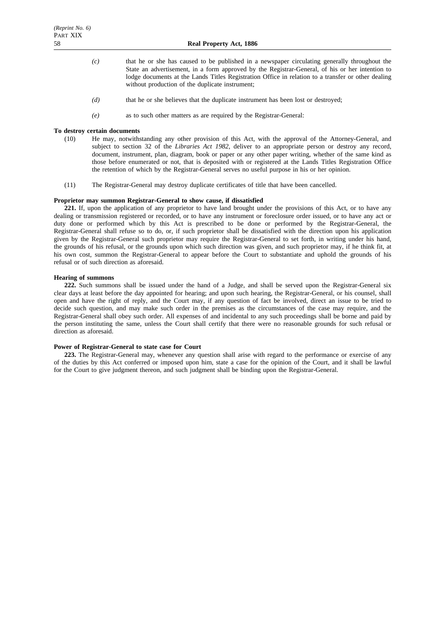- *(c)* that he or she has caused to be published in a newspaper circulating generally throughout the State an advertisement, in a form approved by the Registrar-General, of his or her intention to lodge documents at the Lands Titles Registration Office in relation to a transfer or other dealing without production of the duplicate instrument;
- *(d)* that he or she believes that the duplicate instrument has been lost or destroyed;
- *(e)* as to such other matters as are required by the Registrar-General:

## **To destroy certain documents**

- (10) He may, notwithstanding any other provision of this Act, with the approval of the Attorney-General, and subject to section 32 of the *Libraries Act 1982*, deliver to an appropriate person or destroy any record, document, instrument, plan, diagram, book or paper or any other paper writing, whether of the same kind as those before enumerated or not, that is deposited with or registered at the Lands Titles Registration Office the retention of which by the Registrar-General serves no useful purpose in his or her opinion.
- (11) The Registrar-General may destroy duplicate certificates of title that have been cancelled.

## **Proprietor may summon Registrar-General to show cause, if dissatisfied**

**221.** If, upon the application of any proprietor to have land brought under the provisions of this Act, or to have any dealing or transmission registered or recorded, or to have any instrument or foreclosure order issued, or to have any act or duty done or performed which by this Act is prescribed to be done or performed by the Registrar-General, the Registrar-General shall refuse so to do, or, if such proprietor shall be dissatisfied with the direction upon his application given by the Registrar-General such proprietor may require the Registrar-General to set forth, in writing under his hand, the grounds of his refusal, or the grounds upon which such direction was given, and such proprietor may, if he think fit, at his own cost, summon the Registrar-General to appear before the Court to substantiate and uphold the grounds of his refusal or of such direction as aforesaid.

## **Hearing of summons**

**222.** Such summons shall be issued under the hand of a Judge, and shall be served upon the Registrar-General six clear days at least before the day appointed for hearing; and upon such hearing, the Registrar-General, or his counsel, shall open and have the right of reply, and the Court may, if any question of fact be involved, direct an issue to be tried to decide such question, and may make such order in the premises as the circumstances of the case may require, and the Registrar-General shall obey such order. All expenses of and incidental to any such proceedings shall be borne and paid by the person instituting the same, unless the Court shall certify that there were no reasonable grounds for such refusal or direction as aforesaid.

## **Power of Registrar-General to state case for Court**

**223.** The Registrar-General may, whenever any question shall arise with regard to the performance or exercise of any of the duties by this Act conferred or imposed upon him, state a case for the opinion of the Court, and it shall be lawful for the Court to give judgment thereon, and such judgment shall be binding upon the Registrar-General.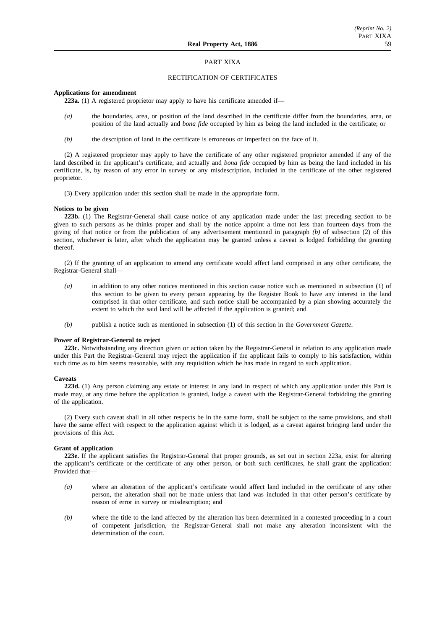## PART XIXA

## RECTIFICATION OF CERTIFICATES

## **Applications for amendment**

**223a.** (1) A registered proprietor may apply to have his certificate amended if—

- *(a)* the boundaries, area, or position of the land described in the certificate differ from the boundaries, area, or position of the land actually and *bona fide* occupied by him as being the land included in the certificate; or
- *(b)* the description of land in the certificate is erroneous or imperfect on the face of it.

(2) A registered proprietor may apply to have the certificate of any other registered proprietor amended if any of the land described in the applicant's certificate, and actually and *bona fide* occupied by him as being the land included in his certificate, is, by reason of any error in survey or any misdescription, included in the certificate of the other registered proprietor.

(3) Every application under this section shall be made in the appropriate form.

#### **Notices to be given**

**223b.** (1) The Registrar-General shall cause notice of any application made under the last preceding section to be given to such persons as he thinks proper and shall by the notice appoint a time not less than fourteen days from the giving of that notice or from the publication of any advertisement mentioned in paragraph *(b)* of subsection (2) of this section, whichever is later, after which the application may be granted unless a caveat is lodged forbidding the granting thereof.

(2) If the granting of an application to amend any certificate would affect land comprised in any other certificate, the Registrar-General shall—

- *(a)* in addition to any other notices mentioned in this section cause notice such as mentioned in subsection (1) of this section to be given to every person appearing by the Register Book to have any interest in the land comprised in that other certificate, and such notice shall be accompanied by a plan showing accurately the extent to which the said land will be affected if the application is granted; and
- *(b)* publish a notice such as mentioned in subsection (1) of this section in the *Government Gazette*.

## **Power of Registrar-General to reject**

**223c.** Notwithstanding any direction given or action taken by the Registrar-General in relation to any application made under this Part the Registrar-General may reject the application if the applicant fails to comply to his satisfaction, within such time as to him seems reasonable, with any requisition which he has made in regard to such application.

## **Caveats**

**223d.** (1) Any person claiming any estate or interest in any land in respect of which any application under this Part is made may, at any time before the application is granted, lodge a caveat with the Registrar-General forbidding the granting of the application.

(2) Every such caveat shall in all other respects be in the same form, shall be subject to the same provisions, and shall have the same effect with respect to the application against which it is lodged, as a caveat against bringing land under the provisions of this Act.

#### **Grant of application**

**223e.** If the applicant satisfies the Registrar-General that proper grounds, as set out in section 223a, exist for altering the applicant's certificate or the certificate of any other person, or both such certificates, he shall grant the application: Provided that—

- *(a)* where an alteration of the applicant's certificate would affect land included in the certificate of any other person, the alteration shall not be made unless that land was included in that other person's certificate by reason of error in survey or misdescription; and
- *(b)* where the title to the land affected by the alteration has been determined in a contested proceeding in a court of competent jurisdiction, the Registrar-General shall not make any alteration inconsistent with the determination of the court.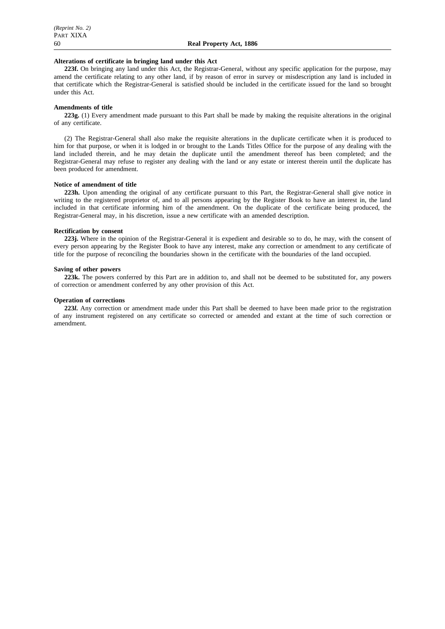## **Alterations of certificate in bringing land under this Act**

**223f.** On bringing any land under this Act, the Registrar-General, without any specific application for the purpose, may amend the certificate relating to any other land, if by reason of error in survey or misdescription any land is included in that certificate which the Registrar-General is satisfied should be included in the certificate issued for the land so brought under this Act.

#### **Amendments of title**

**223g.** (1) Every amendment made pursuant to this Part shall be made by making the requisite alterations in the original of any certificate.

(2) The Registrar-General shall also make the requisite alterations in the duplicate certificate when it is produced to him for that purpose, or when it is lodged in or brought to the Lands Titles Office for the purpose of any dealing with the land included therein, and he may detain the duplicate until the amendment thereof has been completed; and the Registrar-General may refuse to register any dealing with the land or any estate or interest therein until the duplicate has been produced for amendment.

#### **Notice of amendment of title**

**223h.** Upon amending the original of any certificate pursuant to this Part, the Registrar-General shall give notice in writing to the registered proprietor of, and to all persons appearing by the Register Book to have an interest in, the land included in that certificate informing him of the amendment. On the duplicate of the certificate being produced, the Registrar-General may, in his discretion, issue a new certificate with an amended description.

#### **Rectification by consent**

**223j.** Where in the opinion of the Registrar-General it is expedient and desirable so to do, he may, with the consent of every person appearing by the Register Book to have any interest, make any correction or amendment to any certificate of title for the purpose of reconciling the boundaries shown in the certificate with the boundaries of the land occupied.

#### **Saving of other powers**

**223k.** The powers conferred by this Part are in addition to, and shall not be deemed to be substituted for, any powers of correction or amendment conferred by any other provision of this Act.

#### **Operation of corrections**

**223***l***.** Any correction or amendment made under this Part shall be deemed to have been made prior to the registration of any instrument registered on any certificate so corrected or amended and extant at the time of such correction or amendment.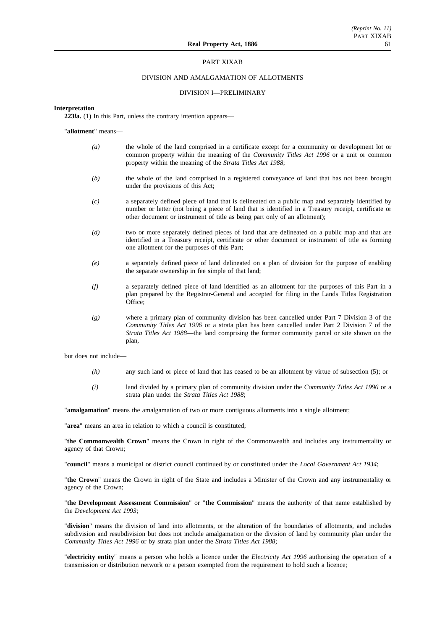## PART XIXAB

## DIVISION AND AMALGAMATION OF ALLOTMENTS

#### DIVISION I—PRELIMINARY

#### **Interpretation**

**223***l***a.** (1) In this Part, unless the contrary intention appears—

#### "**allotment**" means—

- *(a)* the whole of the land comprised in a certificate except for a community or development lot or common property within the meaning of the *Community Titles Act 1996* or a unit or common property within the meaning of the *Strata Titles Act 1988*;
- *(b)* the whole of the land comprised in a registered conveyance of land that has not been brought under the provisions of this Act;
- *(c)* a separately defined piece of land that is delineated on a public map and separately identified by number or letter (not being a piece of land that is identified in a Treasury receipt, certificate or other document or instrument of title as being part only of an allotment);
- *(d)* two or more separately defined pieces of land that are delineated on a public map and that are identified in a Treasury receipt, certificate or other document or instrument of title as forming one allotment for the purposes of this Part;
- *(e)* a separately defined piece of land delineated on a plan of division for the purpose of enabling the separate ownership in fee simple of that land;
- *(f)* a separately defined piece of land identified as an allotment for the purposes of this Part in a plan prepared by the Registrar-General and accepted for filing in the Lands Titles Registration Office;
- *(g)* where a primary plan of community division has been cancelled under Part 7 Division 3 of the *Community Titles Act 1996* or a strata plan has been cancelled under Part 2 Division 7 of the *Strata Titles Act 1988*—the land comprising the former community parcel or site shown on the plan,

but does not include—

- *(h)* any such land or piece of land that has ceased to be an allotment by virtue of subsection (5); or
- *(i)* land divided by a primary plan of community division under the *Community Titles Act 1996* or a strata plan under the *Strata Titles Act 1988*;

"**amalgamation**" means the amalgamation of two or more contiguous allotments into a single allotment;

"**area**" means an area in relation to which a council is constituted;

"**the Commonwealth Crown**" means the Crown in right of the Commonwealth and includes any instrumentality or agency of that Crown;

"**council**" means a municipal or district council continued by or constituted under the *Local Government Act 1934*;

"**the Crown**" means the Crown in right of the State and includes a Minister of the Crown and any instrumentality or agency of the Crown;

"**the Development Assessment Commission**" or "**the Commission**" means the authority of that name established by the *Development Act 1993*;

"**division**" means the division of land into allotments, or the alteration of the boundaries of allotments, and includes subdivision and resubdivision but does not include amalgamation or the division of land by community plan under the *Community Titles Act 1996* or by strata plan under the *Strata Titles Act 1988*;

"**electricity entity**" means a person who holds a licence under the *Electricity Act 1996* authorising the operation of a transmission or distribution network or a person exempted from the requirement to hold such a licence;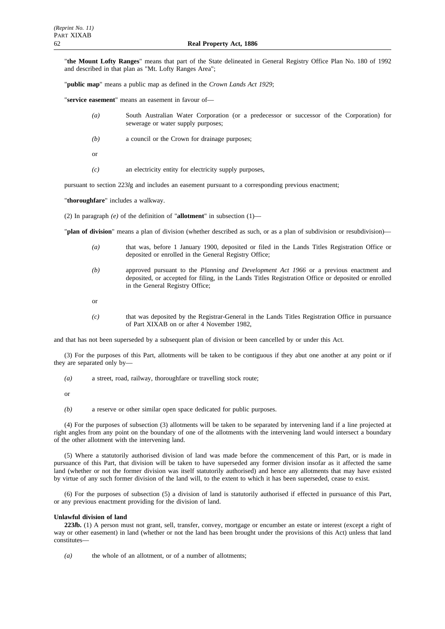"**the Mount Lofty Ranges**" means that part of the State delineated in General Registry Office Plan No. 180 of 1992 and described in that plan as "Mt. Lofty Ranges Area";

"**public map**" means a public map as defined in the *Crown Lands Act 1929*;

"**service easement**" means an easement in favour of—

- *(a)* South Australian Water Corporation (or a predecessor or successor of the Corporation) for sewerage or water supply purposes;
- *(b)* a council or the Crown for drainage purposes;
- or
- *(c)* an electricity entity for electricity supply purposes,

pursuant to section 223*l*g and includes an easement pursuant to a corresponding previous enactment;

"**thoroughfare**" includes a walkway.

(2) In paragraph *(e)* of the definition of "**allotment**" in subsection (1)—

"**plan of division**" means a plan of division (whether described as such, or as a plan of subdivision or resubdivision)—

- *(a)* that was, before 1 January 1900, deposited or filed in the Lands Titles Registration Office or deposited or enrolled in the General Registry Office;
- *(b)* approved pursuant to the *Planning and Development Act 1966* or a previous enactment and deposited, or accepted for filing, in the Lands Titles Registration Office or deposited or enrolled in the General Registry Office;
- or
- *(c)* that was deposited by the Registrar-General in the Lands Titles Registration Office in pursuance of Part XIXAB on or after 4 November 1982,

and that has not been superseded by a subsequent plan of division or been cancelled by or under this Act.

(3) For the purposes of this Part, allotments will be taken to be contiguous if they abut one another at any point or if they are separated only by—

*(a)* a street, road, railway, thoroughfare or travelling stock route;

or

*(b)* a reserve or other similar open space dedicated for public purposes.

(4) For the purposes of subsection (3) allotments will be taken to be separated by intervening land if a line projected at right angles from any point on the boundary of one of the allotments with the intervening land would intersect a boundary of the other allotment with the intervening land.

(5) Where a statutorily authorised division of land was made before the commencement of this Part, or is made in pursuance of this Part, that division will be taken to have superseded any former division insofar as it affected the same land (whether or not the former division was itself statutorily authorised) and hence any allotments that may have existed by virtue of any such former division of the land will, to the extent to which it has been superseded, cease to exist.

(6) For the purposes of subsection (5) a division of land is statutorily authorised if effected in pursuance of this Part, or any previous enactment providing for the division of land.

#### **Unlawful division of land**

**223***l***b.** (1) A person must not grant, sell, transfer, convey, mortgage or encumber an estate or interest (except a right of way or other easement) in land (whether or not the land has been brought under the provisions of this Act) unless that land constitutes—

*(a)* the whole of an allotment, or of a number of allotments;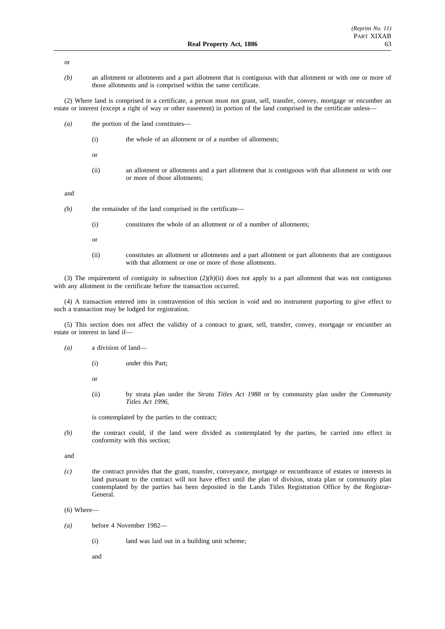or

*(b)* an allotment or allotments and a part allotment that is contiguous with that allotment or with one or more of those allotments and is comprised within the same certificate.

(2) Where land is comprised in a certificate, a person must not grant, sell, transfer, convey, mortgage or encumber an estate or interest (except a right of way or other easement) in portion of the land comprised in the certificate unless—

- *(a)* the portion of the land constitutes—
	- (i) the whole of an allotment or of a number of allotments;
	- or
	- (ii) an allotment or allotments and a part allotment that is contiguous with that allotment or with one or more of those allotments;

and

- *(b)* the remainder of the land comprised in the certificate—
	- (i) constitutes the whole of an allotment or of a number of allotments;
	- or
	- (ii) constitutes an allotment or allotments and a part allotment or part allotments that are contiguous with that allotment or one or more of those allotments.

(3) The requirement of contiguity in subsection  $(2)(b)(ii)$  does not apply to a part allotment that was not contiguous with any allotment in the certificate before the transaction occurred.

(4) A transaction entered into in contravention of this section is void and no instrument purporting to give effect to such a transaction may be lodged for registration.

(5) This section does not affect the validity of a contract to grant, sell, transfer, convey, mortgage or encumber an estate or interest in land if—

- *(a)* a division of land—
	- (i) under this Part;

or

(ii) by strata plan under the *Strata Titles Act 1988* or by community plan under the *Community Titles Act 1996*,

is contemplated by the parties to the contract;

*(b)* the contract could, if the land were divided as contemplated by the parties, be carried into effect in conformity with this section;

and

*(c)* the contract provides that the grant, transfer, conveyance, mortgage or encumbrance of estates or interests in land pursuant to the contract will not have effect until the plan of division, strata plan or community plan contemplated by the parties has been deposited in the Lands Titles Registration Office by the Registrar-General.

(6) Where—

*(a)* before 4 November 1982—

(i) land was laid out in a building unit scheme;

and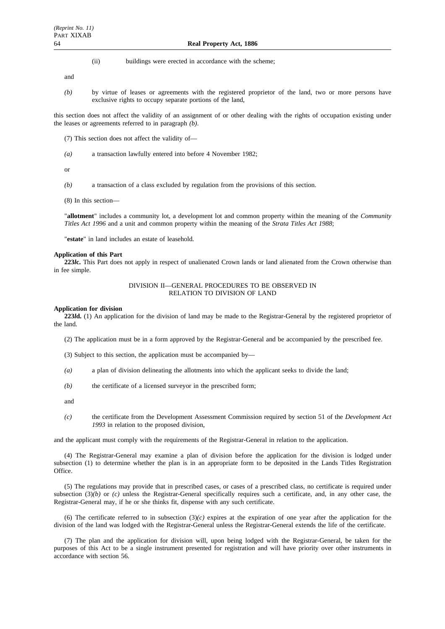(ii) buildings were erected in accordance with the scheme;

and

*(b)* by virtue of leases or agreements with the registered proprietor of the land, two or more persons have exclusive rights to occupy separate portions of the land,

this section does not affect the validity of an assignment of or other dealing with the rights of occupation existing under the leases or agreements referred to in paragraph *(b)*.

- (7) This section does not affect the validity of—
- *(a)* a transaction lawfully entered into before 4 November 1982;

or

- *(b)* a transaction of a class excluded by regulation from the provisions of this section.
- (8) In this section—

"**allotment**" includes a community lot, a development lot and common property within the meaning of the *Community Titles Act 1996* and a unit and common property within the meaning of the *Strata Titles Act 1988*;

"**estate**" in land includes an estate of leasehold.

#### **Application of this Part**

**223***l***c.** This Part does not apply in respect of unalienated Crown lands or land alienated from the Crown otherwise than in fee simple.

#### DIVISION II—GENERAL PROCEDURES TO BE OBSERVED IN RELATION TO DIVISION OF LAND

#### **Application for division**

**223***l***d.** (1) An application for the division of land may be made to the Registrar-General by the registered proprietor of the land.

- (2) The application must be in a form approved by the Registrar-General and be accompanied by the prescribed fee.
- (3) Subject to this section, the application must be accompanied by—
- *(a)* a plan of division delineating the allotments into which the applicant seeks to divide the land;
- *(b)* the certificate of a licensed surveyor in the prescribed form;

and

*(c)* the certificate from the Development Assessment Commission required by section 51 of the *Development Act 1993* in relation to the proposed division,

and the applicant must comply with the requirements of the Registrar-General in relation to the application.

(4) The Registrar-General may examine a plan of division before the application for the division is lodged under subsection (1) to determine whether the plan is in an appropriate form to be deposited in the Lands Titles Registration Office.

(5) The regulations may provide that in prescribed cases, or cases of a prescribed class, no certificate is required under subsection  $(3)(b)$  or  $(c)$  unless the Registrar-General specifically requires such a certificate, and, in any other case, the Registrar-General may, if he or she thinks fit, dispense with any such certificate.

(6) The certificate referred to in subsection  $(3)(c)$  expires at the expiration of one year after the application for the division of the land was lodged with the Registrar-General unless the Registrar-General extends the life of the certificate.

(7) The plan and the application for division will, upon being lodged with the Registrar-General, be taken for the purposes of this Act to be a single instrument presented for registration and will have priority over other instruments in accordance with section 56.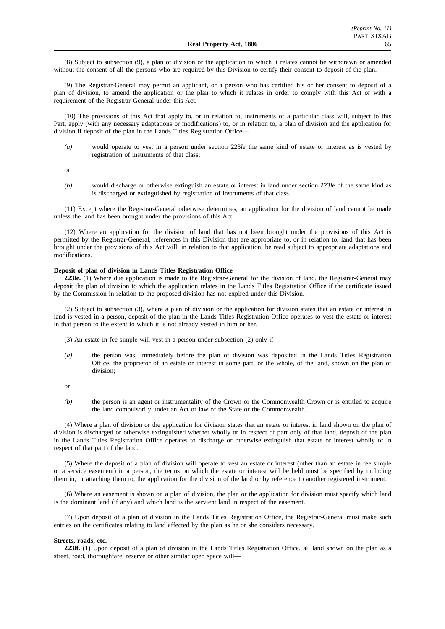(8) Subject to subsection (9), a plan of division or the application to which it relates cannot be withdrawn or amended without the consent of all the persons who are required by this Division to certify their consent to deposit of the plan.

(9) The Registrar-General may permit an applicant, or a person who has certified his or her consent to deposit of a plan of division, to amend the application or the plan to which it relates in order to comply with this Act or with a requirement of the Registrar-General under this Act.

(10) The provisions of this Act that apply to, or in relation to, instruments of a particular class will, subject to this Part, apply (with any necessary adaptations or modifications) to, or in relation to, a plan of division and the application for division if deposit of the plan in the Lands Titles Registration Office—

*(a)* would operate to vest in a person under section 223*l*e the same kind of estate or interest as is vested by registration of instruments of that class;

or

*(b)* would discharge or otherwise extinguish an estate or interest in land under section 223*l*e of the same kind as is discharged or extinguished by registration of instruments of that class.

(11) Except where the Registrar-General otherwise determines, an application for the division of land cannot be made unless the land has been brought under the provisions of this Act.

(12) Where an application for the division of land that has not been brought under the provisions of this Act is permitted by the Registrar-General, references in this Division that are appropriate to, or in relation to, land that has been brought under the provisions of this Act will, in relation to that application, be read subject to appropriate adaptations and modifications.

### **Deposit of plan of division in Lands Titles Registration Office**

**223***l***e.** (1) Where due application is made to the Registrar-General for the division of land, the Registrar-General may deposit the plan of division to which the application relates in the Lands Titles Registration Office if the certificate issued by the Commission in relation to the proposed division has not expired under this Division.

(2) Subject to subsection (3), where a plan of division or the application for division states that an estate or interest in land is vested in a person, deposit of the plan in the Lands Titles Registration Office operates to vest the estate or interest in that person to the extent to which it is not already vested in him or her.

- (3) An estate in fee simple will vest in a person under subsection (2) only if—
- *(a)* the person was, immediately before the plan of division was deposited in the Lands Titles Registration Office, the proprietor of an estate or interest in some part, or the whole, of the land, shown on the plan of division;

or

*(b)* the person is an agent or instrumentality of the Crown or the Commonwealth Crown or is entitled to acquire the land compulsorily under an Act or law of the State or the Commonwealth.

(4) Where a plan of division or the application for division states that an estate or interest in land shown on the plan of division is discharged or otherwise extinguished whether wholly or in respect of part only of that land, deposit of the plan in the Lands Titles Registration Office operates to discharge or otherwise extinguish that estate or interest wholly or in respect of that part of the land.

(5) Where the deposit of a plan of division will operate to vest an estate or interest (other than an estate in fee simple or a service easement) in a person, the terms on which the estate or interest will be held must be specified by including them in, or attaching them to, the application for the division of the land or by reference to another registered instrument.

(6) Where an easement is shown on a plan of division, the plan or the application for division must specify which land is the dominant land (if any) and which land is the servient land in respect of the easement.

(7) Upon deposit of a plan of division in the Lands Titles Registration Office, the Registrar-General must make such entries on the certificates relating to land affected by the plan as he or she considers necessary.

#### **Streets, roads, etc.**

**223***l***f.** (1) Upon deposit of a plan of division in the Lands Titles Registration Office, all land shown on the plan as a street, road, thoroughfare, reserve or other similar open space will—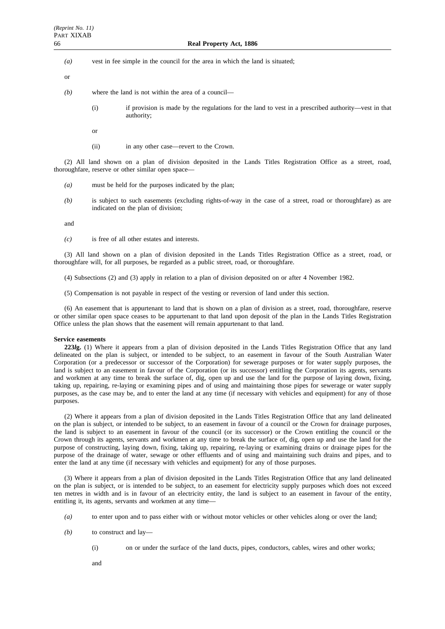## 66 **Real Property Act, 1886**

*(a)* vest in fee simple in the council for the area in which the land is situated;

or

*(b)* where the land is not within the area of a council—

- (i) if provision is made by the regulations for the land to vest in a prescribed authority—vest in that authority;
- or
- (ii) in any other case—revert to the Crown.

(2) All land shown on a plan of division deposited in the Lands Titles Registration Office as a street, road, thoroughfare, reserve or other similar open space—

- *(a)* must be held for the purposes indicated by the plan;
- *(b)* is subject to such easements (excluding rights-of-way in the case of a street, road or thoroughfare) as are indicated on the plan of division;

and

*(c)* is free of all other estates and interests.

(3) All land shown on a plan of division deposited in the Lands Titles Registration Office as a street, road, or thoroughfare will, for all purposes, be regarded as a public street, road, or thoroughfare.

- (4) Subsections (2) and (3) apply in relation to a plan of division deposited on or after 4 November 1982.
- (5) Compensation is not payable in respect of the vesting or reversion of land under this section.

(6) An easement that is appurtenant to land that is shown on a plan of division as a street, road, thoroughfare, reserve or other similar open space ceases to be appurtenant to that land upon deposit of the plan in the Lands Titles Registration Office unless the plan shows that the easement will remain appurtenant to that land.

#### **Service easements**

**223***l***g.** (1) Where it appears from a plan of division deposited in the Lands Titles Registration Office that any land delineated on the plan is subject, or intended to be subject, to an easement in favour of the South Australian Water Corporation (or a predecessor or successor of the Corporation) for sewerage purposes or for water supply purposes, the land is subject to an easement in favour of the Corporation (or its successor) entitling the Corporation its agents, servants and workmen at any time to break the surface of, dig, open up and use the land for the purpose of laying down, fixing, taking up, repairing, re-laying or examining pipes and of using and maintaining those pipes for sewerage or water supply purposes, as the case may be, and to enter the land at any time (if necessary with vehicles and equipment) for any of those purposes.

(2) Where it appears from a plan of division deposited in the Lands Titles Registration Office that any land delineated on the plan is subject, or intended to be subject, to an easement in favour of a council or the Crown for drainage purposes, the land is subject to an easement in favour of the council (or its successor) or the Crown entitling the council or the Crown through its agents, servants and workmen at any time to break the surface of, dig, open up and use the land for the purpose of constructing, laying down, fixing, taking up, repairing, re-laying or examining drains or drainage pipes for the purpose of the drainage of water, sewage or other effluents and of using and maintaining such drains and pipes, and to enter the land at any time (if necessary with vehicles and equipment) for any of those purposes.

(3) Where it appears from a plan of division deposited in the Lands Titles Registration Office that any land delineated on the plan is subject, or is intended to be subject, to an easement for electricity supply purposes which does not exceed ten metres in width and is in favour of an electricity entity, the land is subject to an easement in favour of the entity, entitling it, its agents, servants and workmen at any time—

- *(a)* to enter upon and to pass either with or without motor vehicles or other vehicles along or over the land;
- *(b)* to construct and lay—

(i) on or under the surface of the land ducts, pipes, conductors, cables, wires and other works;

and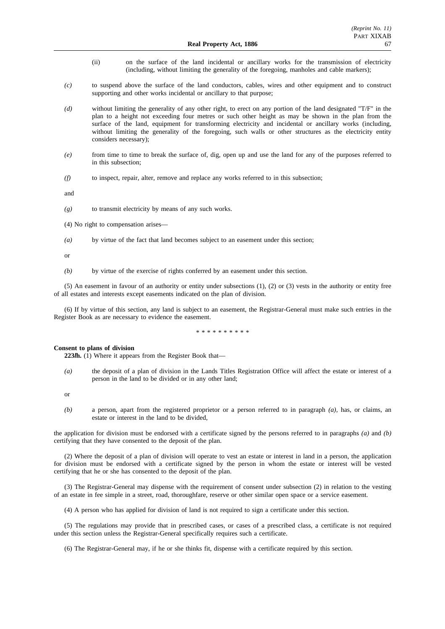- (ii) on the surface of the land incidental or ancillary works for the transmission of electricity (including, without limiting the generality of the foregoing, manholes and cable markers);
- *(c)* to suspend above the surface of the land conductors, cables, wires and other equipment and to construct supporting and other works incidental or ancillary to that purpose;
- *(d)* without limiting the generality of any other right, to erect on any portion of the land designated "T/F" in the plan to a height not exceeding four metres or such other height as may be shown in the plan from the surface of the land, equipment for transforming electricity and incidental or ancillary works (including, without limiting the generality of the foregoing, such walls or other structures as the electricity entity considers necessary);
- *(e)* from time to time to break the surface of, dig, open up and use the land for any of the purposes referred to in this subsection;
- *(f)* to inspect, repair, alter, remove and replace any works referred to in this subsection;

and

- *(g)* to transmit electricity by means of any such works.
- (4) No right to compensation arises—
- *(a)* by virtue of the fact that land becomes subject to an easement under this section;

or

*(b)* by virtue of the exercise of rights conferred by an easement under this section.

(5) An easement in favour of an authority or entity under subsections (1), (2) or (3) vests in the authority or entity free of all estates and interests except easements indicated on the plan of division.

(6) If by virtue of this section, any land is subject to an easement, the Registrar-General must make such entries in the Register Book as are necessary to evidence the easement.

\*\*\*\*\*\*\*\*\*\*

### **Consent to plans of division**

**223***l***h.** (1) Where it appears from the Register Book that—

*(a)* the deposit of a plan of division in the Lands Titles Registration Office will affect the estate or interest of a person in the land to be divided or in any other land;

or

*(b)* a person, apart from the registered proprietor or a person referred to in paragraph *(a)*, has, or claims, an estate or interest in the land to be divided,

the application for division must be endorsed with a certificate signed by the persons referred to in paragraphs *(a)* and *(b)* certifying that they have consented to the deposit of the plan.

(2) Where the deposit of a plan of division will operate to vest an estate or interest in land in a person, the application for division must be endorsed with a certificate signed by the person in whom the estate or interest will be vested certifying that he or she has consented to the deposit of the plan.

(3) The Registrar-General may dispense with the requirement of consent under subsection (2) in relation to the vesting of an estate in fee simple in a street, road, thoroughfare, reserve or other similar open space or a service easement.

(4) A person who has applied for division of land is not required to sign a certificate under this section.

(5) The regulations may provide that in prescribed cases, or cases of a prescribed class, a certificate is not required under this section unless the Registrar-General specifically requires such a certificate.

(6) The Registrar-General may, if he or she thinks fit, dispense with a certificate required by this section.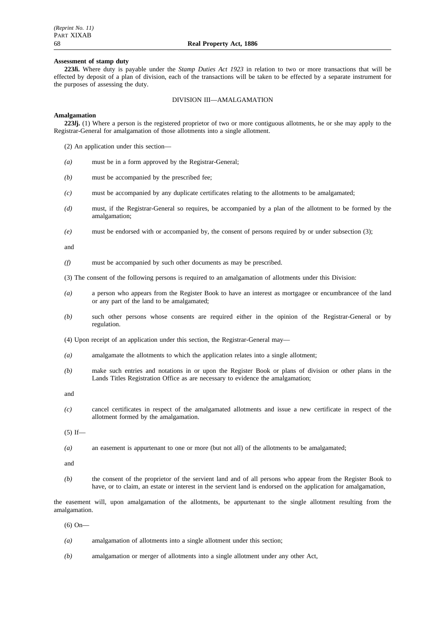## **Assessment of stamp duty**

**223***l***i.** Where duty is payable under the *Stamp Duties Act 1923* in relation to two or more transactions that will be effected by deposit of a plan of division, each of the transactions will be taken to be effected by a separate instrument for the purposes of assessing the duty.

#### DIVISION III—AMALGAMATION

#### **Amalgamation**

**223***l***j.** (1) Where a person is the registered proprietor of two or more contiguous allotments, he or she may apply to the Registrar-General for amalgamation of those allotments into a single allotment.

(2) An application under this section—

- *(a)* must be in a form approved by the Registrar-General;
- *(b)* must be accompanied by the prescribed fee;
- *(c)* must be accompanied by any duplicate certificates relating to the allotments to be amalgamated;
- *(d)* must, if the Registrar-General so requires, be accompanied by a plan of the allotment to be formed by the amalgamation;
- *(e)* must be endorsed with or accompanied by, the consent of persons required by or under subsection (3);

and

- *(f)* must be accompanied by such other documents as may be prescribed.
- (3) The consent of the following persons is required to an amalgamation of allotments under this Division:
- *(a)* a person who appears from the Register Book to have an interest as mortgagee or encumbrancee of the land or any part of the land to be amalgamated;
- *(b)* such other persons whose consents are required either in the opinion of the Registrar-General or by regulation.
- (4) Upon receipt of an application under this section, the Registrar-General may—
- *(a)* amalgamate the allotments to which the application relates into a single allotment;
- *(b)* make such entries and notations in or upon the Register Book or plans of division or other plans in the Lands Titles Registration Office as are necessary to evidence the amalgamation;

and

*(c)* cancel certificates in respect of the amalgamated allotments and issue a new certificate in respect of the allotment formed by the amalgamation.

 $(5)$  If—

*(a)* an easement is appurtenant to one or more (but not all) of the allotments to be amalgamated;

and

*(b)* the consent of the proprietor of the servient land and of all persons who appear from the Register Book to have, or to claim, an estate or interest in the servient land is endorsed on the application for amalgamation,

the easement will, upon amalgamation of the allotments, be appurtenant to the single allotment resulting from the amalgamation.

(6) On—

- *(a)* amalgamation of allotments into a single allotment under this section;
- *(b)* amalgamation or merger of allotments into a single allotment under any other Act,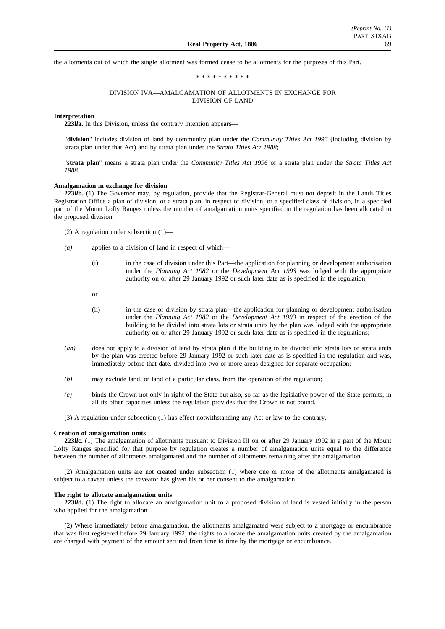the allotments out of which the single allotment was formed cease to be allotments for the purposes of this Part.

#### \*\*\*\*\*\*\*\*\*

### DIVISION IVA—AMALGAMATION OF ALLOTMENTS IN EXCHANGE FOR DIVISION OF LAND

#### **Interpretation**

**223***ll***a.** In this Division, unless the contrary intention appears—

"**division**" includes division of land by community plan under the *Community Titles Act 1996* (including division by strata plan under that Act) and by strata plan under the *Strata Titles Act 1988*;

"**strata plan**" means a strata plan under the *Community Titles Act 1996* or a strata plan under the *Strata Titles Act 1988*.

#### **Amalgamation in exchange for division**

**223***ll***b.** (1) The Governor may, by regulation, provide that the Registrar-General must not deposit in the Lands Titles Registration Office a plan of division, or a strata plan, in respect of division, or a specified class of division, in a specified part of the Mount Lofty Ranges unless the number of amalgamation units specified in the regulation has been allocated to the proposed division.

- (2) A regulation under subsection (1)—
- *(a)* applies to a division of land in respect of which—
	- (i) in the case of division under this Part—the application for planning or development authorisation under the *Planning Act 1982* or the *Development Act 1993* was lodged with the appropriate authority on or after 29 January 1992 or such later date as is specified in the regulation;
	- or
	- (ii) in the case of division by strata plan—the application for planning or development authorisation under the *Planning Act 1982* or the *Development Act 1993* in respect of the erection of the building to be divided into strata lots or strata units by the plan was lodged with the appropriate authority on or after 29 January 1992 or such later date as is specified in the regulations;
- *(ab)* does not apply to a division of land by strata plan if the building to be divided into strata lots or strata units by the plan was erected before 29 January 1992 or such later date as is specified in the regulation and was, immediately before that date, divided into two or more areas designed for separate occupation;
- *(b)* may exclude land, or land of a particular class, from the operation of the regulation;
- *(c)* binds the Crown not only in right of the State but also, so far as the legislative power of the State permits, in all its other capacities unless the regulation provides that the Crown is not bound.
- (3) A regulation under subsection (1) has effect notwithstanding any Act or law to the contrary.

#### **Creation of amalgamation units**

**223***ll***c.** (1) The amalgamation of allotments pursuant to Division III on or after 29 January 1992 in a part of the Mount Lofty Ranges specified for that purpose by regulation creates a number of amalgamation units equal to the difference between the number of allotments amalgamated and the number of allotments remaining after the amalgamation.

(2) Amalgamation units are not created under subsection (1) where one or more of the allotments amalgamated is subject to a caveat unless the caveator has given his or her consent to the amalgamation.

#### **The right to allocate amalgamation units**

**223***ll***d.** (1) The right to allocate an amalgamation unit to a proposed division of land is vested initially in the person who applied for the amalgamation.

(2) Where immediately before amalgamation, the allotments amalgamated were subject to a mortgage or encumbrance that was first registered before 29 January 1992, the rights to allocate the amalgamation units created by the amalgamation are charged with payment of the amount secured from time to time by the mortgage or encumbrance.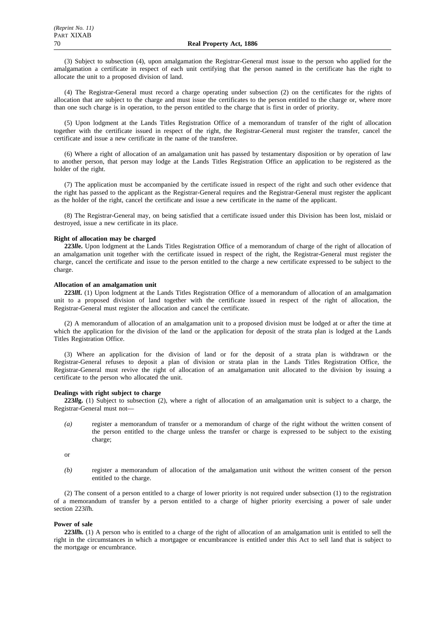(3) Subject to subsection (4), upon amalgamation the Registrar-General must issue to the person who applied for the amalgamation a certificate in respect of each unit certifying that the person named in the certificate has the right to allocate the unit to a proposed division of land.

(4) The Registrar-General must record a charge operating under subsection (2) on the certificates for the rights of allocation that are subject to the charge and must issue the certificates to the person entitled to the charge or, where more than one such charge is in operation, to the person entitled to the charge that is first in order of priority.

(5) Upon lodgment at the Lands Titles Registration Office of a memorandum of transfer of the right of allocation together with the certificate issued in respect of the right, the Registrar-General must register the transfer, cancel the certificate and issue a new certificate in the name of the transferee.

(6) Where a right of allocation of an amalgamation unit has passed by testamentary disposition or by operation of law to another person, that person may lodge at the Lands Titles Registration Office an application to be registered as the holder of the right.

(7) The application must be accompanied by the certificate issued in respect of the right and such other evidence that the right has passed to the applicant as the Registrar-General requires and the Registrar-General must register the applicant as the holder of the right, cancel the certificate and issue a new certificate in the name of the applicant.

(8) The Registrar-General may, on being satisfied that a certificate issued under this Division has been lost, mislaid or destroyed, issue a new certificate in its place.

#### **Right of allocation may be charged**

**223***ll***e.** Upon lodgment at the Lands Titles Registration Office of a memorandum of charge of the right of allocation of an amalgamation unit together with the certificate issued in respect of the right, the Registrar-General must register the charge, cancel the certificate and issue to the person entitled to the charge a new certificate expressed to be subject to the charge.

#### **Allocation of an amalgamation unit**

**223***ll***f.** (1) Upon lodgment at the Lands Titles Registration Office of a memorandum of allocation of an amalgamation unit to a proposed division of land together with the certificate issued in respect of the right of allocation, the Registrar-General must register the allocation and cancel the certificate.

(2) A memorandum of allocation of an amalgamation unit to a proposed division must be lodged at or after the time at which the application for the division of the land or the application for deposit of the strata plan is lodged at the Lands Titles Registration Office.

(3) Where an application for the division of land or for the deposit of a strata plan is withdrawn or the Registrar-General refuses to deposit a plan of division or strata plan in the Lands Titles Registration Office, the Registrar-General must revive the right of allocation of an amalgamation unit allocated to the division by issuing a certificate to the person who allocated the unit.

#### **Dealings with right subject to charge**

**223***ll***g.** (1) Subject to subsection (2), where a right of allocation of an amalgamation unit is subject to a charge, the Registrar-General must not—

*(a)* register a memorandum of transfer or a memorandum of charge of the right without the written consent of the person entitled to the charge unless the transfer or charge is expressed to be subject to the existing charge;

or

*(b)* register a memorandum of allocation of the amalgamation unit without the written consent of the person entitled to the charge.

(2) The consent of a person entitled to a charge of lower priority is not required under subsection (1) to the registration of a memorandum of transfer by a person entitled to a charge of higher priority exercising a power of sale under section 223*ll*h.

#### **Power of sale**

**223***ll***h.** (1) A person who is entitled to a charge of the right of allocation of an amalgamation unit is entitled to sell the right in the circumstances in which a mortgagee or encumbrancee is entitled under this Act to sell land that is subject to the mortgage or encumbrance.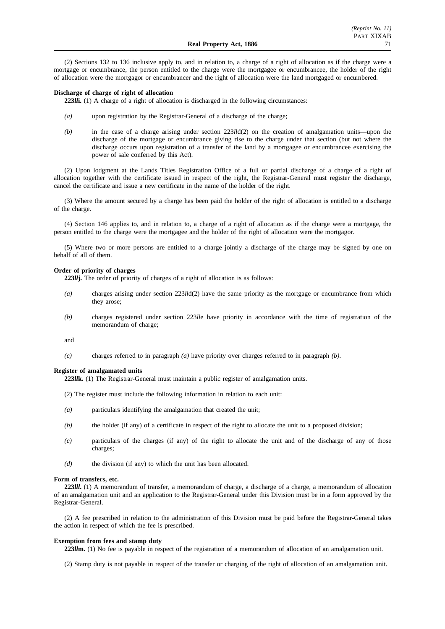(2) Sections 132 to 136 inclusive apply to, and in relation to, a charge of a right of allocation as if the charge were a mortgage or encumbrance, the person entitled to the charge were the mortgagee or encumbrancee, the holder of the right of allocation were the mortgagor or encumbrancer and the right of allocation were the land mortgaged or encumbered.

#### **Discharge of charge of right of allocation**

**223***ll***i.** (1) A charge of a right of allocation is discharged in the following circumstances:

- *(a)* upon registration by the Registrar-General of a discharge of the charge;
- *(b)* in the case of a charge arising under section 223*ll*d(2) on the creation of amalgamation units—upon the discharge of the mortgage or encumbrance giving rise to the charge under that section (but not where the discharge occurs upon registration of a transfer of the land by a mortgagee or encumbrancee exercising the power of sale conferred by this Act).

(2) Upon lodgment at the Lands Titles Registration Office of a full or partial discharge of a charge of a right of allocation together with the certificate issued in respect of the right, the Registrar-General must register the discharge, cancel the certificate and issue a new certificate in the name of the holder of the right.

(3) Where the amount secured by a charge has been paid the holder of the right of allocation is entitled to a discharge of the charge.

(4) Section 146 applies to, and in relation to, a charge of a right of allocation as if the charge were a mortgage, the person entitled to the charge were the mortgagee and the holder of the right of allocation were the mortgagor.

(5) Where two or more persons are entitled to a charge jointly a discharge of the charge may be signed by one on behalf of all of them.

#### **Order of priority of charges**

**223***ll***j.** The order of priority of charges of a right of allocation is as follows:

- *(a)* charges arising under section 223*ll*d(2) have the same priority as the mortgage or encumbrance from which they arose;
- *(b)* charges registered under section 223*ll*e have priority in accordance with the time of registration of the memorandum of charge;

and

*(c)* charges referred to in paragraph *(a)* have priority over charges referred to in paragraph *(b)*.

#### **Register of amalgamated units**

**223***ll***k.** (1) The Registrar-General must maintain a public register of amalgamation units.

- (2) The register must include the following information in relation to each unit:
- *(a)* particulars identifying the amalgamation that created the unit;
- *(b)* the holder (if any) of a certificate in respect of the right to allocate the unit to a proposed division;
- *(c)* particulars of the charges (if any) of the right to allocate the unit and of the discharge of any of those charges;
- *(d)* the division (if any) to which the unit has been allocated.

#### **Form of transfers, etc.**

**223***lll***.** (1) A memorandum of transfer, a memorandum of charge, a discharge of a charge, a memorandum of allocation of an amalgamation unit and an application to the Registrar-General under this Division must be in a form approved by the Registrar-General.

(2) A fee prescribed in relation to the administration of this Division must be paid before the Registrar-General takes the action in respect of which the fee is prescribed.

#### **Exemption from fees and stamp duty**

**223***ll***m.** (1) No fee is payable in respect of the registration of a memorandum of allocation of an amalgamation unit.

(2) Stamp duty is not payable in respect of the transfer or charging of the right of allocation of an amalgamation unit.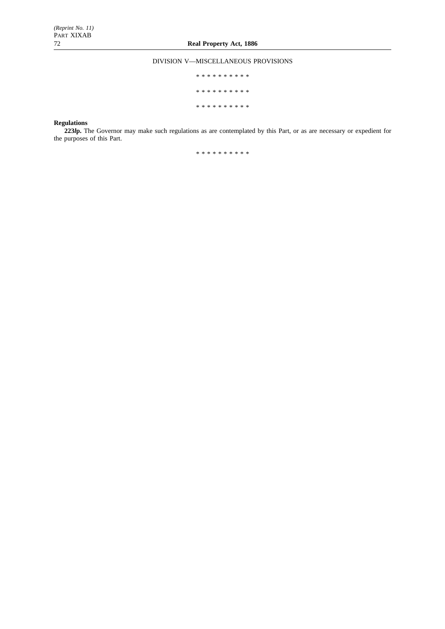# DIVISION V—MISCELLANEOUS PROVISIONS

\*\*\*\*\*\*\*\*\*\* \*\*\*\*\*\*\*\*\*\* \*\*\*\*\*\*\*\*\*\*

# **Regulations**

**223***l***p.** The Governor may make such regulations as are contemplated by this Part, or as are necessary or expedient for the purposes of this Part.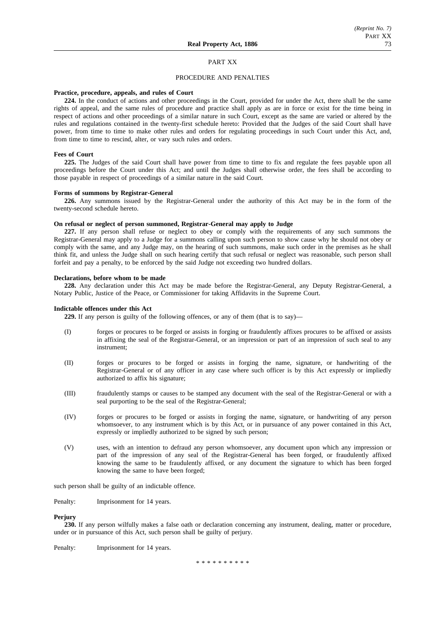## PART XX

## PROCEDURE AND PENALTIES

#### **Practice, procedure, appeals, and rules of Court**

**224.** In the conduct of actions and other proceedings in the Court, provided for under the Act, there shall be the same rights of appeal, and the same rules of procedure and practice shall apply as are in force or exist for the time being in respect of actions and other proceedings of a similar nature in such Court, except as the same are varied or altered by the rules and regulations contained in the twenty-first schedule hereto: Provided that the Judges of the said Court shall have power, from time to time to make other rules and orders for regulating proceedings in such Court under this Act, and, from time to time to rescind, alter, or vary such rules and orders.

#### **Fees of Court**

**225.** The Judges of the said Court shall have power from time to time to fix and regulate the fees payable upon all proceedings before the Court under this Act; and until the Judges shall otherwise order, the fees shall be according to those payable in respect of proceedings of a similar nature in the said Court.

#### **Forms of summons by Registrar-General**

**226.** Any summons issued by the Registrar-General under the authority of this Act may be in the form of the twenty-second schedule hereto.

#### **On refusal or neglect of person summoned, Registrar-General may apply to Judge**

**227.** If any person shall refuse or neglect to obey or comply with the requirements of any such summons the Registrar-General may apply to a Judge for a summons calling upon such person to show cause why he should not obey or comply with the same, and any Judge may, on the hearing of such summons, make such order in the premises as he shall think fit, and unless the Judge shall on such hearing certify that such refusal or neglect was reasonable, such person shall forfeit and pay a penalty, to be enforced by the said Judge not exceeding two hundred dollars.

#### **Declarations, before whom to be made**

**228.** Any declaration under this Act may be made before the Registrar-General, any Deputy Registrar-General, a Notary Public, Justice of the Peace, or Commissioner for taking Affidavits in the Supreme Court.

#### **Indictable offences under this Act**

**229.** If any person is guilty of the following offences, or any of them (that is to say)—

- (I) forges or procures to be forged or assists in forging or fraudulently affixes procures to be affixed or assists in affixing the seal of the Registrar-General, or an impression or part of an impression of such seal to any instrument;
- (II) forges or procures to be forged or assists in forging the name, signature, or handwriting of the Registrar-General or of any officer in any case where such officer is by this Act expressly or impliedly authorized to affix his signature;
- (III) fraudulently stamps or causes to be stamped any document with the seal of the Registrar-General or with a seal purporting to be the seal of the Registrar-General;
- (IV) forges or procures to be forged or assists in forging the name, signature, or handwriting of any person whomsoever, to any instrument which is by this Act, or in pursuance of any power contained in this Act, expressly or impliedly authorized to be signed by such person;
- (V) uses, with an intention to defraud any person whomsoever, any document upon which any impression or part of the impression of any seal of the Registrar-General has been forged, or fraudulently affixed knowing the same to be fraudulently affixed, or any document the signature to which has been forged knowing the same to have been forged;

such person shall be guilty of an indictable offence.

Penalty: Imprisonment for 14 years.

#### **Perjury**

**230.** If any person wilfully makes a false oath or declaration concerning any instrument, dealing, matter or procedure, under or in pursuance of this Act, such person shall be guilty of perjury.

Penalty: Imprisonment for 14 years.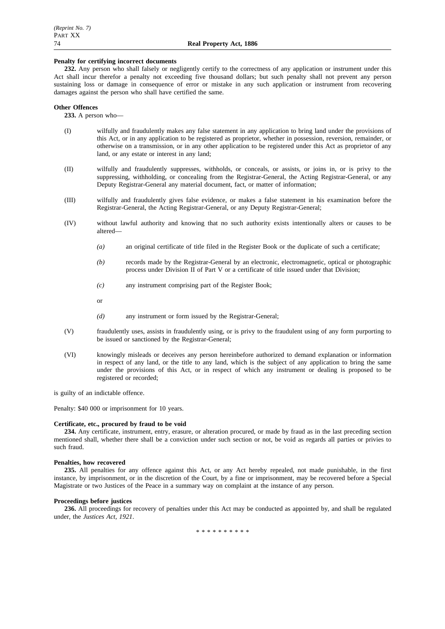## **Penalty for certifying incorrect documents**

**232.** Any person who shall falsely or negligently certify to the correctness of any application or instrument under this Act shall incur therefor a penalty not exceeding five thousand dollars; but such penalty shall not prevent any person sustaining loss or damage in consequence of error or mistake in any such application or instrument from recovering damages against the person who shall have certified the same.

#### **Other Offences**

**233.** A person who—

- (I) wilfully and fraudulently makes any false statement in any application to bring land under the provisions of this Act, or in any application to be registered as proprietor, whether in possession, reversion, remainder, or otherwise on a transmission, or in any other application to be registered under this Act as proprietor of any land, or any estate or interest in any land;
- (II) wilfully and fraudulently suppresses, withholds, or conceals, or assists, or joins in, or is privy to the suppressing, withholding, or concealing from the Registrar-General, the Acting Registrar-General, or any Deputy Registrar-General any material document, fact, or matter of information;
- (III) wilfully and fraudulently gives false evidence, or makes a false statement in his examination before the Registrar-General, the Acting Registrar-General, or any Deputy Registrar-General;
- (IV) without lawful authority and knowing that no such authority exists intentionally alters or causes to be altered—
	- *(a)* an original certificate of title filed in the Register Book or the duplicate of such a certificate;
	- *(b)* records made by the Registrar-General by an electronic, electromagnetic, optical or photographic process under Division II of Part V or a certificate of title issued under that Division;
	- *(c)* any instrument comprising part of the Register Book;
	- or
	- *(d)* any instrument or form issued by the Registrar-General;
- (V) fraudulently uses, assists in fraudulently using, or is privy to the fraudulent using of any form purporting to be issued or sanctioned by the Registrar-General;
- (VI) knowingly misleads or deceives any person hereinbefore authorized to demand explanation or information in respect of any land, or the title to any land, which is the subject of any application to bring the same under the provisions of this Act, or in respect of which any instrument or dealing is proposed to be registered or recorded;

is guilty of an indictable offence.

Penalty: \$40 000 or imprisonment for 10 years.

## **Certificate, etc., procured by fraud to be void**

**234.** Any certificate, instrument, entry, erasure, or alteration procured, or made by fraud as in the last preceding section mentioned shall, whether there shall be a conviction under such section or not, be void as regards all parties or privies to such fraud.

#### **Penalties, how recovered**

**235.** All penalties for any offence against this Act, or any Act hereby repealed, not made punishable, in the first instance, by imprisonment, or in the discretion of the Court, by a fine or imprisonment, may be recovered before a Special Magistrate or two Justices of the Peace in a summary way on complaint at the instance of any person.

## **Proceedings before justices**

**236.** All proceedings for recovery of penalties under this Act may be conducted as appointed by, and shall be regulated under, the *Justices Act, 1921*.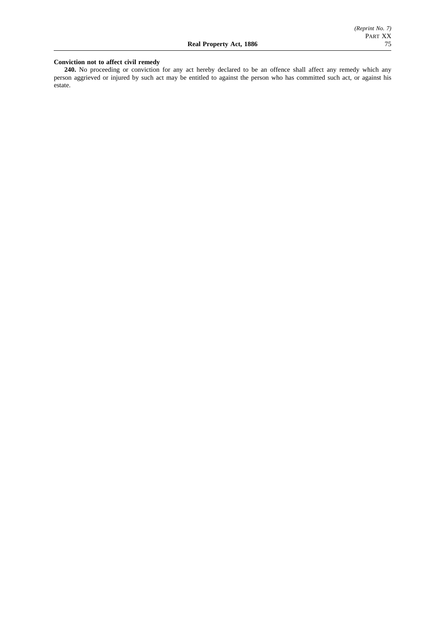## **Conviction not to affect civil remedy**

**240.** No proceeding or conviction for any act hereby declared to be an offence shall affect any remedy which any person aggrieved or injured by such act may be entitled to against the person who has committed such act, or against his estate.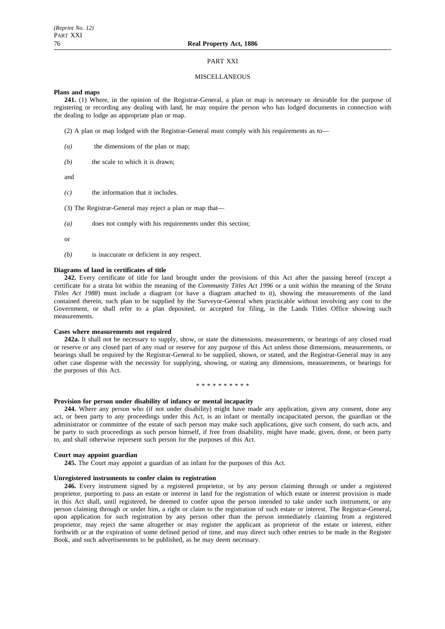## PART XXI

#### MISCELLANEOUS

#### **Plans and maps**

**241.** (1) Where, in the opinion of the Registrar-General, a plan or map is necessary or desirable for the purpose of registering or recording any dealing with land, he may require the person who has lodged documents in connection with the dealing to lodge an appropriate plan or map.

- (2) A plan or map lodged with the Registrar-General must comply with his requirements as to—
- *(a)* the dimensions of the plan or map;
- *(b)* the scale to which it is drawn;

and

- *(c)* the information that it includes.
- (3) The Registrar-General may reject a plan or map that—
- *(a)* does not comply with his requirements under this section;

or

*(b)* is inaccurate or deficient in any respect.

#### **Diagrams of land in certificates of title**

**242.** Every certificate of title for land brought under the provisions of this Act after the passing hereof (except a certificate for a strata lot within the meaning of the *Community Titles Act 1996* or a unit within the meaning of the *Strata Titles Act 1988*) must include a diagram (or have a diagram attached to it), showing the measurements of the land contained therein, such plan to be supplied by the Surveyor-General when practicable without involving any cost to the Government, or shall refer to a plan deposited, or accepted for filing, in the Lands Titles Office showing such measurements.

#### **Cases where measurements not required**

**242a.** It shall not be necessary to supply, show, or state the dimensions, measurements, or bearings of any closed road or reserve or any closed part of any road or reserve for any purpose of this Act unless those dimensions, measurements, or bearings shall be required by the Registrar-General to be supplied, shown, or stated, and the Registrar-General may in any other case dispense with the necessity for supplying, showing, or stating any dimensions, measurements, or bearings for the purposes of this Act.

#### \*\*\*\*\*\*\*\*\*

## **Provision for person under disability of infancy or mental incapacity**

**244.** Where any person who (if not under disability) might have made any application, given any consent, done any act, or been party to any proceedings under this Act, is an infant or mentally incapacitated person, the guardian or the administrator or committee of the estate of such person may make such applications, give such consent, do such acts, and be party to such proceedings as such person himself, if free from disability, might have made, given, done, or been party to, and shall otherwise represent such person for the purposes of this Act.

#### **Court may appoint guardian**

**245.** The Court may appoint a guardian of an infant for the purposes of this Act.

#### **Unregistered instruments to confer claim to registration**

**246.** Every instrument signed by a registered proprietor, or by any person claiming through or under a registered proprietor, purporting to pass an estate or interest in land for the registration of which estate or interest provision is made in this Act shall, until registered, be deemed to confer upon the person intended to take under such instrument, or any person claiming through or under him, a right or claim to the registration of such estate or interest. The Registrar-General, upon application for such registration by any person other than the person immediately claiming from a registered proprietor, may reject the same altogether or may register the applicant as proprietor of the estate or interest, either forthwith or at the expiration of some defined period of time, and may direct such other entries to be made in the Register Book, and such advertisements to be published, as he may deem necessary.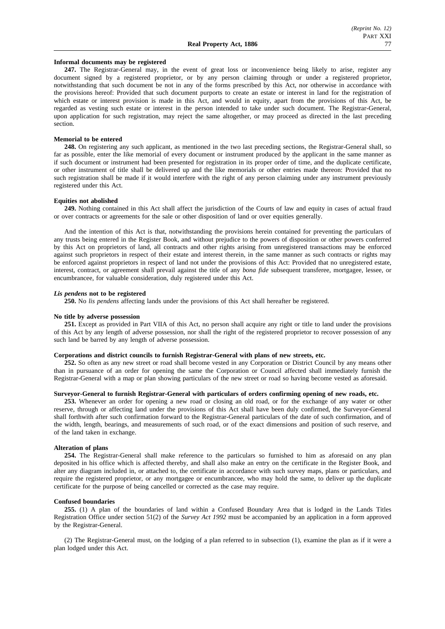#### **Informal documents may be registered**

**247.** The Registrar-General may, in the event of great loss or inconvenience being likely to arise, register any document signed by a registered proprietor, or by any person claiming through or under a registered proprietor, notwithstanding that such document be not in any of the forms prescribed by this Act, nor otherwise in accordance with the provisions hereof: Provided that such document purports to create an estate or interest in land for the registration of which estate or interest provision is made in this Act, and would in equity, apart from the provisions of this Act, be regarded as vesting such estate or interest in the person intended to take under such document. The Registrar-General, upon application for such registration, may reject the same altogether, or may proceed as directed in the last preceding section.

#### **Memorial to be entered**

**248.** On registering any such applicant, as mentioned in the two last preceding sections, the Registrar-General shall, so far as possible, enter the like memorial of every document or instrument produced by the applicant in the same manner as if such document or instrument had been presented for registration in its proper order of time, and the duplicate certificate, or other instrument of title shall be delivered up and the like memorials or other entries made thereon: Provided that no such registration shall be made if it would interfere with the right of any person claiming under any instrument previously registered under this Act.

#### **Equities not abolished**

**249.** Nothing contained in this Act shall affect the jurisdiction of the Courts of law and equity in cases of actual fraud or over contracts or agreements for the sale or other disposition of land or over equities generally.

And the intention of this Act is that, notwithstanding the provisions herein contained for preventing the particulars of any trusts being entered in the Register Book, and without prejudice to the powers of disposition or other powers conferred by this Act on proprietors of land, all contracts and other rights arising from unregistered transactions may be enforced against such proprietors in respect of their estate and interest therein, in the same manner as such contracts or rights may be enforced against proprietors in respect of land not under the provisions of this Act: Provided that no unregistered estate, interest, contract, or agreement shall prevail against the title of any *bona fide* subsequent transferee, mortgagee, lessee, or encumbrancee, for valuable consideration, duly registered under this Act.

#### *Lis pendens* **not to be registered**

**250.** No *lis pendens* affecting lands under the provisions of this Act shall hereafter be registered.

#### **No title by adverse possession**

**251.** Except as provided in Part VIIA of this Act, no person shall acquire any right or title to land under the provisions of this Act by any length of adverse possession, nor shall the right of the registered proprietor to recover possession of any such land be barred by any length of adverse possession.

#### **Corporations and district councils to furnish Registrar-General with plans of new streets, etc.**

**252.** So often as any new street or road shall become vested in any Corporation or District Council by any means other than in pursuance of an order for opening the same the Corporation or Council affected shall immediately furnish the Registrar-General with a map or plan showing particulars of the new street or road so having become vested as aforesaid.

#### **Surveyor-General to furnish Registrar-General with particulars of orders confirming opening of new roads, etc.**

**253.** Whenever an order for opening a new road or closing an old road, or for the exchange of any water or other reserve, through or affecting land under the provisions of this Act shall have been duly confirmed, the Surveyor-General shall forthwith after such confirmation forward to the Registrar-General particulars of the date of such confirmation, and of the width, length, bearings, and measurements of such road, or of the exact dimensions and position of such reserve, and of the land taken in exchange.

#### **Alteration of plans**

**254.** The Registrar-General shall make reference to the particulars so furnished to him as aforesaid on any plan deposited in his office which is affected thereby, and shall also make an entry on the certificate in the Register Book, and alter any diagram included in, or attached to, the certificate in accordance with such survey maps, plans or particulars, and require the registered proprietor, or any mortgagee or encumbrancee, who may hold the same, to deliver up the duplicate certificate for the purpose of being cancelled or corrected as the case may require.

#### **Confused boundaries**

**255.** (1) A plan of the boundaries of land within a Confused Boundary Area that is lodged in the Lands Titles Registration Office under section 51(2) of the *Survey Act 1992* must be accompanied by an application in a form approved by the Registrar-General.

(2) The Registrar-General must, on the lodging of a plan referred to in subsection (1), examine the plan as if it were a plan lodged under this Act.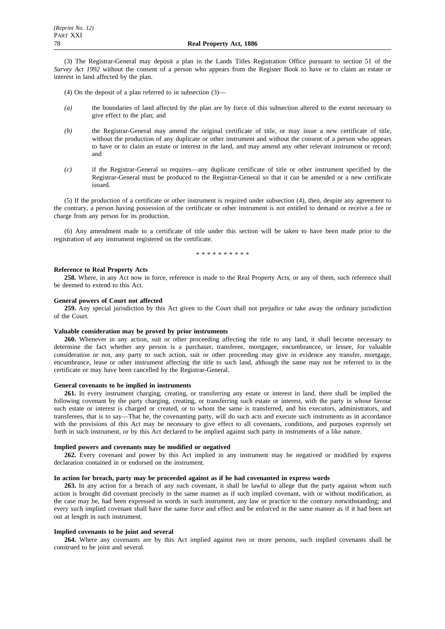(3) The Registrar-General may deposit a plan in the Lands Titles Registration Office pursuant to section 51 of the *Survey Act 1992* without the consent of a person who appears from the Register Book to have or to claim an estate or interest in land affected by the plan.

- (4) On the deposit of a plan referred to in subsection (3)—
- *(a)* the boundaries of land affected by the plan are by force of this subsection altered to the extent necessary to give effect to the plan; and
- *(b)* the Registrar-General may amend the original certificate of title, or may issue a new certificate of title, without the production of any duplicate or other instrument and without the consent of a person who appears to have or to claim an estate or interest in the land, and may amend any other relevant instrument or record; and
- *(c)* if the Registrar-General so requires—any duplicate certificate of title or other instrument specified by the Registrar-General must be produced to the Registrar-General so that it can be amended or a new certificate issued.

(5) If the production of a certificate or other instrument is required under subsection (4), then, despite any agreement to the contrary, a person having possession of the certificate or other instrument is not entitled to demand or receive a fee or charge from any person for its production.

(6) Any amendment made to a certificate of title under this section will be taken to have been made prior to the registration of any instrument registered on the certificate.

\*\*\*\*\*\*\*\*\*\*

#### **Reference to Real Property Acts**

**258.** Where, in any Act now in force, reference is made to the Real Property Acts, or any of them, such reference shall be deemed to extend to this Act.

## **General powers of Court not affected**

**259.** Any special jurisdiction by this Act given to the Court shall not prejudice or take away the ordinary jurisdiction of the Court.

#### **Valuable consideration may be proved by prior instruments**

**260.** Whenever in any action, suit or other proceeding affecting the title to any land, it shall become necessary to determine the fact whether any person is a purchaser, transferee, mortgagee, encumbrancee, or lessee, for valuable consideration or not, any party to such action, suit or other proceeding may give in evidence any transfer, mortgage, encumbrance, lease or other instrument affecting the title to such land, although the same may not be referred to in the certificate or may have been cancelled by the Registrar-General.

#### **General covenants to be implied in instruments**

**261.** In every instrument charging, creating, or transferring any estate or interest in land, there shall be implied the following covenant by the party charging, creating, or transferring such estate or interest, with the party in whose favour such estate or interest is charged or created, or to whom the same is transferred, and his executors, administrators, and transferees, that is to say—That he, the covenanting party, will do such acts and execute such instruments as in accordance with the provisions of this Act may be necessary to give effect to all covenants, conditions, and purposes expressly set forth in such instrument, or by this Act declared to be implied against such party in instruments of a like nature.

#### **Implied powers and covenants may be modified or negatived**

**262.** Every covenant and power by this Act implied in any instrument may be negatived or modified by express declaration contained in or endorsed on the instrument.

#### **In action for breach, party may be proceeded against as if he had covenanted in express words**

**263.** In any action for a breach of any such covenant, it shall be lawful to allege that the party against whom such action is brought did covenant precisely in the same manner as if such implied covenant, with or without modification, as the case may be, had been expressed in words in such instrument, any law or practice to the contrary notwithstanding; and every such implied covenant shall have the same force and effect and be enforced in the same manner as if it had been set out at length in such instrument.

#### **Implied covenants to be joint and several**

**264.** Where any covenants are by this Act implied against two or more persons, such implied covenants shall be construed to be joint and several.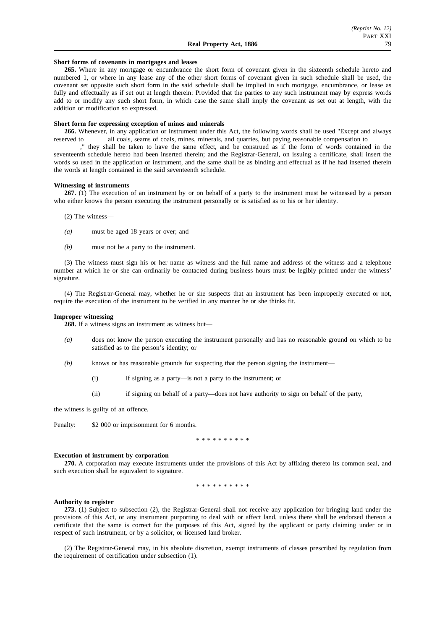#### **Short forms of covenants in mortgages and leases**

**265.** Where in any mortgage or encumbrance the short form of covenant given in the sixteenth schedule hereto and numbered 1, or where in any lease any of the other short forms of covenant given in such schedule shall be used, the covenant set opposite such short form in the said schedule shall be implied in such mortgage, encumbrance, or lease as fully and effectually as if set out at length therein: Provided that the parties to any such instrument may by express words add to or modify any such short form, in which case the same shall imply the covenant as set out at length, with the addition or modification so expressed.

#### **Short form for expressing exception of mines and minerals**

**266.** Whenever, in any application or instrument under this Act, the following words shall be used "Except and always reserved to all coals, seams of coals, mines, minerals, and quarries, but paying reasonable compensation to

," they shall be taken to have the same effect, and be construed as if the form of words contained in the seventeenth schedule hereto had been inserted therein; and the Registrar-General, on issuing a certificate, shall insert the words so used in the application or instrument, and the same shall be as binding and effectual as if he had inserted therein the words at length contained in the said seventeenth schedule.

#### **Witnessing of instruments**

**267.** (1) The execution of an instrument by or on behalf of a party to the instrument must be witnessed by a person who either knows the person executing the instrument personally or is satisfied as to his or her identity.

- (2) The witness—
- *(a)* must be aged 18 years or over; and
- *(b)* must not be a party to the instrument.

(3) The witness must sign his or her name as witness and the full name and address of the witness and a telephone number at which he or she can ordinarily be contacted during business hours must be legibly printed under the witness' signature.

(4) The Registrar-General may, whether he or she suspects that an instrument has been improperly executed or not, require the execution of the instrument to be verified in any manner he or she thinks fit.

#### **Improper witnessing**

**268.** If a witness signs an instrument as witness but—

- *(a)* does not know the person executing the instrument personally and has no reasonable ground on which to be satisfied as to the person's identity; or
- *(b)* knows or has reasonable grounds for suspecting that the person signing the instrument—
	- (i) if signing as a party—is not a party to the instrument; or
	- (ii) if signing on behalf of a party—does not have authority to sign on behalf of the party,

the witness is guilty of an offence.

Penalty: \$2 000 or imprisonment for 6 months.

\*\*\*\*\*\*\*\*\*

#### **Execution of instrument by corporation**

**270.** A corporation may execute instruments under the provisions of this Act by affixing thereto its common seal, and such execution shall be equivalent to signature.

\*\*\*\*\*\*\*\*\*\*

#### **Authority to register**

**273.** (1) Subject to subsection (2), the Registrar-General shall not receive any application for bringing land under the provisions of this Act, or any instrument purporting to deal with or affect land, unless there shall be endorsed thereon a certificate that the same is correct for the purposes of this Act, signed by the applicant or party claiming under or in respect of such instrument, or by a solicitor, or licensed land broker.

(2) The Registrar-General may, in his absolute discretion, exempt instruments of classes prescribed by regulation from the requirement of certification under subsection (1).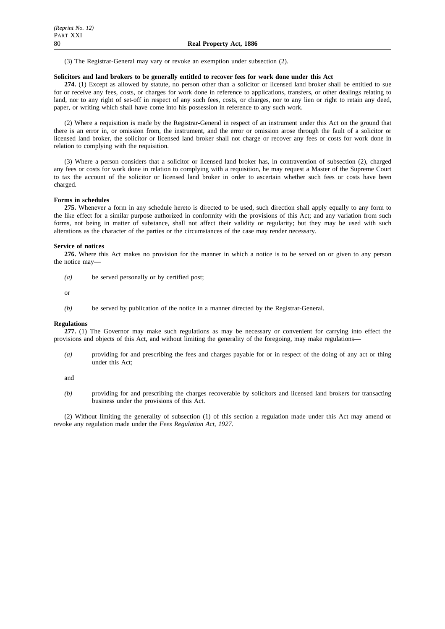(3) The Registrar-General may vary or revoke an exemption under subsection (2).

#### **Solicitors and land brokers to be generally entitled to recover fees for work done under this Act**

**274.** (1) Except as allowed by statute, no person other than a solicitor or licensed land broker shall be entitled to sue for or receive any fees, costs, or charges for work done in reference to applications, transfers, or other dealings relating to land, nor to any right of set-off in respect of any such fees, costs, or charges, nor to any lien or right to retain any deed, paper, or writing which shall have come into his possession in reference to any such work.

(2) Where a requisition is made by the Registrar-General in respect of an instrument under this Act on the ground that there is an error in, or omission from, the instrument, and the error or omission arose through the fault of a solicitor or licensed land broker, the solicitor or licensed land broker shall not charge or recover any fees or costs for work done in relation to complying with the requisition.

(3) Where a person considers that a solicitor or licensed land broker has, in contravention of subsection (2), charged any fees or costs for work done in relation to complying with a requisition, he may request a Master of the Supreme Court to tax the account of the solicitor or licensed land broker in order to ascertain whether such fees or costs have been charged.

## **Forms in schedules**

**275.** Whenever a form in any schedule hereto is directed to be used, such direction shall apply equally to any form to the like effect for a similar purpose authorized in conformity with the provisions of this Act; and any variation from such forms, not being in matter of substance, shall not affect their validity or regularity; but they may be used with such alterations as the character of the parties or the circumstances of the case may render necessary.

#### **Service of notices**

**276.** Where this Act makes no provision for the manner in which a notice is to be served on or given to any person the notice may—

*(a)* be served personally or by certified post;

or

*(b)* be served by publication of the notice in a manner directed by the Registrar-General.

#### **Regulations**

**277.** (1) The Governor may make such regulations as may be necessary or convenient for carrying into effect the provisions and objects of this Act, and without limiting the generality of the foregoing, may make regulations—

*(a)* providing for and prescribing the fees and charges payable for or in respect of the doing of any act or thing under this Act;

and

*(b)* providing for and prescribing the charges recoverable by solicitors and licensed land brokers for transacting business under the provisions of this Act.

(2) Without limiting the generality of subsection (1) of this section a regulation made under this Act may amend or revoke any regulation made under the *Fees Regulation Act, 1927*.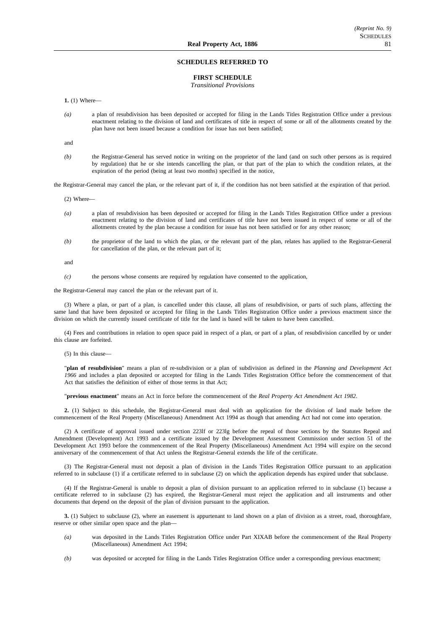## **SCHEDULES REFERRED TO**

#### **FIRST SCHEDULE**

*Transitional Provisions*

**1.** (1) Where—

*(a)* a plan of resubdivision has been deposited or accepted for filing in the Lands Titles Registration Office under a previous enactment relating to the division of land and certificates of title in respect of some or all of the allotments created by the plan have not been issued because a condition for issue has not been satisfied;

and

*(b)* the Registrar-General has served notice in writing on the proprietor of the land (and on such other persons as is required by regulation) that he or she intends cancelling the plan, or that part of the plan to which the condition relates, at the expiration of the period (being at least two months) specified in the notice,

the Registrar-General may cancel the plan, or the relevant part of it, if the condition has not been satisfied at the expiration of that period.

(2) Where—

- *(a)* a plan of resubdivision has been deposited or accepted for filing in the Lands Titles Registration Office under a previous enactment relating to the division of land and certificates of title have not been issued in respect of some or all of the allotments created by the plan because a condition for issue has not been satisfied or for any other reason;
- *(b)* the proprietor of the land to which the plan, or the relevant part of the plan, relates has applied to the Registrar-General for cancellation of the plan, or the relevant part of it;

and

*(c)* the persons whose consents are required by regulation have consented to the application,

the Registrar-General may cancel the plan or the relevant part of it.

(3) Where a plan, or part of a plan, is cancelled under this clause, all plans of resubdivision, or parts of such plans, affecting the same land that have been deposited or accepted for filing in the Lands Titles Registration Office under a previous enactment since the division on which the currently issued certificate of title for the land is based will be taken to have been cancelled.

(4) Fees and contributions in relation to open space paid in respect of a plan, or part of a plan, of resubdivision cancelled by or under this clause are forfeited.

(5) In this clause—

"**plan of resubdivision**" means a plan of re-subdivision or a plan of subdivision as defined in the *Planning and Development Act 1966* and includes a plan deposited or accepted for filing in the Lands Titles Registration Office before the commencement of that Act that satisfies the definition of either of those terms in that Act;

"**previous enactment**" means an Act in force before the commencement of the *Real Property Act Amendment Act 1982*.

**2.** (1) Subject to this schedule, the Registrar-General must deal with an application for the division of land made before the commencement of the Real Property (Miscellaneous) Amendment Act 1994 as though that amending Act had not come into operation.

(2) A certificate of approval issued under section 223lf or 223lg before the repeal of those sections by the Statutes Repeal and Amendment (Development) Act 1993 and a certificate issued by the Development Assessment Commission under section 51 of the Development Act 1993 before the commencement of the Real Property (Miscellaneous) Amendment Act 1994 will expire on the second anniversary of the commencement of that Act unless the Registrar-General extends the life of the certificate.

(3) The Registrar-General must not deposit a plan of division in the Lands Titles Registration Office pursuant to an application referred to in subclause (1) if a certificate referred to in subclause (2) on which the application depends has expired under that subclause.

(4) If the Registrar-General is unable to deposit a plan of division pursuant to an application referred to in subclause (1) because a certificate referred to in subclause (2) has expired, the Registrar-General must reject the application and all instruments and other documents that depend on the deposit of the plan of division pursuant to the application.

**3.** (1) Subject to subclause (2), where an easement is appurtenant to land shown on a plan of division as a street, road, thoroughfare, reserve or other similar open space and the plan—

- *(a)* was deposited in the Lands Titles Registration Office under Part XIXAB before the commencement of the Real Property (Miscellaneous) Amendment Act 1994;
- *(b)* was deposited or accepted for filing in the Lands Titles Registration Office under a corresponding previous enactment;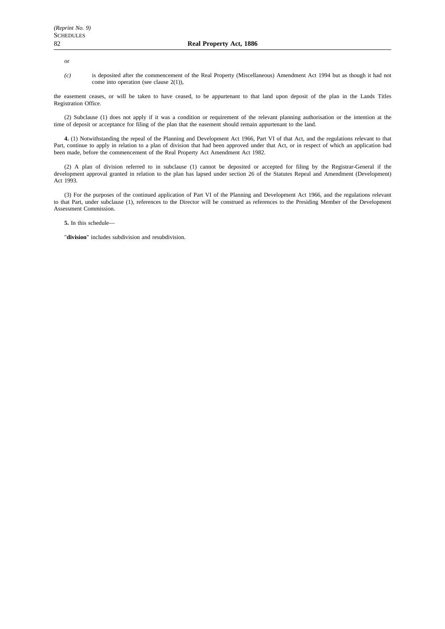or

*(c)* is deposited after the commencement of the Real Property (Miscellaneous) Amendment Act 1994 but as though it had not come into operation (see clause  $2(1)$ ),

the easement ceases, or will be taken to have ceased, to be appurtenant to that land upon deposit of the plan in the Lands Titles Registration Office.

(2) Subclause (1) does not apply if it was a condition or requirement of the relevant planning authorisation or the intention at the time of deposit or acceptance for filing of the plan that the easement should remain appurtenant to the land.

**4.** (1) Notwithstanding the repeal of the Planning and Development Act 1966, Part VI of that Act, and the regulations relevant to that Part, continue to apply in relation to a plan of division that had been approved under that Act, or in respect of which an application had been made, before the commencement of the Real Property Act Amendment Act 1982.

(2) A plan of division referred to in subclause (1) cannot be deposited or accepted for filing by the Registrar-General if the development approval granted in relation to the plan has lapsed under section 26 of the Statutes Repeal and Amendment (Development) Act 1993.

(3) For the purposes of the continued application of Part VI of the Planning and Development Act 1966, and the regulations relevant to that Part, under subclause (1), references to the Director will be construed as references to the Presiding Member of the Development Assessment Commission.

**5.** In this schedule—

"**division**" includes subdivision and resubdivision.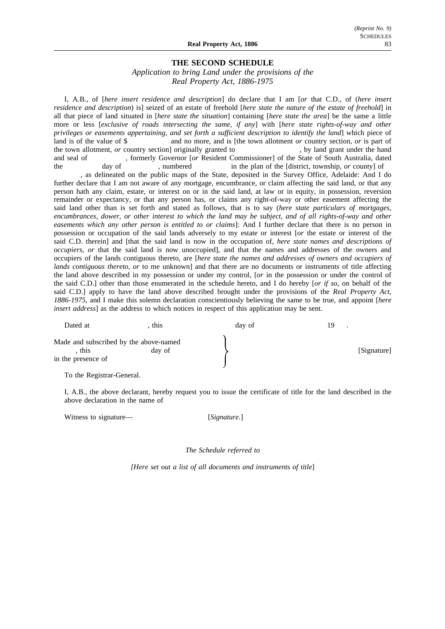## **THE SECOND SCHEDULE**

*Application to bring Land under the provisions of the Real Property Act, 1886-1975*

I, A.B., of [*here insert residence and description*] do declare that I am [*or* that C.D., of (*here insert residence and description*) is] seized of an estate of freehold [*here state the nature of the estate of freehold*] in all that piece of land situated in [*here state the situation*] containing [*here state the area*] be the same a little more or less [*exclusive of roads intersecting the same, if any*] with [*here state rights-of-way and other privileges or easements appertaining, and set forth a sufficient description to identify the land*] which piece of land is of the value of \$ and no more, and is [the town allotment *or* country section, *or* is part of the town allotment, *or* country section] originally granted to , by land grant under the hand and seal of , formerly Governor [*or* Resident Commissioner] of the State of South Australia, dated the day of , numbered in the plan of the [district, township, *or* county] of

, as delineated on the public maps of the State, deposited in the Survey Office, Adelaide: And I do further declare that I am not aware of any mortgage, encumbrance, or claim affecting the said land, or that any person hath any claim, estate, or interest on or in the said land, at law or in equity, in possession, reversion remainder or expectancy, or that any person has, or claims any right-of-way or other easement affecting the said land other than is set forth and stated as follows, that is to say (*here state particulars of mortgages, encumbrances, dower, or other interest to which the land may be subject, and of all rights-of-way and other easements which any other person is entitled to or claims*]: And I further declare that there is no person in possession or occupation of the said lands adversely to my estate or interest [*or* the estate or interest of the said C.D. therein] and [that the said land is now in the occupation of, *here state names and descriptions of occupiers, or* that the said land is now unoccupied], and that the names and addresses of the owners and occupiers of the lands contiguous thereto, are [*here state the names and addresses of owners and occupiers of lands contiguous thereto, or* to me unknown] and that there are no documents or instruments of title affecting the land above described in my possession or under my control, [*or* in the possession or under the control of the said C.D.] other than those enumerated in the schedule hereto, and I do hereby [*or if so*, on behalf of the said C.D.] apply to have the land above described brought under the provisions of the *Real Property Act, 1886-1975*, and I make this solemn declaration conscientiously believing the same to be true, and appoint [*here insert address*] as the address to which notices in respect of this application may be sent.

| Dated at                   | this                                             | day of |             |
|----------------------------|--------------------------------------------------|--------|-------------|
| this<br>in the presence of | Made and subscribed by the above-named<br>day of |        | [Signature] |

To the Registrar-General.

I, A.B., the above declarant, hereby request you to issue the certificate of title for the land described in the above declaration in the name of

Witness to signature— [*Signature.*]

*The Schedule referred to*

*[Here set out a list of all documents and instruments of title*]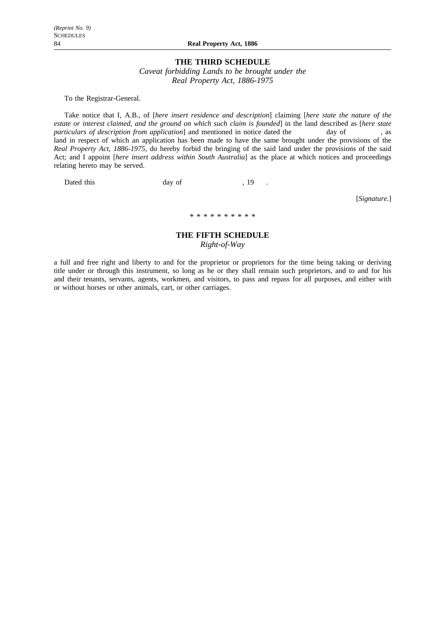## **THE THIRD SCHEDULE**

*Caveat forbidding Lands to be brought under the Real Property Act, 1886-1975*

To the Registrar-General.

Take notice that I, A.B., of [*here insert residence and description*] claiming [*here state the nature of the estate or interest claimed, and the ground on which such claim is founded*] in the land described as [*here state particulars of description from application*] and mentioned in notice dated the day of , as land in respect of which an application has been made to have the same brought under the provisions of the *Real Property Act, 1886-1975*, do hereby forbid the bringing of the said land under the provisions of the said Act; and I appoint [*here insert address within South Australia*] as the place at which notices and proceedings relating hereto may be served.

Dated this day of , 19

[*Signature.*]

\*\*\*\*\*\*\*\*\*\*

## **THE FIFTH SCHEDULE** *Right-of-Way*

a full and free right and liberty to and for the proprietor or proprietors for the time being taking or deriving title under or through this instrument, so long as he or they shall remain such proprietors, and to and for his and their tenants, servants, agents, workmen, and visitors, to pass and repass for all purposes, and either with or without horses or other animals, cart, or other carriages.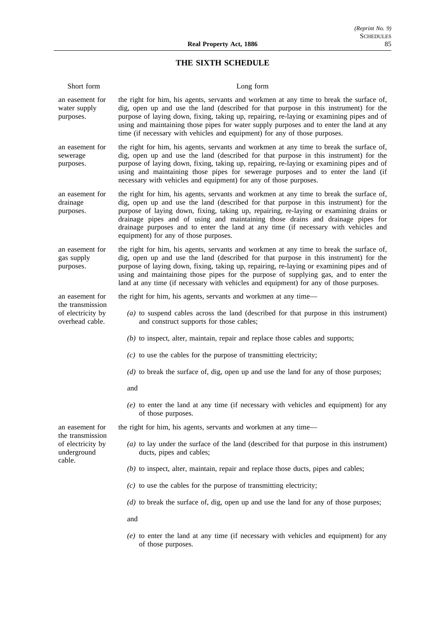# **THE SIXTH SCHEDULE**

| Short form                                                                        | Long form                                                                                                                                                                                                                                                                                                                                                                                                                                                                                      |
|-----------------------------------------------------------------------------------|------------------------------------------------------------------------------------------------------------------------------------------------------------------------------------------------------------------------------------------------------------------------------------------------------------------------------------------------------------------------------------------------------------------------------------------------------------------------------------------------|
| an easement for<br>water supply<br>purposes.                                      | the right for him, his agents, servants and workmen at any time to break the surface of,<br>dig, open up and use the land (described for that purpose in this instrument) for the<br>purpose of laying down, fixing, taking up, repairing, re-laying or examining pipes and of<br>using and maintaining those pipes for water supply purposes and to enter the land at any<br>time (if necessary with vehicles and equipment) for any of those purposes.                                       |
| an easement for<br>sewerage<br>purposes.                                          | the right for him, his agents, servants and workmen at any time to break the surface of,<br>dig, open up and use the land (described for that purpose in this instrument) for the<br>purpose of laying down, fixing, taking up, repairing, re-laying or examining pipes and of<br>using and maintaining those pipes for sewerage purposes and to enter the land (if<br>necessary with vehicles and equipment) for any of those purposes.                                                       |
| an easement for<br>drainage<br>purposes.                                          | the right for him, his agents, servants and workmen at any time to break the surface of,<br>dig, open up and use the land (described for that purpose in this instrument) for the<br>purpose of laying down, fixing, taking up, repairing, re-laying or examining drains or<br>drainage pipes and of using and maintaining those drains and drainage pipes for<br>drainage purposes and to enter the land at any time (if necessary with vehicles and<br>equipment) for any of those purposes. |
| an easement for<br>gas supply<br>purposes.                                        | the right for him, his agents, servants and workmen at any time to break the surface of,<br>dig, open up and use the land (described for that purpose in this instrument) for the<br>purpose of laying down, fixing, taking up, repairing, re-laying or examining pipes and of<br>using and maintaining those pipes for the purpose of supplying gas, and to enter the<br>land at any time (if necessary with vehicles and equipment) for any of those purposes.                               |
| an easement for                                                                   | the right for him, his agents, servants and workmen at any time—                                                                                                                                                                                                                                                                                                                                                                                                                               |
| the transmission<br>of electricity by<br>overhead cable.                          | $(a)$ to suspend cables across the land (described for that purpose in this instrument)<br>and construct supports for those cables;                                                                                                                                                                                                                                                                                                                                                            |
|                                                                                   | $(b)$ to inspect, alter, maintain, repair and replace those cables and supports;                                                                                                                                                                                                                                                                                                                                                                                                               |
|                                                                                   | $(c)$ to use the cables for the purpose of transmitting electricity;                                                                                                                                                                                                                                                                                                                                                                                                                           |
|                                                                                   | $(d)$ to break the surface of, dig, open up and use the land for any of those purposes;                                                                                                                                                                                                                                                                                                                                                                                                        |
|                                                                                   | and                                                                                                                                                                                                                                                                                                                                                                                                                                                                                            |
|                                                                                   | $(e)$ to enter the land at any time (if necessary with vehicles and equipment) for any<br>of those purposes.                                                                                                                                                                                                                                                                                                                                                                                   |
| an easement for<br>the transmission<br>of electricity by<br>underground<br>cable. | the right for him, his agents, servants and workmen at any time—                                                                                                                                                                                                                                                                                                                                                                                                                               |
|                                                                                   | $(a)$ to lay under the surface of the land (described for that purpose in this instrument)<br>ducts, pipes and cables;                                                                                                                                                                                                                                                                                                                                                                         |
|                                                                                   | $(b)$ to inspect, alter, maintain, repair and replace those ducts, pipes and cables;                                                                                                                                                                                                                                                                                                                                                                                                           |
|                                                                                   | $(c)$ to use the cables for the purpose of transmitting electricity;                                                                                                                                                                                                                                                                                                                                                                                                                           |
|                                                                                   | $(d)$ to break the surface of, dig, open up and use the land for any of those purposes;                                                                                                                                                                                                                                                                                                                                                                                                        |
|                                                                                   | and                                                                                                                                                                                                                                                                                                                                                                                                                                                                                            |
|                                                                                   | $(e)$ to enter the land at any time (if necessary with vehicles and equipment) for any<br>of those purposes.                                                                                                                                                                                                                                                                                                                                                                                   |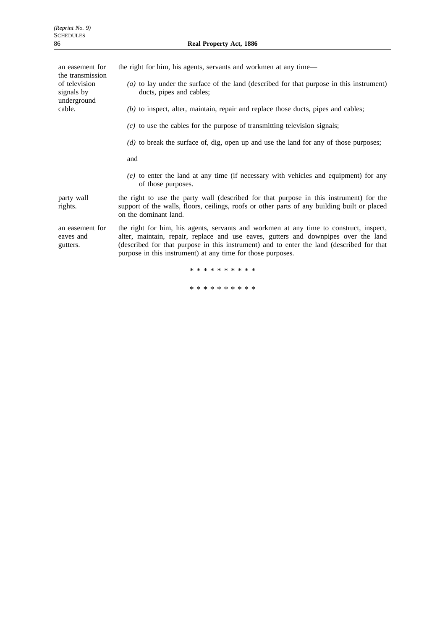| an easement for<br>the transmission                  | the right for him, his agents, servants and workmen at any time—                                                                                                                                                                                                                                                                          |  |
|------------------------------------------------------|-------------------------------------------------------------------------------------------------------------------------------------------------------------------------------------------------------------------------------------------------------------------------------------------------------------------------------------------|--|
| of television<br>signals by<br>underground<br>cable. | (a) to lay under the surface of the land (described for that purpose in this instrument)<br>ducts, pipes and cables;                                                                                                                                                                                                                      |  |
|                                                      | $(b)$ to inspect, alter, maintain, repair and replace those ducts, pipes and cables;                                                                                                                                                                                                                                                      |  |
|                                                      | $(c)$ to use the cables for the purpose of transmitting television signals;                                                                                                                                                                                                                                                               |  |
|                                                      | (d) to break the surface of, dig, open up and use the land for any of those purposes;                                                                                                                                                                                                                                                     |  |
|                                                      | and                                                                                                                                                                                                                                                                                                                                       |  |
|                                                      | $(e)$ to enter the land at any time (if necessary with vehicles and equipment) for any<br>of those purposes.                                                                                                                                                                                                                              |  |
| party wall<br>rights.                                | the right to use the party wall (described for that purpose in this instrument) for the<br>support of the walls, floors, ceilings, roofs or other parts of any building built or placed<br>on the dominant land.                                                                                                                          |  |
| an easement for<br>eaves and<br>gutters.             | the right for him, his agents, servants and workmen at any time to construct, inspect,<br>alter, maintain, repair, replace and use eaves, gutters and downpipes over the land<br>(described for that purpose in this instrument) and to enter the land (described for that<br>purpose in this instrument) at any time for those purposes. |  |
|                                                      | * * * * * * * * * *                                                                                                                                                                                                                                                                                                                       |  |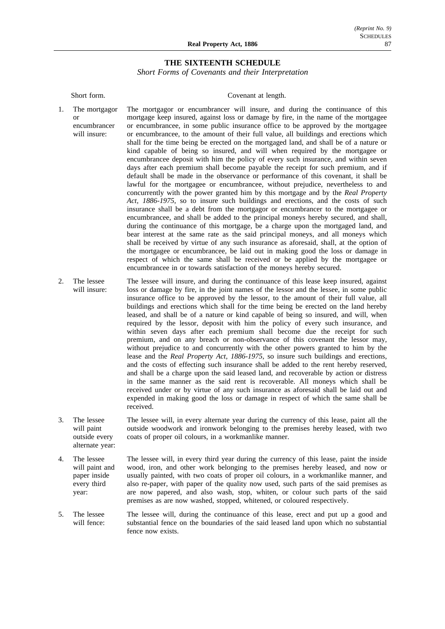# **THE SIXTEENTH SCHEDULE**

*Short Forms of Covenants and their Interpretation*

### Covenant at length.

- 1. The mortgagor or encumbrancer will insure: The mortgagor or encumbrancer will insure, and during the continuance of this mortgage keep insured, against loss or damage by fire, in the name of the mortgagee or encumbrancee, in some public insurance office to be approved by the mortgagee or encumbrancee, to the amount of their full value, all buildings and erections which shall for the time being be erected on the mortgaged land, and shall be of a nature or kind capable of being so insured, and will when required by the mortgagee or encumbrancee deposit with him the policy of every such insurance, and within seven days after each premium shall become payable the receipt for such premium, and if default shall be made in the observance or performance of this covenant, it shall be lawful for the mortgagee or encumbrancee, without prejudice, nevertheless to and concurrently with the power granted him by this mortgage and by the *Real Property Act, 1886-1975*, so to insure such buildings and erections, and the costs of such insurance shall be a debt from the mortgagor or encumbrancer to the mortgagee or encumbrancee, and shall be added to the principal moneys hereby secured, and shall, during the continuance of this mortgage, be a charge upon the mortgaged land, and bear interest at the same rate as the said principal moneys, and all moneys which shall be received by virtue of any such insurance as aforesaid, shall, at the option of the mortgagee or encumbrancee, be laid out in making good the loss or damage in respect of which the same shall be received or be applied by the mortgagee or encumbrancee in or towards satisfaction of the moneys hereby secured.
- 2. The lessee will insure: The lessee will insure, and during the continuance of this lease keep insured, against loss or damage by fire, in the joint names of the lessor and the lessee, in some public insurance office to be approved by the lessor, to the amount of their full value, all buildings and erections which shall for the time being be erected on the land hereby leased, and shall be of a nature or kind capable of being so insured, and will, when required by the lessor, deposit with him the policy of every such insurance, and within seven days after each premium shall become due the receipt for such premium, and on any breach or non-observance of this covenant the lessor may, without prejudice to and concurrently with the other powers granted to him by the lease and the *Real Property Act, 1886-1975*, so insure such buildings and erections, and the costs of effecting such insurance shall be added to the rent hereby reserved, and shall be a charge upon the said leased land, and recoverable by action or distress in the same manner as the said rent is recoverable. All moneys which shall be received under or by virtue of any such insurance as aforesaid shall be laid out and expended in making good the loss or damage in respect of which the same shall be received.
- 3. The lessee will paint outside every alternate year: The lessee will, in every alternate year during the currency of this lease, paint all the outside woodwork and ironwork belonging to the premises hereby leased, with two coats of proper oil colours, in a workmanlike manner.
- 4. The lessee will paint and paper inside every third year: The lessee will, in every third year during the currency of this lease, paint the inside wood, iron, and other work belonging to the premises hereby leased, and now or usually painted, with two coats of proper oil colours, in a workmanlike manner, and also re-paper, with paper of the quality now used, such parts of the said premises as are now papered, and also wash, stop, whiten, or colour such parts of the said premises as are now washed, stopped, whitened, or coloured respectively.
- 5. The lessee will fence: The lessee will, during the continuance of this lease, erect and put up a good and substantial fence on the boundaries of the said leased land upon which no substantial fence now exists.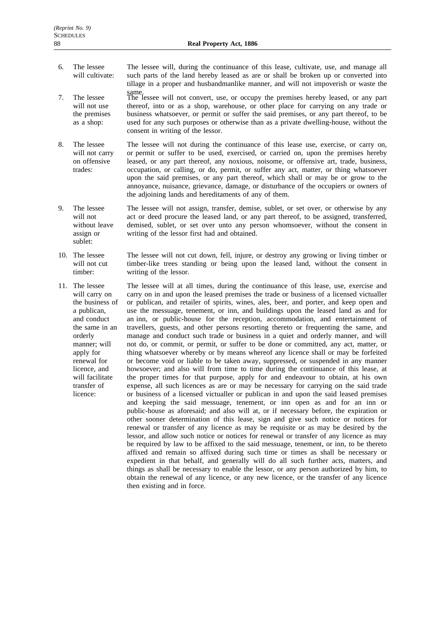- 6. The lessee will cultivate: The lessee will, during the continuance of this lease, cultivate, use, and manage all such parts of the land hereby leased as are or shall be broken up or converted into tillage in a proper and husbandmanlike manner, and will not impoverish or waste the
- same. The lessee will not convert, use, or occupy the premises hereby leased, or any part 7. The lessee will not use the premises as a shop: thereof, into or as a shop, warehouse, or other place for carrying on any trade or business whatsoever, or permit or suffer the said premises, or any part thereof, to be used for any such purposes or otherwise than as a private dwelling-house, without the consent in writing of the lessor.
- 8. The lessee will not carry on offensive trades: The lessee will not during the continuance of this lease use, exercise, or carry on, or permit or suffer to be used, exercised, or carried on, upon the premises hereby leased, or any part thereof, any noxious, noisome, or offensive art, trade, business, occupation, or calling, or do, permit, or suffer any act, matter, or thing whatsoever upon the said premises, or any part thereof, which shall or may be or grow to the annoyance, nuisance, grievance, damage, or disturbance of the occupiers or owners of the adjoining lands and hereditaments of any of them.
- 9. The lessee will not without leave assign or sublet: The lessee will not assign, transfer, demise, sublet, or set over, or otherwise by any act or deed procure the leased land, or any part thereof, to be assigned, transferred, demised, sublet, or set over unto any person whomsoever, without the consent in writing of the lessor first had and obtained.
- 10. The lessee will not cut timber: The lessee will not cut down, fell, injure, or destroy any growing or living timber or timber-like trees standing or being upon the leased land, without the consent in writing of the lessor.
- 11. The lessee will carry on the business of a publican, and conduct the same in an orderly manner; will apply for renewal for licence, and will facilitate transfer of licence: The lessee will at all times, during the continuance of this lease, use, exercise and carry on in and upon the leased premises the trade or business of a licensed victualler or publican, and retailer of spirits, wines, ales, beer, and porter, and keep open and use the messuage, tenement, or inn, and buildings upon the leased land as and for an inn, or public-house for the reception, accommodation, and entertainment of travellers, guests, and other persons resorting thereto or frequenting the same, and manage and conduct such trade or business in a quiet and orderly manner, and will not do, or commit, or permit, or suffer to be done or committed, any act, matter, or thing whatsoever whereby or by means whereof any licence shall or may be forfeited or become void or liable to be taken away, suppressed, or suspended in any manner howsoever; and also will from time to time during the continuance of this lease, at the proper times for that purpose, apply for and endeavour to obtain, at his own expense, all such licences as are or may be necessary for carrying on the said trade or business of a licensed victualler or publican in and upon the said leased premises and keeping the said messuage, tenement, or inn open as and for an inn or public-house as aforesaid; and also will at, or if necessary before, the expiration or other sooner determination of this lease, sign and give such notice or notices for renewal or transfer of any licence as may be requisite or as may be desired by the lessor, and allow such notice or notices for renewal or transfer of any licence as may be required by law to be affixed to the said messuage, tenement, or inn, to be thereto affixed and remain so affixed during such time or times as shall be necessary or expedient in that behalf, and generally will do all such further acts, matters, and things as shall be necessary to enable the lessor, or any person authorized by him, to obtain the renewal of any licence, or any new licence, or the transfer of any licence then existing and in force.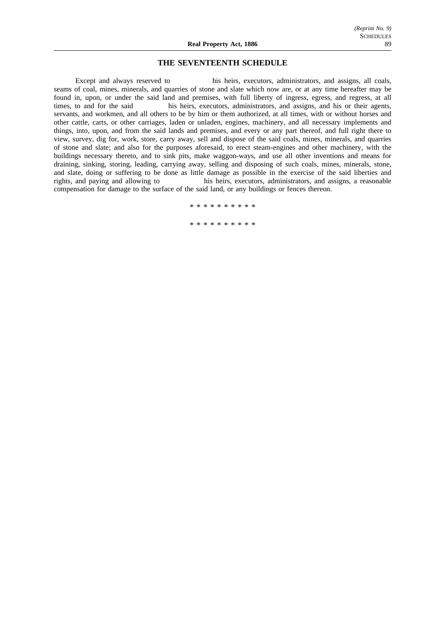## **THE SEVENTEENTH SCHEDULE**

Except and always reserved to his heirs, executors, administrators, and assigns, all coals, seams of coal, mines, minerals, and quarries of stone and slate which now are, or at any time hereafter may be found in, upon, or under the said land and premises, with full liberty of ingress, egress, and regress, at all times, to and for the said his heirs, executors, administrators, and assigns, and his or their agents, his heirs, executors, administrators, and assigns, and his or their agents, servants, and workmen, and all others to be by him or them authorized, at all times, with or without horses and other cattle, carts, or other carriages, laden or unladen, engines, machinery, and all necessary implements and things, into, upon, and from the said lands and premises, and every or any part thereof, and full right there to view, survey, dig for, work, store, carry away, sell and dispose of the said coals, mines, minerals, and quarries of stone and slate; and also for the purposes aforesaid, to erect steam-engines and other machinery, with the buildings necessary thereto, and to sink pits, make waggon-ways, and use all other inventions and means for draining, sinking, storing, leading, carrying away, selling and disposing of such coals, mines, minerals, stone, and slate, doing or suffering to be done as little damage as possible in the exercise of the said liberties and rights, and paying and allowing to his heirs, executors, administrators, and assigns, a reasonable his heirs, executors, administrators, and assigns, a reasonable compensation for damage to the surface of the said land, or any buildings or fences thereon.

\*\*\*\*\*\*\*\*\*\*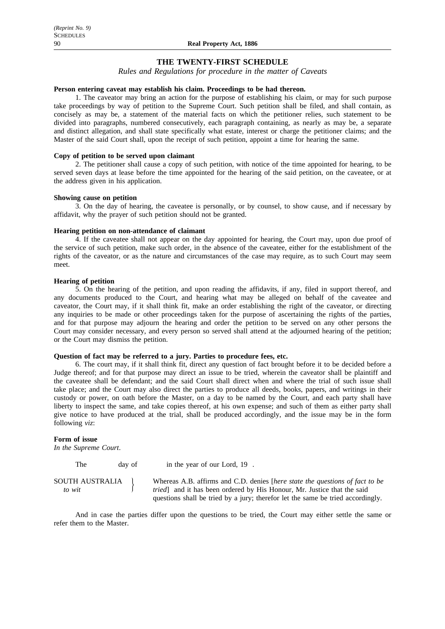## **THE TWENTY-FIRST SCHEDULE**

*Rules and Regulations for procedure in the matter of Caveats*

## **Person entering caveat may establish his claim. Proceedings to be had thereon.**

1. The caveator may bring an action for the purpose of establishing his claim, or may for such purpose take proceedings by way of petition to the Supreme Court. Such petition shall be filed, and shall contain, as concisely as may be, a statement of the material facts on which the petitioner relies, such statement to be divided into paragraphs, numbered consecutively, each paragraph containing, as nearly as may be, a separate and distinct allegation, and shall state specifically what estate, interest or charge the petitioner claims; and the Master of the said Court shall, upon the receipt of such petition, appoint a time for hearing the same.

### **Copy of petition to be served upon claimant**

2. The petitioner shall cause a copy of such petition, with notice of the time appointed for hearing, to be served seven days at lease before the time appointed for the hearing of the said petition, on the caveatee, or at the address given in his application.

#### **Showing cause on petition**

3. On the day of hearing, the caveatee is personally, or by counsel, to show cause, and if necessary by affidavit, why the prayer of such petition should not be granted.

#### **Hearing petition on non-attendance of claimant**

4. If the caveatee shall not appear on the day appointed for hearing, the Court may, upon due proof of the service of such petition, make such order, in the absence of the caveatee, either for the establishment of the rights of the caveator, or as the nature and circumstances of the case may require, as to such Court may seem meet.

## **Hearing of petition**

5. On the hearing of the petition, and upon reading the affidavits, if any, filed in support thereof, and any documents produced to the Court, and hearing what may be alleged on behalf of the caveatee and caveator, the Court may, if it shall think fit, make an order establishing the right of the caveator, or directing any inquiries to be made or other proceedings taken for the purpose of ascertaining the rights of the parties, and for that purpose may adjourn the hearing and order the petition to be served on any other persons the Court may consider necessary, and every person so served shall attend at the adjourned hearing of the petition; or the Court may dismiss the petition.

## **Question of fact may be referred to a jury. Parties to procedure fees, etc.**

6. The court may, if it shall think fit, direct any question of fact brought before it to be decided before a Judge thereof; and for that purpose may direct an issue to be tried, wherein the caveator shall be plaintiff and the caveatee shall be defendant; and the said Court shall direct when and where the trial of such issue shall take place; and the Court may also direct the parties to produce all deeds, books, papers, and writings in their custody or power, on oath before the Master, on a day to be named by the Court, and each party shall have liberty to inspect the same, and take copies thereof, at his own expense; and such of them as either party shall give notice to have produced at the trial, shall be produced accordingly, and the issue may be in the form following *viz*:

## **Form of issue**

*In the Supreme Court*.

| The                              | day of | in the year of our Lord, 19.                                                                                                                                         |
|----------------------------------|--------|----------------------------------------------------------------------------------------------------------------------------------------------------------------------|
| <b>SOUTH AUSTRALIA</b><br>to wit |        | Whereas A.B. affirms and C.D. denies <i>[here state the questions of fact to be</i><br><i>tried</i> and it has been ordered by His Honour, Mr. Justice that the said |
|                                  |        | questions shall be tried by a jury; therefor let the same be tried accordingly.                                                                                      |

And in case the parties differ upon the questions to be tried, the Court may either settle the same or refer them to the Master.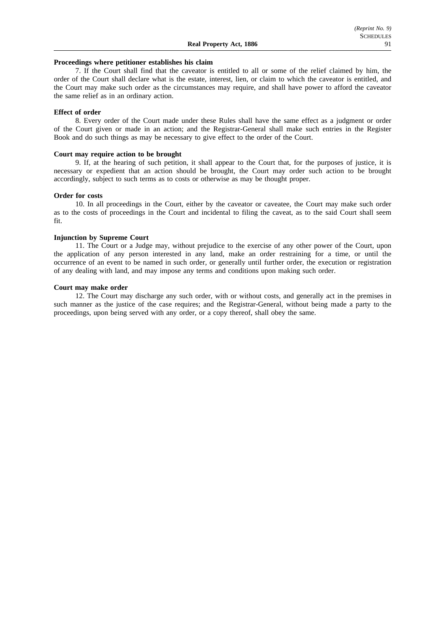## **Proceedings where petitioner establishes his claim**

7. If the Court shall find that the caveator is entitled to all or some of the relief claimed by him, the order of the Court shall declare what is the estate, interest, lien, or claim to which the caveator is entitled, and the Court may make such order as the circumstances may require, and shall have power to afford the caveator the same relief as in an ordinary action.

## **Effect of order**

8. Every order of the Court made under these Rules shall have the same effect as a judgment or order of the Court given or made in an action; and the Registrar-General shall make such entries in the Register Book and do such things as may be necessary to give effect to the order of the Court.

## **Court may require action to be brought**

9. If, at the hearing of such petition, it shall appear to the Court that, for the purposes of justice, it is necessary or expedient that an action should be brought, the Court may order such action to be brought accordingly, subject to such terms as to costs or otherwise as may be thought proper.

## **Order for costs**

10. In all proceedings in the Court, either by the caveator or caveatee, the Court may make such order as to the costs of proceedings in the Court and incidental to filing the caveat, as to the said Court shall seem fit.

## **Injunction by Supreme Court**

11. The Court or a Judge may, without prejudice to the exercise of any other power of the Court, upon the application of any person interested in any land, make an order restraining for a time, or until the occurrence of an event to be named in such order, or generally until further order, the execution or registration of any dealing with land, and may impose any terms and conditions upon making such order.

#### **Court may make order**

12. The Court may discharge any such order, with or without costs, and generally act in the premises in such manner as the justice of the case requires; and the Registrar-General, without being made a party to the proceedings, upon being served with any order, or a copy thereof, shall obey the same.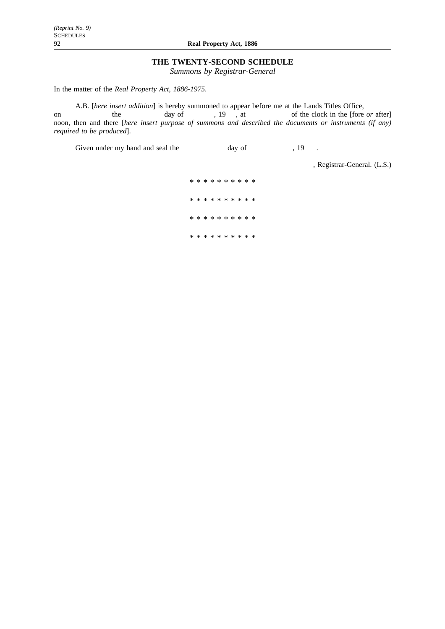## 92 **Real Property Act, 1886**

## **THE TWENTY-SECOND SCHEDULE**

*Summons by Registrar-General*

In the matter of the *Real Property Act, 1886-1975*.

A.B. [*here insert addition*] is hereby summoned to appear before me at the Lands Titles Office, on the day of , 19 , at of the clock in the [fore *or* after] noon, then and there [*here insert purpose of summons and described the documents or instruments (if any) required to be produced*].

Given under my hand and seal the day of the day of the seal of the day of the seal of the day of the seal of the day of the seal of the day of the seal of the day of the seal of the day of the seal of the day of the seal o

, Registrar-General. (L.S.)

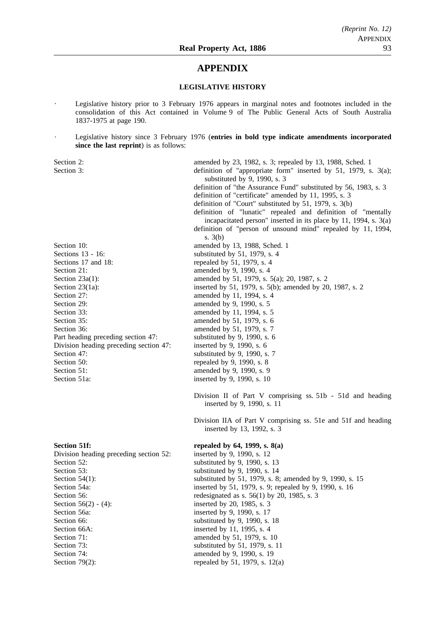# **APPENDIX**

## **LEGISLATIVE HISTORY**

- Legislative history prior to 3 February 1976 appears in marginal notes and footnotes included in the consolidation of this Act contained in Volume 9 of The Public General Acts of South Australia 1837-1975 at page 190.
- Legislative history since 3 February 1976 (**entries in bold type indicate amendments incorporated since the last reprint**) is as follows:

| Section 2:                             | amended by 23, 1982, s. 3; repealed by 13, 1988, Sched. 1                                          |
|----------------------------------------|----------------------------------------------------------------------------------------------------|
| Section 3:                             | definition of "appropriate form" inserted by 51, 1979, s. $3(a)$ ;<br>substituted by 9, 1990, s. 3 |
|                                        | definition of "the Assurance Fund" substituted by 56, 1983, s. 3                                   |
|                                        | definition of "certificate" amended by 11, 1995, s. 3                                              |
|                                        | definition of "Court" substituted by 51, 1979, s. 3(b)                                             |
|                                        | definition of "lunatic" repealed and definition of "mentally                                       |
|                                        | incapacitated person" inserted in its place by 11, 1994, s. $3(a)$                                 |
|                                        | definition of "person of unsound mind" repealed by 11, 1994,                                       |
|                                        | s. $3(b)$                                                                                          |
| Section 10:                            | amended by 13, 1988, Sched. 1                                                                      |
| Sections 13 - 16:                      | substituted by 51, 1979, s. 4                                                                      |
| Sections 17 and 18:                    | repealed by 51, 1979, s. 4                                                                         |
| Section 21:                            | amended by 9, 1990, s. 4                                                                           |
| Section $23a(1)$ :                     | amended by 51, 1979, s. 5(a); 20, 1987, s. 2                                                       |
| Section $23(1a)$ :                     | inserted by 51, 1979, s. 5(b); amended by 20, 1987, s. 2                                           |
| Section 27:                            | amended by 11, 1994, s. 4                                                                          |
| Section 29:                            | amended by 9, 1990, s. 5                                                                           |
| Section 33:                            | amended by 11, 1994, s. 5                                                                          |
| Section 35:                            | amended by 51, 1979, s. 6                                                                          |
| Section 36:                            | amended by 51, 1979, s. 7                                                                          |
| Part heading preceding section 47:     | substituted by 9, 1990, s. 6                                                                       |
| Division heading preceding section 47: | inserted by 9, 1990, s. 6                                                                          |
| Section 47:                            | substituted by 9, 1990, s. $7$                                                                     |
| Section 50:                            | repealed by 9, 1990, s. 8                                                                          |
| Section 51:                            | amended by 9, 1990, s. 9                                                                           |
| Section 51a:                           | inserted by 9, 1990, s. 10                                                                         |
|                                        | Division II of Part V comprising ss. 51b - 51d and heading                                         |
|                                        | inserted by 9, 1990, s. 11                                                                         |

Division heading preceding section 52: inserted by 9, 1990, s. 12 Section 52: substituted by 9, 1990, s. 13 Section 53: substituted by 9, 1990, s. 14<br>Section 54(1): substituted by 9, 1979, s. 8: Section 56a: inserted by 9, 1990, s. 17 Section 66: substituted by 9, 1990, s. 18 Section 66A: inserted by 11, 1995, s. 4 Section 71: amended by 51, 1979, s. 10<br>Section 73: Substituted by 51, 1979, s. 1 Section 73: substituted by 51, 1979, s. 11<br>Section 74: substituted by 9, 1990, s. 19 Section 74: amended by 9, 1990, s. 19<br>Section 79(2): repeated by 51, 1979, s. 12

## **Section 51f:** repealed by 64, 1999, s. 8(a)

inserted by 13, 1992, s. 3

Section 54(1):<br>Section 54a:<br>Section 54a:<br>Section 54a:<br>Section 54a:<br>Section 54a:<br>Section 54a:<br>Section 54a: Section 54a: inserted by 51, 1979, s. 9; repealed by 9, 1990, s. 16<br>Section 56: redesignated as s. 56(1) by 20, 1985, s. 3 Section 56: redesignated as s. 56(1) by  $20$ , 1985, s. 3<br>Section 56(2) - (4): redesignated by 20, 1985, s. 3 inserted by 20, 1985, s.  $3$ repealed by 51, 1979, s.  $12(a)$ 

Division IIA of Part V comprising ss. 51e and 51f and heading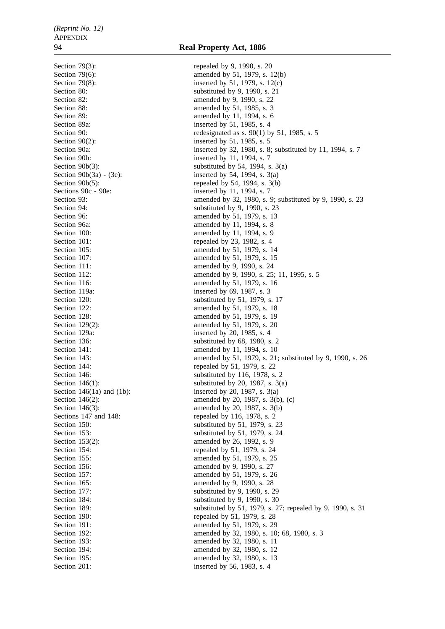Section 90b: inserted by 11, 1994, s. 7 Sections 90c - 90e: inserted by 11, 1994, s. 7

## 94 **Real Property Act, 1886**

Section 79(3): repealed by 9, 1990, s. 20 Section 79(6): amended by 51, 1979, s. 12(b) Section 79(8): inserted by 51, 1979, s. 12(c) Section 80: substituted by 9, 1990, s. 21 Section 82: amended by 9, 1990, s. 22 Section 88: **amended** by 51, 1985, s. 3 Section 89: **amended** by 11, 1994, s. 6 Section 89a: inserted by 51, 1985, s. 4 Section 90: redesignated as s. 90(1) by 51, 1985, s. 5 Section 90(2): inserted by 51, 1985, s. 5 Section 90a: inserted by 32, 1980, s. 8; substituted by 11, 1994, s. 7 Section 90b(3): substituted by 54, 1994, s.  $3(a)$ Section 90b(3a) - (3e): inserted by 54, 1994, s. 3(a) Section  $90b(5)$ : repealed by 54, 1994, s. 3(b) Section 93: **amended** by 32, 1980, s. 9; substituted by 9, 1990, s. 23 Section 94: substituted by 9, 1990, s. 23 Section 96: **amended** by 51, 1979, s. 13 Section 96a: amended by 11, 1994, s. 8 Section 100: amended by 11, 1994, s. 9 Section 101: repealed by 23, 1982, s. 4 Section 105: **amended** by 51, 1979, s. 14 Section 107: **amended** by 51, 1979, s. 15 Section 111: amended by 9, 1990, s. 24 Section 112: amended by 9, 1990, s. 25; 11, 1995, s. 5 Section 116: **amended** by 51, 1979, s. 16 Section 119a: inserted by 69, 1987, s. 3 Section 120: substituted by 51, 1979, s. 17 Section 122: **amended** by 51, 1979, s. 18 Section 128: **amended** by 51, 1979, s. 19 Section 129(2): amended by 51, 1979, s. 20 Section 129a: inserted by 20, 1985, s. 4 Section 136: substituted by 68, 1980, s. 2 Section 141: **amended** by 11, 1994, s. 10 Section 143: **amended** by 51, 1979, s. 21; substituted by 9, 1990, s. 26 Section 144: repealed by 51, 1979, s. 22 Section 146: substituted by 116, 1978, s. 2 Section 146(1): substituted by 20, 1987, s.  $3(a)$ Section 146(1a) and (1b): inserted by 20, 1987, s.  $3(a)$ Section 146(2): amended by 20, 1987, s. 3(b), (c) Section 146(3): amended by 20, 1987, s. 3(b) Sections 147 and 148: repealed by 116, 1978, s. 2 Section 150: substituted by 51, 1979, s. 23 Section 153: substituted by 51, 1979, s. 24 Section 153(2): amended by 26, 1992, s. 9 Section 154: repealed by 51, 1979, s. 24 Section 155: **amended** by 51, 1979, s. 25 Section 156: **amended** by 9, 1990, s. 27 Section 157: **amended** by 51, 1979, s. 26 Section 165: **amended** by 9, 1990, s. 28 Section 177: substituted by 9, 1990, s. 29 Section 184: substituted by 9, 1990, s. 30 Section 189: substituted by 51, 1979, s. 27; repealed by 9, 1990, s. 31 Section 190: repealed by 51, 1979, s. 28 Section 191: **amended** by 51, 1979, s. 29 Section 192: **amended by 32, 1980, s. 10; 68, 1980, s. 3** Section 193: **amended by 32, 1980**, s. 11 Section 194: **amended** by 32, 1980, s. 12 Section 195: **amended** by 32, 1980, s. 13 Section 201: inserted by 56, 1983, s. 4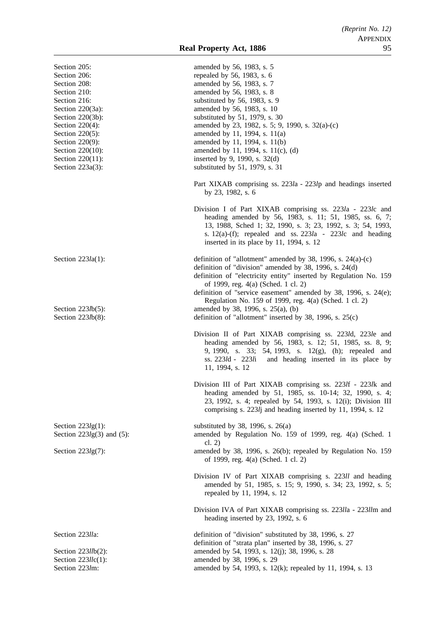| Section 205:<br>Section 206:<br>Section 208:<br>Section 210:<br>Section 216:<br>Section $220(3a)$ :<br>Section $220(3b)$ :<br>Section 220(4):<br>Section $220(5)$ :<br>Section 220(9):<br>Section 220(10):<br>Section 220(11):<br>Section $223a(3)$ : | amended by 56, 1983, s. 5<br>repealed by 56, 1983, s. 6<br>amended by 56, 1983, s. 7<br>amended by 56, 1983, s. 8<br>substituted by 56, 1983, s. 9<br>amended by 56, 1983, s. 10<br>substituted by 51, 1979, s. 30<br>amended by 23, 1982, s. 5; 9, 1990, s. 32(a)-(c)<br>amended by 11, 1994, s. $11(a)$<br>amended by 11, 1994, s. 11(b)<br>amended by 11, 1994, s. 11(c), (d)<br>inserted by 9, 1990, s. $32(d)$<br>substituted by 51, 1979, s. 31                |
|-------------------------------------------------------------------------------------------------------------------------------------------------------------------------------------------------------------------------------------------------------|----------------------------------------------------------------------------------------------------------------------------------------------------------------------------------------------------------------------------------------------------------------------------------------------------------------------------------------------------------------------------------------------------------------------------------------------------------------------|
|                                                                                                                                                                                                                                                       | Part XIXAB comprising ss. 223la - 223lp and headings inserted<br>by 23, 1982, s. 6<br>Division I of Part XIXAB comprising ss. 223la - 223lc and<br>heading amended by 56, 1983, s. 11; 51, 1985, ss. 6, 7;<br>13, 1988, Sched 1; 32, 1990, s. 3; 23, 1992, s. 3; 54, 1993,<br>s. $12(a)$ -(f); repealed and ss. $223la$ - $223lc$ and heading<br>inserted in its place by 11, 1994, s. 12                                                                            |
| Section 223la(1):<br>Section 223 <i>lb</i> (5):<br>Section 223lb(8):                                                                                                                                                                                  | definition of "allotment" amended by 38, 1996, s. $24(a)-(c)$<br>definition of "division" amended by 38, 1996, s. 24(d)<br>definition of "electricity entity" inserted by Regulation No. 159<br>of 1999, reg. 4(a) (Sched. 1 cl. 2)<br>definition of "service easement" amended by 38, 1996, s. 24(e);<br>Regulation No. 159 of 1999, reg. 4(a) (Sched. 1 cl. 2)<br>amended by 38, 1996, s. 25(a), (b)<br>definition of "allotment" inserted by 38, 1996, s. $25(c)$ |
|                                                                                                                                                                                                                                                       | Division II of Part XIXAB comprising ss. 223Id, 223Ie and<br>heading amended by 56, 1983, s. 12; 51, 1985, ss. 8, 9;<br>9, 1990, s. 33; 54, 1993, s. 12(g), (h); repealed and<br>and heading inserted in its place by<br>ss. 223 <i>l</i> d - 223 <i>l</i> i<br>11, 1994, s. 12                                                                                                                                                                                      |
|                                                                                                                                                                                                                                                       | Division III of Part XIXAB comprising ss. 223If - 223Ik and<br>heading amended by 51, 1985, ss. 10-14; 32, 1990, s. 4;<br>23, 1992, s. 4; repealed by 54, 1993, s. 12(i); Division III<br>comprising s. 223lj and heading inserted by 11, 1994, s. 12                                                                                                                                                                                                                |
| Section $223lg(1)$ :<br>Section $223lg(3)$ and (5):<br>Section 223lg(7):                                                                                                                                                                              | substituted by 38, 1996, s. $26(a)$<br>amended by Regulation No. 159 of 1999, reg. 4(a) (Sched. 1<br>cl. $2)$<br>amended by 38, 1996, s. 26(b); repealed by Regulation No. 159<br>of 1999, reg. 4(a) (Sched. 1 cl. 2)                                                                                                                                                                                                                                                |
|                                                                                                                                                                                                                                                       | Division IV of Part XIXAB comprising s. 223ll and heading<br>amended by 51, 1985, s. 15; 9, 1990, s. 34; 23, 1992, s. 5;<br>repealed by 11, 1994, s. 12                                                                                                                                                                                                                                                                                                              |
|                                                                                                                                                                                                                                                       | Division IVA of Part XIXAB comprising ss. 223lla - 223llm and<br>heading inserted by 23, 1992, s. 6                                                                                                                                                                                                                                                                                                                                                                  |
| Section 223lla:<br>Section 223llb(2):<br>Section 223llc(1):<br>Section 223lm:                                                                                                                                                                         | definition of "division" substituted by 38, 1996, s. 27<br>definition of "strata plan" inserted by 38, 1996, s. 27<br>amended by 54, 1993, s. 12(j); 38, 1996, s. 28<br>amended by 38, 1996, s. 29<br>amended by 54, 1993, s. 12(k); repealed by 11, 1994, s. 13                                                                                                                                                                                                     |
|                                                                                                                                                                                                                                                       |                                                                                                                                                                                                                                                                                                                                                                                                                                                                      |